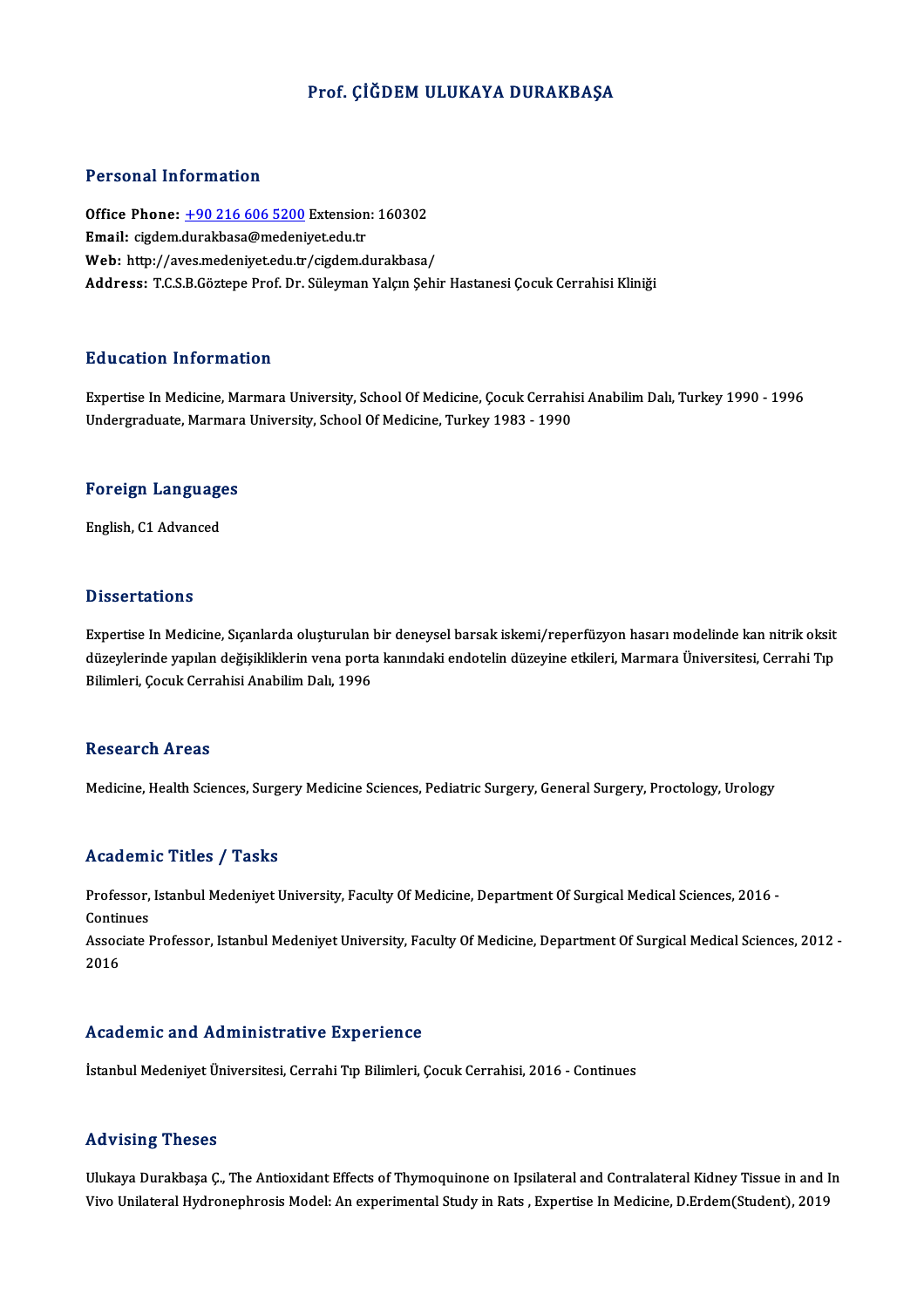## Prof. ÇİĞDEM ULUKAYA DURAKBAŞA

### Personal Information

Personal Information<br>Office Phone: <u>+90 216 606 5200</u> Extension: 160302<br>Email: cirdem dural:basa@medaniyet.edu.tr Processian information<br>Office Phone: <u>+90 216 606 5200</u> Extension<br>Email: cigdem.[durakbasa@medeni](tel:+90 216 606 5200)yet.edu.tr Office Phone: <u>+90 216 606 5200</u> Extension: 160302<br>Email: cigdem.durakbasa@medeniyet.edu.tr<br>Web: http://aves.medeniyet.edu.tr/cigdem.durakbasa/<br>Addressy T.C.S.B.Cärtene.Brof.Dr. Süleyman Valan Sebi Email: cigdem.durakbasa@medeniyet.edu.tr<br>Web: http://aves.medeniyet.edu.tr/cigdem.durakbasa/<br>Address: T.C.S.B.Göztepe Prof. Dr. Süleyman Yalçın Şehir Hastanesi Çocuk Cerrahisi Kliniği

### Education Information

Education Information<br>Expertise In Medicine, Marmara University, School Of Medicine, Çocuk Cerrahisi Anabilim Dalı, Turkey 1990 - 1996<br>Undergraduate Marmara University, School Of Medicine, Turkey 1982 - 1990 Buucution Thrormation<br>Expertise In Medicine, Marmara University, School Of Medicine, Çocuk Cerrahi:<br>Undergraduate, Marmara University, School Of Medicine, Turkey 1983 - 1990

## <sub>ondergraduate, marmara</sub><br>Foreign Languages F<mark>oreign Languag</mark>e<br>English, C1 Advanced

English, C1 Advanced<br>Dissertations

**Dissertations**<br>Expertise In Medicine, Sıçanlarda oluşturulan bir deneysel barsak iskemi/reperfüzyon hasarı modelinde kan nitrik oksit<br>düzeylerinde venylan değişildilekin yene nerta kanındaki endetelin düzeyine etkileri. M d isseer ditrems<br>Expertise In Medicine, Sıçanlarda oluşturulan bir deneysel barsak iskemi/reperfüzyon hasarı modelinde kan nitrik oksit<br>düzeylerinde yapılan değişikliklerin vena porta kanındaki endotelin düzeyine etkileri, Expertise In Medicine, Sıçanlarda oluşturulan l<br>düzeylerinde yapılan değişikliklerin vena porta<br>Bilimleri, Çocuk Cerrahisi Anabilim Dalı, 1996 Bilimleri, Çocuk Cerrahisi Anabilim Dalı, 1996<br>Research Areas

Medicine, Health Sciences, Surgery Medicine Sciences, Pediatric Surgery, General Surgery, Proctology, Urology

### Academic Titles / Tasks

A**cademic Titles / Tasks**<br>Professor, Istanbul Medeniyet University, Faculty Of Medicine, Department Of Surgical Medical Sciences, 2016 -<br>Centinues Professor,<br>Continues<br>Associate L Professor, Istanbul Medeniyet University, Faculty Of Medicine, Department Of Surgical Medical Sciences, 2016 -<br>Continues<br>Associate Professor, Istanbul Medeniyet University, Faculty Of Medicine, Department Of Surgical Medic

Contir<br>Assoc<br>2016 Academic and Administrative Experience

İstanbul Medeniyet Üniversitesi, Cerrahi Tıp Bilimleri, Çocuk Cerrahisi, 2016 - Continues

### Advising Theses

Advising Theses<br>Ulukaya Durakbaşa Ç., The Antioxidant Effects of Thymoquinone on Ipsilateral and Contralateral Kidney Tissue in and In<br>Vive Unilateral Hydnenenbresis Model: An evperimental Study in Beta, Evperties In Modis 11d vioing in 19505<br>Ulukaya Durakbaşa Ç., The Antioxidant Effects of Thymoquinone on Ipsilateral and Contralateral Kidney Tissue in and<br>Vivo Unilateral Hydronephrosis Model: An experimental Study in Rats , Expertise In Med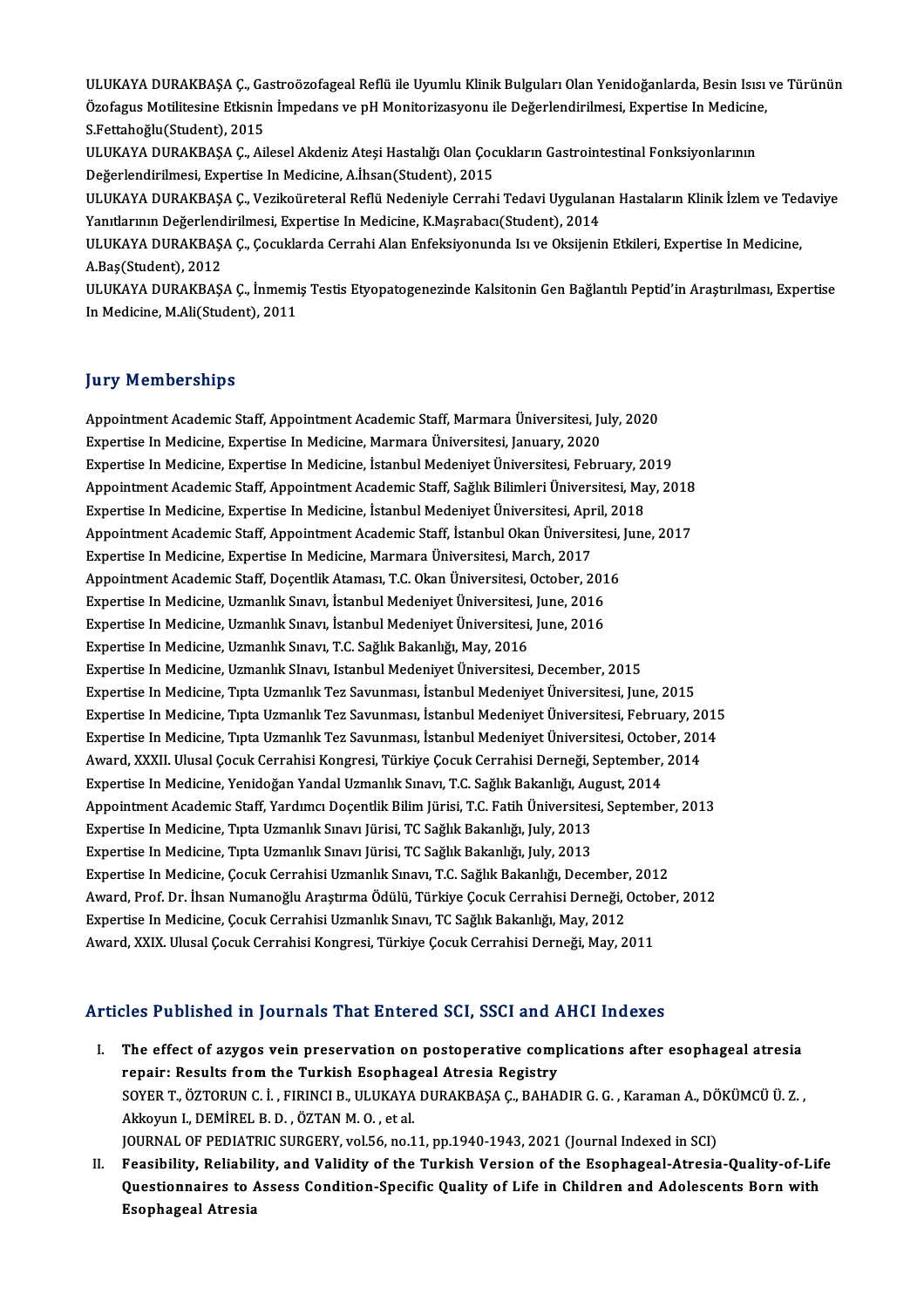ULUKAYA DURAKBAŞA Ç., Gastroözofageal Reflü ile Uyumlu Klinik Bulguları Olan Yenidoğanlarda, Besin Isısı ve Türünün<br>Özefegue Metilitesine Etkienin İmpedene ve p.H. Meniteriyesyonu ile Değerlendirilmesi, Evnertise In Medisi ULUKAYA DURAKBAŞA Ç., Gastroözofageal Reflü ile Uyumlu Klinik Bulguları Olan Yenidoğanlarda, Besin Isısı<br>Özofagus Motilitesine Etkisnin İmpedans ve pH Monitorizasyonu ile Değerlendirilmesi, Expertise In Medicine,<br>S.Eettabe ULUKAYA DURAKBAŞA Ç., Ga<br>Özofagus Motilitesine Etkisniı<br>S.Fettahoğlu(Student), 2015<br>III UKAYA DURAKRASA G. Ail Özofagus Motilitesine Etkisnin İmpedans ve pH Monitorizasyonu ile Değerlendirilmesi, Expertise In Medicine,<br>S.Fettahoğlu(Student), 2015<br>ULUKAYA DURAKBAŞA Ç., Ailesel Akdeniz Ateşi Hastalığı Olan Çocukların Gastrointestinal

ULUKAYA DURAKBAŞA Ç., Ailesel Akdeniz Ateşi Hastalığı Olan Çocukların Gastrointestinal Fonksiyonlarının ULUKAYA DURAKBAŞA Ç., Ailesel Akdeniz Ateşi Hastalığı Olan Çocukların Gastrointestinal Fonksiyonlarının<br>Değerlendirilmesi, Expertise In Medicine, A.İhsan(Student), 2015<br>ULUKAYA DURAKBAŞA Ç., Vezikoüreteral Reflü Nedeniyle

Değerlendirilmesi, Expertise In Medicine, A.İhsan(Student), 2015<br>ULUKAYA DURAKBAŞA Ç., Vezikoüreteral Reflü Nedeniyle Cerrahi Tedavi Uygulana<br>Yanıtlarının Değerlendirilmesi, Expertise In Medicine, K.Maşrabacı(Student), 201 ULUKAYA DURAKBAŞA Ç., Vezikoüreteral Reflü Nedeniyle Cerrahi Tedavi Uygulanan Hastaların Klinik İzlem ve Ted<br>Yanıtlarının Değerlendirilmesi, Expertise In Medicine, K.Maşrabacı(Student), 2014<br>ULUKAYA DURAKBAŞA Ç., Çocuklard

Yanıtlarının Değerlendirilmesi, Expertise In Medicine, K.Maşrabacı(Student), 2014<br>ULUKAYA DURAKBAŞA Ç., Çocuklarda Cerrahi Alan Enfeksiyonunda Isı ve Oksijenin Etkileri, Expertise In Medicine,<br>A.Bas(Student), 2012 ULUKAYA DURAKBAŞA Ç., Çocuklarda Cerrahi Alan Enfeksiyonunda Isı ve Oksijenin Etkileri, Expertise In Medicine,<br>A.Baş(Student), 2012<br>ULUKAYA DURAKBAŞA Ç., İnmemiş Testis Etyopatogenezinde Kalsitonin Gen Bağlantılı Peptid'in

A.Baş(Student), 2012<br>ULUKAYA DURAKBAŞA Ç., İnmemi<br>In Medicine, M.Ali(Student), 2011 In Medicine, M.Ali(Student), 2011<br>Jury Memberships

**Jury Memberships<br>Appointment Academic Staff, Appointment Academic Staff, Marmara Üniversitesi, July, 2020<br>Evnettise In Medisine, Evnettise In Medisine, Marmara Üniversitesi, Ianuary, 2020** Jury Trembertsmps<br>Appointment Academic Staff, Appointment Academic Staff, Marmara Üniversitesi, Ju<br>Expertise In Medicine, Expertise In Medicine, Marmara Üniversitesi, January, 2020<br>Expertise In Medicine, Expertise In Medic Appointment Academic Staff, Appointment Academic Staff, Marmara Üniversitesi, July, 2020<br>Expertise In Medicine, Expertise In Medicine, Marmara Üniversitesi, January, 2020<br>Expertise In Medicine, Expertise In Medicine, İstan Expertise In Medicine, Expertise In Medicine, Marmara Üniversitesi, January, 2020<br>Expertise In Medicine, Expertise In Medicine, İstanbul Medeniyet Üniversitesi, February, 2019<br>Appointment Academic Staff, Appointment Academ Expertise In Medicine, Expertise In Medicine, İstanbul Medeniyet Üniversitesi, February, 2<br>Appointment Academic Staff, Appointment Academic Staff, Sağlık Bilimleri Üniversitesi, Ma<br>Expertise In Medicine, Expertise In Medic Appointment Academic Staff, Appointment Academic Staff, Sağlık Bilimleri Üniversitesi, May, 2018<br>Expertise In Medicine, Expertise In Medicine, İstanbul Medeniyet Üniversitesi, April, 2018<br>Appointment Academic Staff, Appoin Expertise In Medicine, Expertise In Medicine, İstanbul Medeniyet Üniversitesi, April, 2018<br>Appointment Academic Staff, Appointment Academic Staff, İstanbul Okan Üniversitesi, Jun<br>Expertise In Medicine, Expertise In Medicin Appointment Academic Staff, Appointment Academic Staff, İstanbul Okan Üniversitesi,<br>Expertise In Medicine, Expertise In Medicine, Marmara Üniversitesi, March, 2017<br>Appointment Academic Staff, Doçentlik Ataması, T.C. Okan Ü Expertise In Medicine, Expertise In Medicine, Marmara Üniversitesi, March, 2017<br>Appointment Academic Staff, Doçentlik Ataması, T.C. Okan Üniversitesi, October, 2016<br>Expertise In Medicine, Uzmanlık Sınavı, İstanbul Medeniye Appointment Academic Staff, Doçentlik Ataması, T.C. Okan Üniversitesi, October, 201<br>Expertise In Medicine, Uzmanlık Sınavı, İstanbul Medeniyet Üniversitesi, June, 2016<br>Expertise In Medicine, Uzmanlık Sınavı, İstanbul Meden Expertise In Medicine, Uzmanlık Sınavı, İstanbul Medeniyet Üniversitesi, June, 2016<br>Expertise In Medicine, Uzmanlık Sınavı, İstanbul Medeniyet Üniversitesi, June, 2016<br>Expertise In Medicine, Uzmanlık Sınavı, T.C. Sağlık Ba Expertise InMedicine,UzmanlıkSInavı, IstanbulMedeniyetÜniversitesi,December,2015 Expertise InMedicine,TıptaUzmanlıkTez Savunması, İstanbulMedeniyetÜniversitesi, June,2015 Expertise In Medicine, Tıpta Uzmanlık Tez Savunması, İstanbul Medeniyet Üniversitesi, February, 2015 Expertise In Medicine, Tıpta Uzmanlık Tez Savunması, İstanbul Medeniyet Üniversitesi, June, 2015<br>Expertise In Medicine, Tıpta Uzmanlık Tez Savunması, İstanbul Medeniyet Üniversitesi, February, 2015<br>Expertise In Medicine, T Expertise In Medicine, Tıpta Uzmanlık Tez Savunması, İstanbul Medeniyet Üniversitesi, February, 20<br>Expertise In Medicine, Tıpta Uzmanlık Tez Savunması, İstanbul Medeniyet Üniversitesi, October, 201<br>Award, XXXII. Ulusal Çoc Expertise In Medicine, Tıpta Uzmanlık Tez Savunması, İstanbul Medeniyet Üniversitesi, Octobo<br>Award, XXXII. Ulusal Çocuk Cerrahisi Kongresi, Türkiye Çocuk Cerrahisi Derneği, September,<br>Expertise In Medicine, Yenidoğan Yanda Award, XXXII. Ulusal Çocuk Cerrahisi Kongresi, Türkiye Çocuk Cerrahisi Derneği, September, 2014<br>Expertise In Medicine, Yenidoğan Yandal Uzmanlık Sınavı, T.C. Sağlık Bakanlığı, August, 2014<br>Appointment Academic Staff, Yardı Expertise In Medicine, Yenidoğan Yandal Uzmanlık Sınavı, T.C. Sağlık Bakanlığı, August, 2014 Expertise In Medicine, Tıpta Uzmanlık Sınavı Jürisi, TC Sağlık Bakanlığı, July, 2013 Expertise In Medicine, Tıpta Uzmanlık Sınavı Jürisi, TC Sağlık Bakanlığı, July, 2013<br>Expertise In Medicine, Tıpta Uzmanlık Sınavı Jürisi, TC Sağlık Bakanlığı, July, 2013<br>Expertise In Medicine, Çocuk Cerrahisi Uzmanlık Sına Award, Prof. Dr. İhsan Numanoğlu Araştırma Ödülü, Türkiye Çocuk Cerrahisi Derneği, October, 2012<br>Expertise In Medicine, Çocuk Cerrahisi Uzmanlık Sınavı, TC Sağlık Bakanlığı, May, 2012 Expertise In Medicine, Çocuk Cerrahisi Uzmanlık Sınavı, T.C. Sağlık Bakanlığı, December<br>Award, Prof. Dr. İhsan Numanoğlu Araştırma Ödülü, Türkiye Çocuk Cerrahisi Derneği, (<br>Expertise In Medicine, Çocuk Cerrahisi Uzmanlık S Award, XXIX. Ulusal Çocuk Cerrahisi Kongresi, Türkiye Çocuk Cerrahisi Derneği, May, 2011

## Articles Published in Journals That Entered SCI, SSCI and AHCI Indexes

- I. The effect of azygos vein preservation on postoperative complications after esophageal atresia repair: Results from the Turkish Esophageal Atresia Registry The effect of azygos vein preservation on postoperative complications after esophageal atresia<br>repair: Results from the Turkish Esophageal Atresia Registry<br>SOYER T., ÖZTORUN C. İ., FIRINCI B., ULUKAYA DURAKBAŞA Ç., BAHADIR repair: Results from the Turkish Esophag<br>SOYER T., ÖZTORUN C. İ. , FIRINCI B., ULUKAYA<br>Akkoyun I., DEMİREL B. D. , ÖZTAN M. O. , et al.<br>JOUPNAL OE PEDIATRIC SURGERY .vel 56 ne 1 SOYER T., ÖZTORUN C. İ. , FIRINCI B., ULUKAYA DURAKBAŞA Ç., BAHADIR G. G. , Karaman A., DÖ<br>Akkoyun I., DEMİREL B. D. , ÖZTAN M. O. , et al.<br>JOURNAL OF PEDIATRIC SURGERY, vol.56, no.11, pp.1940-1943, 2021 (Journal Indexed i Akkoyun I., DEMİREL B. D. , ÖZTAN M. O. , et al.<br>JOURNAL OF PEDIATRIC SURGERY, vol.56, no.11, pp.1940-1943, 2021 (Journal Indexed in SCI)<br>II. Feasibility, Reliability, and Validity of the Turkish Version of the Esophageal-
- JOURNAL OF PEDIATRIC SURGERY, vol.56, no.11, pp.1940-1943, 2021 (Journal Indexed in SCI)<br>Feasibility, Reliability, and Validity of the Turkish Version of the Esophageal-Atresia-Quality-of-Lif<br>Questionnaires to Assess Condi Feasibility, Reliabil<br>Questionnaires to *l*<br>Esophageal Atresia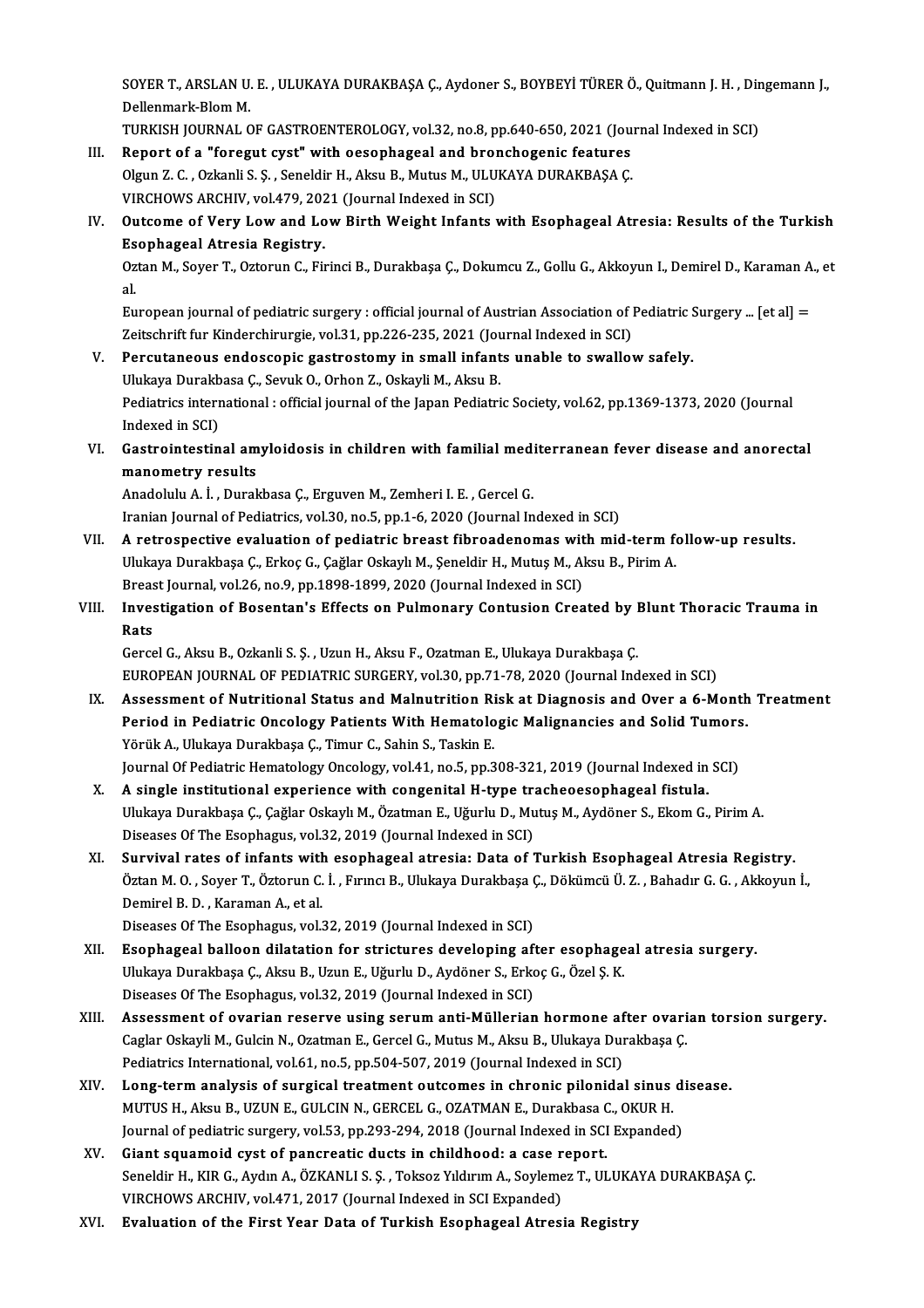SOYER T., ARSLAN U. E. , ULUKAYA DURAKBAŞA Ç., Aydoner S., BOYBEYİ TÜRER Ö., Quitmann J. H. , Dingemann J.,<br>Dellanmark Blom M SOYER T., ARSLAN U.<br>Dellenmark-Blom M.<br>TURKISH JOURNAL C SOYER T., ARSLAN U. E. , ULUKAYA DURAKBAŞA Ç., Aydoner S., BOYBEYİ TÜRER Ö., Quitmann J. H. , Dir<br>Dellenmark-Blom M.<br>TURKISH JOURNAL OF GASTROENTEROLOGY, vol.32, no.8, pp.640-650, 2021 (Journal Indexed in SCI)<br>Bonort of a

- Dellenmark-Blom M.<br>TURKISH JOURNAL OF GASTROENTEROLOGY, vol.32, no.8, pp.640-650, 2021 (Jou<br>III. Report of a "foregut cyst" with oesophageal and bronchogenic features<br>Olayn 7.6. Orkanli S.S. Soneldir H. Akay B. Mytys M. UL TURKISH JOURNAL OF GASTROENTEROLOGY, vol.32, no.8, pp.640-650, 2021 (Journal Indexed in SCI)<br>Report of a "foregut cyst" with oesophageal and bronchogenic features<br>Olgun Z. C. , Ozkanli S. Ş. , Seneldir H., Aksu B., Mutus M Report of a "foregut cyst" with oesophageal and bro<br>Olgun Z. C. , Ozkanli S. Ş. , Seneldir H., Aksu B., Mutus M., ULU<br>VIRCHOWS ARCHIV, vol.479, 2021 (Journal Indexed in SCI)<br>Outsome of Very J ow and J ow Birth Weight Infan Olgun Z. C. , Ozkanli S. Ş. , Seneldir H., Aksu B., Mutus M., ULUKAYA DURAKBAŞA Ç.<br>VIRCHOWS ARCHIV, vol.479, 2021 (Journal Indexed in SCI)<br>IV. Outcome of Very Low and Low Birth Weight Infants with Esophageal Atresia: R
- VIRCHOWS ARCHIV, vol.479, 202<br>Outcome of Very Low and Lo<br>Esophageal Atresia Registry.<br>Orton M. Sover T. Ortonup C. Eu Outcome of Very Low and Low Birth Weight Infants with Esophageal Atresia: Results of the Turkish<br>Esophageal Atresia Registry.<br>Oztan M., Soyer T., Oztorun C., Firinci B., Durakbaşa Ç., Dokumcu Z., Gollu G., Akkoyun I., Demi

Es<br>0z<br>al. Oztan M., Soyer T., Oztorun C., Firinci B., Durakbaşa Ç., Dokumcu Z., Gollu G., Akkoyun I., Demirel D., Karaman A.<br>al.<br>European journal of pediatric surgery : official journal of Austrian Association of Pediatric Surgery .

al.<br>European journal of pediatric surgery : official journal of Austrian Association of l<br>Zeitschrift fur Kinderchirurgie, vol.31, pp.226-235, 2021 (Journal Indexed in SCI)<br>Persutaneous endessenis sestrestemy in small infa European journal of pediatric surgery : official journal of Austrian Association of Pediatric S<br>Zeitschrift fur Kinderchirurgie, vol.31, pp.226-235, 2021 (Journal Indexed in SCI)<br>V. Percutaneous endoscopic gastrostomy in s

- Zeitschrift fur Kinderchirurgie, vol.31, pp.226-235, 2021 (Journal Percutaneous endoscopic gastrostomy in small infant<br>Ulukaya Durakbasa Ç., Sevuk O., Orhon Z., Oskayli M., Aksu B.<br>Redistrics international : official iourn Percutaneous endoscopic gastrostomy in small infants unable to swallow safely.<br>Ulukaya Durakbasa Ç., Sevuk O., Orhon Z., Oskayli M., Aksu B.<br>Pediatrics international : official journal of the Japan Pediatric Society, vol.6 Ulukaya Durakb<br>Pediatrics interr<br>Indexed in SCI)<br>Costrointestin Pediatrics international : official journal of the Japan Pediatric Society, vol.62, pp.1369-1373, 2020 (Journal<br>Indexed in SCI)<br>VI. Gastrointestinal amyloidosis in children with familial mediterranean fever disease and ano
- Indexed in SCI)<br>Gastrointestinal am<br>manometry results<br>Anodolulu A.i. Dural Gastrointestinal amyloidosis in children with familial med:<br>manometry results<br>Anadolulu A. İ. , Durakbasa Ç., Erguven M., Zemheri I. E. , Gercel G.<br>Iranian Journal of Bodiatrics vol 30 no 5 nn 1 6 3030 (Journal In

manometry results<br>Anadolulu A. İ. , Durakbasa Ç., Erguven M., Zemheri I. E. , Gercel G.<br>Iranian Journal of Pediatrics, vol.30, no.5, pp.1-6, 2020 (Journal Indexed in SCI)

- Anadolulu A. İ. , Durakbasa Ç., Erguven M., Zemheri I. E. , Gercel G.<br>Iranian Journal of Pediatrics, vol.30, no.5, pp.1-6, 2020 (Journal Indexed in SCI)<br>VII. A retrospective evaluation of pediatric breast fibroadenomas wit Iranian Journal of Pediatrics, vol.30, no.5, pp.1-6, 2020 (Journal Indexed in SCI)<br>A retrospective evaluation of pediatric breast fibroadenomas with mid-term fo<br>Ulukaya Durakbaşa Ç., Erkoç G., Çağlar Oskaylı M., Şeneldir H A retrospective evaluation of pediatric breast fibroadenomas wit<br>Ulukaya Durakbaşa Ç., Erkoç G., Çağlar Oskaylı M., Şeneldir H., Mutuş M., Al<br>Breast Journal, vol.26, no.9, pp.1898-1899, 2020 (Journal Indexed in SCI)<br>Invest Ulukaya Durakbaşa Ç., Erkoç G., Çağlar Oskaylı M., Şeneldir H., Mutuş M., Aksu B., Pirim A.<br>Breast Journal, vol.26, no.9, pp.1898-1899, 2020 (Journal Indexed in SCI)<br>VIII. Investigation of Bosentan's Effects on Pulmonary C
- Breas<br>Inves<br>Rats<br>Cerss Investigation of Bosentan's Effects on Pulmonary Contusion Created by l<br>Rats<br>Gercel G., Aksu B., Ozkanli S. Ş. , Uzun H., Aksu F., Ozatman E., Ulukaya Durakbaşa Ç.<br>FUROPEAN JOUPNAL OF PEDIATRIC SURCERY .val 30, pp.71-79-20

Rats<br>Gercel G., Aksu B., Ozkanli S. Ş. , Uzun H., Aksu F., Ozatman E., Ulukaya Durakbaşa Ç.<br>EUROPEAN JOURNAL OF PEDIATRIC SURGERY, vol.30, pp.71-78, 2020 (Journal Indexed in SCI)

IX. Assessment of Nutritional Status and Malnutrition Risk at Diagnosis and Over a 6-Month Treatment EUROPEAN JOURNAL OF PEDIATRIC SURGERY, vol.30, pp.71-78, 2020 (Journal Indexed in SCI)<br>Assessment of Nutritional Status and Malnutrition Risk at Diagnosis and Over a 6-Month<br>Period in Pediatric Oncology Patients With Hemat Assessment of Nutritional Status and Malnutrition Ri<br>Period in Pediatric Oncology Patients With Hematolo<br>Yörük A., Ulukaya Durakbaşa Ç., Timur C., Sahin S., Taskin E.<br>Journal Of Pediatric Hematology Oncology vol.41, no 5, Period in Pediatric Oncology Patients With Hematologic Malignancies and Solid Tumors<br>Yörük A., Ulukaya Durakbaşa Ç., Timur C., Sahin S., Taskin E.<br>Journal Of Pediatric Hematology Oncology, vol.41, no.5, pp.308-321, 2019 (J Yörük A., Ulukaya Durakbaşa Ç., Timur C., Sahin S., Taskin E.<br>Journal Of Pediatric Hematology Oncology, vol.41, no.5, pp.308-321, 2019 (Journal Indexed in<br>X. A single institutional experience with congenital H-type tracheo

- Journal Of Pediatric Hematology Oncology, vol.41, no.5, pp.308-321, 2019 (Journal Indexed in SCI)<br>A single institutional experience with congenital H-type tracheoesophageal fistula.<br>Ulukaya Durakbaşa Ç., Çağlar Oskaylı M., A single institutional experience with congenital H-type tra<br>Ulukaya Durakbaşa Ç., Çağlar Oskaylı M., Özatman E., Uğurlu D., Mu<br>Diseases Of The Esophagus, vol.32, 2019 (Journal Indexed in SCI)<br>Survival rates of infonts wit Ulukaya Durakbaşa Ç., Çağlar Oskaylı M., Özatman E., Uğurlu D., Mutuş M., Aydöner S., Ekom G., Pirim A.<br>Diseases Of The Esophagus, vol.32, 2019 (Journal Indexed in SCI)<br>XI. Survival rates of infants with esophageal atresia
- Öztan M. O. , Soyer T., Öztorun C. İ. , Fırıncı B., Ulukaya Durakbaşa Ç., Dökümcü Ü. Z. , Bahadır G. G. , Akkoyun İ.,<br>Demirel B. D. , Karaman A., et al. Survival rates of infants with<br>Öztan M. O. , Soyer T., Öztorun C.<br>Demirel B. D. , Karaman A., et al.<br>Diseases Of The Feenhagus vol.

Diseases Of The Esophagus, vol.32, 2019 (Journal Indexed in SCI)

- Demirel B. D. , Karaman A., et al.<br>Diseases Of The Esophagus, vol.32, 2019 (Journal Indexed in SCI)<br>XII. Esophageal balloon dilatation for strictures developing after esophageal atresia surgery.<br>Illulate Durakhasa G. A Diseases Of The Esophagus, vol.32, 2019 (Journal Indexed in SCI)<br><mark>Esophageal balloon dilatation for strictures developing after esophage</mark><br>Ulukaya Durakbaşa Ç., Aksu B., Uzun E., Uğurlu D., Aydöner S., Erkoç G., Özel Ş. K.<br> Ulukaya Durakbaşa Ç., Aksu B., Uzun E., Uğurlu D., Aydöner S., Erkoç G., Özel Ş. K.<br>Diseases Of The Esophagus, vol.32, 2019 (Journal Indexed in SCI) Ulukaya Durakbaşa Ç., Aksu B., Uzun E., Uğurlu D., Aydöner S., Erkoç G., Özel Ş. K.<br>Diseases Of The Esophagus, vol.32, 2019 (Journal Indexed in SCI)<br>XIII. Assessment of ovarian reserve using serum anti-Müllerian hormone af
- Diseases Of The Esophagus, vol.32, 2019 (Journal Indexed in SCI)<br>Assessment of ovarian reserve using serum anti-Müllerian hormone after ovari<br>Caglar Oskayli M., Gulcin N., Ozatman E., Gercel G., Mutus M., Aksu B., Ulukaya Assessment of ovarian reserve using serum anti-Müllerian hormone af<br>Caglar Oskayli M., Gulcin N., Ozatman E., Gercel G., Mutus M., Aksu B., Ulukaya Dui<br>Pediatrics International, vol.61, no.5, pp.504-507, 2019 (Journal Inde Caglar Oskayli M., Gulcin N., Ozatman E., Gercel G., Mutus M., Aksu B., Ulukaya Durakbaşa Ç.<br>Pediatrics International, vol.61, no.5, pp.504-507, 2019 (Journal Indexed in SCI)<br>XIV. Long-term analysis of surgical treatment o
- Pediatrics International, vol.61, no.5, pp.504-507, 2019 (Journal Indexed in SCI)<br>Long-term analysis of surgical treatment outcomes in chronic pilonidal sinus<br>MUTUS H., Aksu B., UZUN E., GULCIN N., GERCEL G., OZATMAN E., D Long-term analysis of surgical treatment outcomes in chronic pilonidal sinus d<br>MUTUS H., Aksu B., UZUN E., GULCIN N., GERCEL G., OZATMAN E., Durakbasa C., OKUR H.<br>Journal of pediatric surgery, vol.53, pp.293-294, 2018 (Jou MUTUS H., Aksu B., UZUN E., GULCIN N., GERCEL G., OZATMAN E., Durakbasa (<br>Journal of pediatric surgery, vol.53, pp.293-294, 2018 (Journal Indexed in SCI<br>XV. Giant squamoid cyst of pancreatic ducts in childhood: a case repo
- Journal of pediatric surgery, vol.53, pp.293-294, 2018 (Journal Indexed in SCI Expanded)<br>Giant squamoid cyst of pancreatic ducts in childhood: a case report.<br>Seneldir H., KIR G., Aydın A., ÖZKANLI S. Ş. , Toksoz Yıldırım A Giant squamoid cyst of pancreatic ducts in childhood: a case r<br>Seneldir H., KIR G., Aydın A., ÖZKANLI S. Ş. , Toksoz Yıldırım A., Soyleme<br>VIRCHOWS ARCHIV, vol.471, 2017 (Journal Indexed in SCI Expanded)<br>Evaluation of the E
- XVI. Evaluation of the First Year Data of Turkish Esophageal Atresia Registry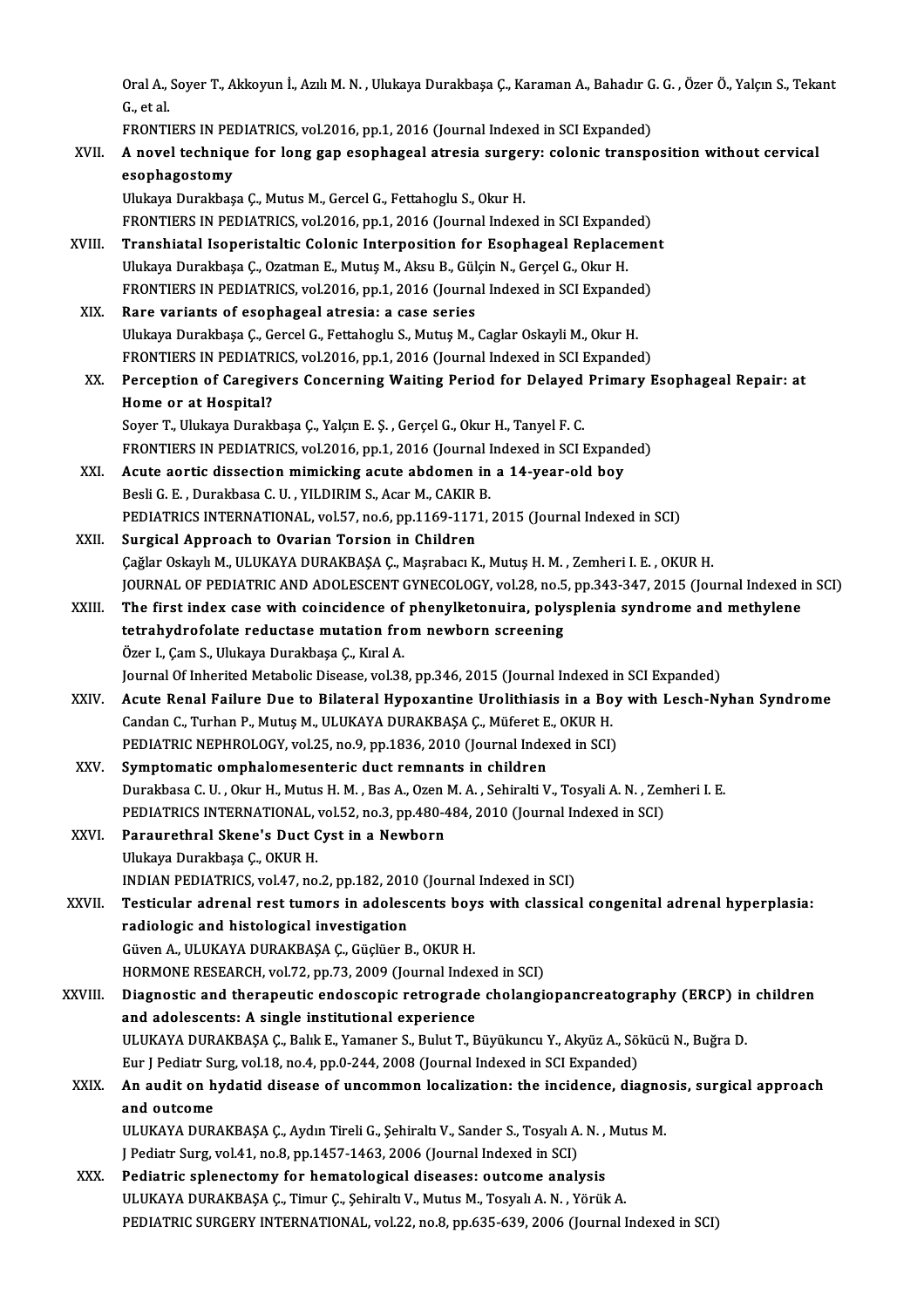Oral A., Soyer T., Akkoyun İ., Azılı M. N. , Ulukaya Durakbaşa Ç., Karaman A., Bahadır G. G. , Özer Ö., Yalçın S., Tekant<br>G. et al Oral A., .<br>G., et al.<br>EPONTI Oral A., Soyer T., Akkoyun İ., Azılı M. N. , Ulukaya Durakbaşa Ç., Karaman A., Bahadır G.<br>G., et al.<br>FRONTIERS IN PEDIATRICS, vol.2016, pp.1, 2016 (Journal Indexed in SCI Expanded)<br>A. novel technique for leng gen esenhagea

|         | G, et al.                                                                                                 |
|---------|-----------------------------------------------------------------------------------------------------------|
|         | FRONTIERS IN PEDIATRICS, vol.2016, pp.1, 2016 (Journal Indexed in SCI Expanded)                           |
| XVII.   | A novel technique for long gap esophageal atresia surgery: colonic transposition without cervical         |
|         | esophagostomy                                                                                             |
|         | Ulukaya Durakbaşa Ç., Mutus M., Gercel G., Fettahoglu S., Okur H.                                         |
|         | FRONTIERS IN PEDIATRICS, vol.2016, pp.1, 2016 (Journal Indexed in SCI Expanded)                           |
| XVIII.  | Transhiatal Isoperistaltic Colonic Interposition for Esophageal Replacement                               |
|         | Ulukaya Durakbaşa Ç., Ozatman E., Mutuş M., Aksu B., Gülçin N., Gerçel G., Okur H.                        |
|         | FRONTIERS IN PEDIATRICS, vol.2016, pp.1, 2016 (Journal Indexed in SCI Expanded)                           |
| XIX.    | Rare variants of esophageal atresia: a case series                                                        |
|         | Ulukaya Durakbaşa Ç., Gercel G., Fettahoglu S., Mutuş M., Caglar Oskayli M., Okur H.                      |
|         | FRONTIERS IN PEDIATRICS, vol.2016, pp.1, 2016 (Journal Indexed in SCI Expanded)                           |
| XX.     | Perception of Caregivers Concerning Waiting Period for Delayed Primary Esophageal Repair: at              |
|         | Home or at Hospital?                                                                                      |
|         | Soyer T., Ulukaya Durakbaşa Ç., Yalçın E. Ş., Gerçel G., Okur H., Tanyel F. C.                            |
|         | FRONTIERS IN PEDIATRICS, vol.2016, pp.1, 2016 (Journal Indexed in SCI Expanded)                           |
| XXI.    | Acute aortic dissection mimicking acute abdomen in a 14-year-old boy                                      |
|         | Besli G. E., Durakbasa C. U., YILDIRIM S., Acar M., CAKIR B.                                              |
|         | PEDIATRICS INTERNATIONAL, vol.57, no.6, pp.1169-1171, 2015 (Journal Indexed in SCI)                       |
| XXII.   | Surgical Approach to Ovarian Torsion in Children                                                          |
|         | Çağlar Oskaylı M., ULUKAYA DURAKBAŞA Ç., Maşrabacı K., Mutuş H. M., Zemheri I. E., OKUR H.                |
|         | JOURNAL OF PEDIATRIC AND ADOLESCENT GYNECOLOGY, vol.28, no.5, pp.343-347, 2015 (Journal Indexed in SCI)   |
| XXIII.  | The first index case with coincidence of phenylketonuira, polysplenia syndrome and methylene              |
|         | tetrahydrofolate reductase mutation from newborn screening                                                |
|         | Özer I., Çam S., Ulukaya Durakbaşa Ç., Kıral A.                                                           |
|         | Journal Of Inherited Metabolic Disease, vol.38, pp.346, 2015 (Journal Indexed in SCI Expanded)            |
| XXIV    | Acute Renal Failure Due to Bilateral Hypoxantine Urolithiasis in a Boy with Lesch-Nyhan Syndrome          |
|         | Candan C., Turhan P., Mutuş M., ULUKAYA DURAKBAŞA Ç., Müferet E., OKUR H.                                 |
|         | PEDIATRIC NEPHROLOGY, vol.25, no.9, pp.1836, 2010 (Journal Indexed in SCI)                                |
| XXV.    | Symptomatic omphalomesenteric duct remnants in children                                                   |
|         | Durakbasa C. U. , Okur H., Mutus H. M. , Bas A., Ozen M. A. , Sehiralti V., Tosyali A. N. , Zemheri I. E. |
|         | PEDIATRICS INTERNATIONAL, vol.52, no.3, pp.480-484, 2010 (Journal Indexed in SCI)                         |
| XXVI.   | Paraurethral Skene's Duct Cyst in a Newborn                                                               |
|         | Ulukaya Durakbaşa Ç., OKUR H.<br>INDIAN PEDIATRICS, vol.47, no.2, pp.182, 2010 (Journal Indexed in SCI)   |
| XXVII.  | Testicular adrenal rest tumors in adolescents boys with classical congenital adrenal hyperplasia:         |
|         | radiologic and histological investigation                                                                 |
|         | Güven A., ULUKAYA DURAKBAŞA Ç., Güçlüer B., OKUR H.                                                       |
|         | HORMONE RESEARCH, vol.72, pp.73, 2009 (Journal Indexed in SCI)                                            |
| XXVIII. | Diagnostic and therapeutic endoscopic retrograde cholangiopancreatography (ERCP) in children              |
|         | and adolescents: A single institutional experience                                                        |
|         | ULUKAYA DURAKBAŞA Ç., Balık E., Yamaner S., Bulut T., Büyükuncu Y., Akyüz A., Sökücü N., Buğra D.         |
|         | Eur J Pediatr Surg, vol.18, no.4, pp.0-244, 2008 (Journal Indexed in SCI Expanded)                        |
| XXIX.   | An audit on hydatid disease of uncommon localization: the incidence, diagnosis, surgical approach         |
|         | and outcome                                                                                               |
|         | ULUKAYA DURAKBAŞA Ç., Aydın Tireli G., Şehiraltı V., Sander S., Tosyalı A. N., Mutus M.                   |
|         | J Pediatr Surg, vol.41, no.8, pp.1457-1463, 2006 (Journal Indexed in SCI)                                 |
| XXX.    | Pediatric splenectomy for hematological diseases: outcome analysis                                        |
|         | ULUKAYA DURAKBAŞA Ç., Timur Ç., Şehiraltı V., Mutus M., Tosyalı A. N., Yörük A.                           |
|         | PEDIATRIC SURGERY INTERNATIONAL, vol.22, no.8, pp.635-639, 2006 (Journal Indexed in SCI)                  |
|         |                                                                                                           |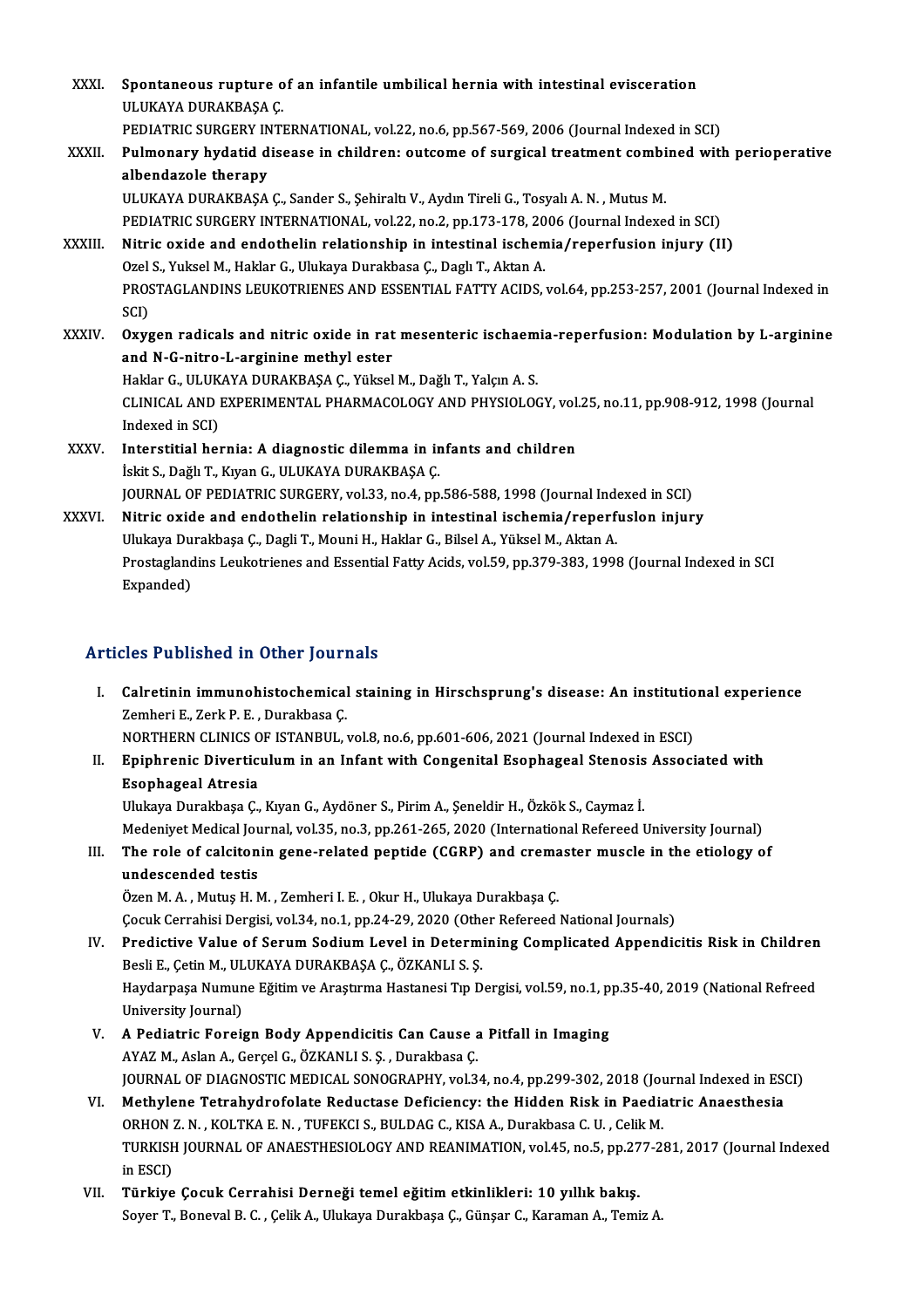| XXXI.        | Spontaneous rupture of an infantile umbilical hernia with intestinal evisceration<br>ULUKAYA DURAKBAŞA Ç                |
|--------------|-------------------------------------------------------------------------------------------------------------------------|
|              | PEDIATRIC SURGERY INTERNATIONAL, vol.22, no.6, pp.567-569, 2006 (Journal Indexed in SCI)                                |
| XXXII.       | Pulmonary hydatid disease in children: outcome of surgical treatment combined with perioperative<br>albendazole therapy |
|              | ULUKAYA DURAKBAŞA Ç., Sander S., Şehiraltı V., Aydın Tireli G., Tosyalı A. N., Mutus M.                                 |
|              | PEDIATRIC SURGERY INTERNATIONAL, vol.22, no.2, pp.173-178, 2006 (Journal Indexed in SCI)                                |
| XXXIII.      | Nitric oxide and endothelin relationship in intestinal ischemia/reperfusion injury (II)                                 |
|              | Ozel S., Yuksel M., Haklar G., Ulukaya Durakbasa Ç., Daglı T., Aktan A.                                                 |
|              | PROSTAGLANDINS LEUKOTRIENES AND ESSENTIAL FATTY ACIDS, vol.64, pp.253-257, 2001 (Journal Indexed in<br>SCI)             |
| <b>XXXIV</b> | Oxygen radicals and nitric oxide in rat mesenteric ischaemia-reperfusion: Modulation by L-arginine                      |
|              | and N-G-nitro-L-arginine methyl ester                                                                                   |
|              | Haklar G., ULUKAYA DURAKBAŞA Ç., Yüksel M., Dağlı T., Yalçın A. S.                                                      |
|              | CLINICAL AND EXPERIMENTAL PHARMACOLOGY AND PHYSIOLOGY, vol.25, no.11, pp.908-912, 1998 (Journal<br>Indexed in SCI)      |
| <b>XXXV</b>  | Interstitial hernia: A diagnostic dilemma in infants and children                                                       |
|              | İskit S., Dağlı T., Kıyan G., ULUKAYA DURAKBAŞA Ç.                                                                      |
|              | JOURNAL OF PEDIATRIC SURGERY, vol.33, no.4, pp.586-588, 1998 (Journal Indexed in SCI)                                   |
| XXXVI.       | Nitric oxide and endothelin relationship in intestinal ischemia/reperfuslon injury                                      |
|              | Ulukaya Durakbaşa Ç., Dagli T., Mouni H., Haklar G., Bilsel A., Yüksel M., Aktan A.                                     |
|              | Prostaglandins Leukotrienes and Essential Fatty Acids, vol.59, pp.379-383, 1998 (Journal Indexed in SCI<br>$E$ waandad) |

Ulukaya Du<br>Prostagland<br>Expanded)

# Articles Published in Other Journals

- rticles Published in Other Journals<br>I. Calretinin immunohistochemical staining in Hirschsprung's disease: An institutional experience<br>Zambari E. Zark P. E. Durakbase C XES TUSHERU IN SERET JOURNALIS<br>Calretinin immunohistochemical<br>Zemheri E., Zerk P. E. , Durakbasa Ç.<br>NOPTUEDN CLINICS OF ISTANDIU Calretinin immunohistochemical staining in Hirschsprung's disease: An institutio<br>Zemheri E., Zerk P. E. , Durakbasa Ç.<br>NORTHERN CLINICS OF ISTANBUL, vol.8, no.6, pp.601-606, 2021 (Journal Indexed in ESCI)<br>Eninhaenia Divert Zemheri E., Zerk P. E. , Durakbasa Ç.<br>NORTHERN CLINICS OF ISTANBUL, vol.8, no.6, pp.601-606, 2021 (Journal Indexed in ESCI)<br>II. Epiphrenic Diverticulum in an Infant with Congenital Esophageal Stenosis Associated with<br>F
- NORTHERN CLINICS O<br>Epiphrenic Divertic<br>Esophageal Atresia<br>Illultave Durekbees C Epiphrenic Diverticulum in an Infant with Congenital Esophageal Stenosis<br>Esophageal Atresia<br>Ulukaya Durakbaşa Ç., Kıyan G., Aydöner S., Pirim A., Şeneldir H., Özkök S., Caymaz İ.<br>Medeniyat Medisel Journal vel 25, no 3, nn Esophageal Atresia<br>Ulukaya Durakbaşa Ç., Kıyan G., Aydöner S., Pirim A., Şeneldir H., Özkök S., Caymaz İ.<br>Medeniyet Medical Journal, vol.35, no.3, pp.261-265, 2020 (International Refereed University Journal)

Ulukaya Durakbaşa Ç., Kıyan G., Aydöner S., Pirim A., Şeneldir H., Özkök S., Caymaz İ.<br>Medeniyet Medical Journal, vol.35, no.3, pp.261-265, 2020 (International Refereed University Journal)<br>III. The role of calcitonin gene-Medeniyet Medical Jou<br>The role of calciton<br>undescended testis<br>Özen M.A. Mutus H.N The role of calcitonin gene-related peptide (CGRP) and crema<br>undescended testis<br>Özen M. A. , Mutuş H. M. , Zemheri I. E. , Okur H., Ulukaya Durakbaşa Ç.<br>Cesuk Cerrebisi Dergisi vel 34, no 1, nn 34, 39, 3030 (Other Pefereed

undescended testis<br>Özen M. A. , Mutuş H. M. , Zemheri I. E. , Okur H., Ulukaya Durakbaşa Ç.<br>Çocuk Cerrahisi Dergisi, vol.34, no.1, pp.24-29, 2020 (Other Refereed National Journals)

Özen M. A. , Mutuş H. M. , Zemheri I. E. , Okur H., Ulukaya Durakbaşa Ç.<br>Çocuk Cerrahisi Dergisi, vol.34, no.1, pp.24-29, 2020 (Other Refereed National Journals)<br>IV. Predictive Value of Serum Sodium Level in Determining Co Çocuk Cerrahisi Dergisi, vol.34, no.1, pp.24-29, 2020 (Othe<br>Predictive Value of Serum Sodium Level in Determi<br>Besli E., Çetin M., ULUKAYA DURAKBAŞA Ç., ÖZKANLI S. Ş.<br>Havdarnasa Numuna Făitim ve Arastuma Hastanesi Tın D Predictive Value of Serum Sodium Level in Determining Complicated Appendicitis Risk in Children<br>Besli E., Çetin M., ULUKAYA DURAKBAŞA Ç., ÖZKANLI S. Ş.<br>Haydarpaşa Numune Eğitim ve Araştırma Hastanesi Tıp Dergisi, vol.59, n Besli E., Çetin M., UL<br>Haydarpaşa Numun<br>University Journal)<br>A Bodiatria Foroi Haydarpaşa Numune Eğitim ve Araştırma Hastanesi Tıp Dergisi, vol.59, no.1, p<br>University Journal)<br>V. A Pediatric Foreign Body Appendicitis Can Cause a Pitfall in Imaging<br>AVAZM Aslan A Carsel G ÖZKANLLS S. Durakhasa C

- University Journal)<br>A Pediatric Foreign Body Appendicitis Can Cause a<br>AYAZ M., Aslan A., Gerçel G., ÖZKANLI S. Ş. , Durakbasa Ç.<br>JOURNAL OE DIACNOSTIC MEDICAL SONOCRARHY xral 3 A Pediatric Foreign Body Appendicitis Can Cause a Pitfall in Imaging<br>AYAZ M., Aslan A., Gerçel G., ÖZKANLI S. Ş. , Durakbasa Ç.<br>JOURNAL OF DIAGNOSTIC MEDICAL SONOGRAPHY, vol.34, no.4, pp.299-302, 2018 (Journal Indexed in E AYAZ M., Aslan A., Gerçel G., ÖZKANLI S. Ş. , Durakbasa Ç.<br>JOURNAL OF DIAGNOSTIC MEDICAL SONOGRAPHY, vol.34, no.4, pp.299-302, 2018 (Journal Indexed in ESC)<br>VI. Methylene Tetrahydrofolate Reductase Deficiency: the Hidden R
- JOURNAL OF DIAGNOSTIC MEDICAL SONOGRAPHY, vol.34, no.4, pp.299-302, 2018 (Journal Methylene Tetrahydrofolate Reductase Deficiency: the Hidden Risk in Paedia<br>ORHON Z. N. , KOLTKA E. N. , TUFEKCI S., BULDAG C., KISA A., Dura Methylene Tetrahydrofolate Reductase Deficiency: the Hidden Risk in Paediatric Anaesthesia<br>ORHON Z. N. , KOLTKA E. N. , TUFEKCI S., BULDAG C., KISA A., Durakbasa C. U. , Celik M.<br>TURKISH JOURNAL OF ANAESTHESIOLOGY AND REAN ORHON<br>TURKISH<br>in ESCI)<br>Tärkine TURKISH JOURNAL OF ANAESTHESIOLOGY AND REANIMATION, vol.45, no.5, pp.27<br>in ESCI)<br>VII. Türkiye Çocuk Cerrahisi Derneği temel eğitim etkinlikleri: 10 yıllık bakış.<br>Sover T. Banaval B. G. Galik A. Ulukaya Durakhasa G. Günear
- in ESCI)<br>VII. Türkiye Çocuk Cerrahisi Derneği temel eğitim etkinlikleri: 10 yıllık bakış.<br>Soyer T., Boneval B. C. , Çelik A., Ulukaya Durakbaşa Ç., Günşar C., Karaman A., Temiz A.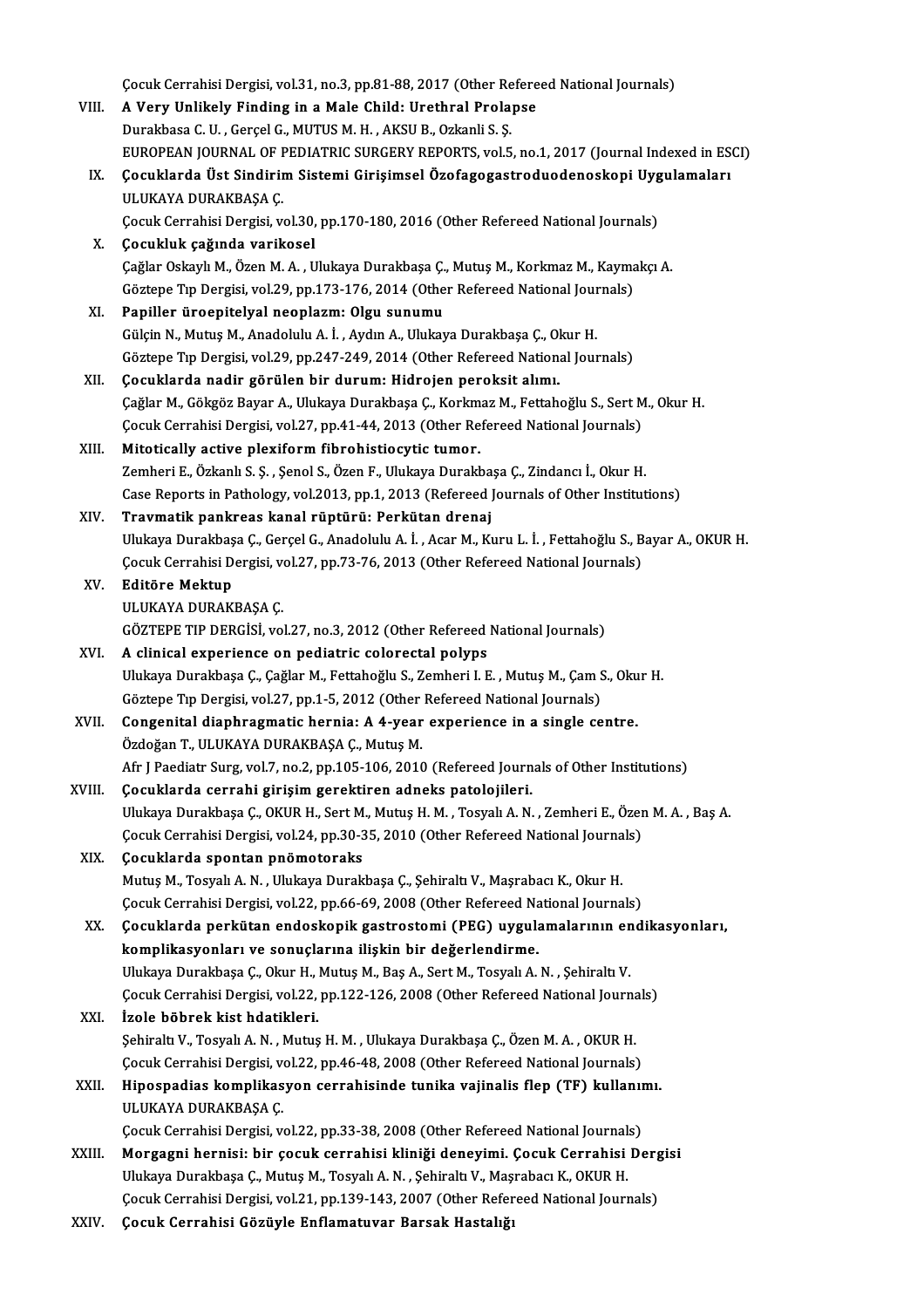Çocuk Cerrahisi Dergisi, vol.31, no.3, pp.81-88, 2017 (Other Refereed National Journals)<br>A Very Unlikely Finding in a Male Child: Unethnal Prolange

|        | Çocuk Cerrahisi Dergisi, vol.31, no.3, pp.81-88, 2017 (Other Refereed National Journals)                                                                                 |
|--------|--------------------------------------------------------------------------------------------------------------------------------------------------------------------------|
| VIII.  | A Very Unlikely Finding in a Male Child: Urethral Prolapse                                                                                                               |
|        | Durakbasa C. U., Gerçel G., MUTUS M. H., AKSU B., Ozkanli S. Ş.                                                                                                          |
|        | EUROPEAN JOURNAL OF PEDIATRIC SURGERY REPORTS, vol.5, no.1, 2017 (Journal Indexed in ESCI)                                                                               |
| IX.    | Çocuklarda Üst Sindirim Sistemi Girişimsel Özofagogastroduodenoskopi Uygulamaları                                                                                        |
|        | ULUKAYA DURAKBAŞA Ç.                                                                                                                                                     |
| Х.     | Çocuk Cerrahisi Dergisi, vol.30, pp.170-180, 2016 (Other Refereed National Journals)<br>Çocukluk çağında varikosel                                                       |
|        | Çağlar Oskaylı M., Özen M. A., Ulukaya Durakbaşa Ç., Mutuş M., Korkmaz M., Kaymakçı A.                                                                                   |
|        | Göztepe Tıp Dergisi, vol.29, pp.173-176, 2014 (Other Refereed National Journals)                                                                                         |
| XI.    | Papiller üroepitelyal neoplazm: Olgu sunumu                                                                                                                              |
|        | Gülçin N., Mutuş M., Anadolulu A. İ., Aydın A., Ulukaya Durakbaşa Ç., Okur H.                                                                                            |
|        | Göztepe Tıp Dergisi, vol.29, pp.247-249, 2014 (Other Refereed National Journals)                                                                                         |
| XII.   | Çocuklarda nadir görülen bir durum: Hidrojen peroksit alımı.                                                                                                             |
|        | Çağlar M., Gökgöz Bayar A., Ulukaya Durakbaşa Ç., Korkmaz M., Fettahoğlu S., Sert M., Okur H.                                                                            |
|        | Çocuk Cerrahisi Dergisi, vol.27, pp.41-44, 2013 (Other Refereed National Journals)                                                                                       |
| XIII.  | Mitotically active plexiform fibrohistiocytic tumor.                                                                                                                     |
|        | Zemheri E., Özkanlı S. Ş., Şenol S., Özen F., Ulukaya Durakbaşa Ç., Zindancı İ., Okur H.                                                                                 |
|        | Case Reports in Pathology, vol.2013, pp.1, 2013 (Refereed Journals of Other Institutions)                                                                                |
| XIV.   | Travmatik pankreas kanal rüptürü: Perkütan drenaj                                                                                                                        |
|        | Ulukaya Durakbaşa Ç., Gerçel G., Anadolulu A. İ. , Acar M., Kuru L. İ. , Fettahoğlu S., Bayar A., OKUR H.                                                                |
|        | Çocuk Cerrahisi Dergisi, vol.27, pp.73-76, 2013 (Other Refereed National Journals)                                                                                       |
| XV.    | Editöre Mektup                                                                                                                                                           |
|        | ULUKAYA DURAKBAŞA Ç                                                                                                                                                      |
|        | GÖZTEPE TIP DERGİSİ, vol.27, no.3, 2012 (Other Refereed National Journals)                                                                                               |
| XVI.   | A clinical experience on pediatric colorectal polyps                                                                                                                     |
|        | Ulukaya Durakbaşa Ç., Çağlar M., Fettahoğlu S., Zemheri I. E., Mutuş M., Çam S., Okur H.<br>Göztepe Tıp Dergisi, vol.27, pp.1-5, 2012 (Other Refereed National Journals) |
| XVII.  | Congenital diaphragmatic hernia: A 4-year experience in a single centre.                                                                                                 |
|        | Özdoğan T., ULUKAYA DURAKBAŞA Ç., Mutuş M.                                                                                                                               |
|        | Afr J Paediatr Surg, vol.7, no.2, pp.105-106, 2010 (Refereed Journals of Other Institutions)                                                                             |
| XVIII. | Çocuklarda cerrahi girişim gerektiren adneks patolojileri.                                                                                                               |
|        | Ulukaya Durakbaşa Ç., OKUR H., Sert M., Mutuş H. M. , Tosyalı A. N. , Zemheri E., Özen M. A. , Baş A.                                                                    |
|        | Çocuk Cerrahisi Dergisi, vol.24, pp.30-35, 2010 (Other Refereed National Journals)                                                                                       |
| XIX.   | Çocuklarda spontan pnömotoraks                                                                                                                                           |
|        | Mutuş M., Tosyalı A. N., Ulukaya Durakbaşa Ç., Şehiraltı V., Maşrabacı K., Okur H.                                                                                       |
|        | Çocuk Cerrahisi Dergisi, vol.22, pp.66-69, 2008 (Other Refereed National Journals)                                                                                       |
| XX.    | Çocuklarda perkütan endoskopik gastrostomi (PEG) uygulamalarının endikasyonları,                                                                                         |
|        | komplikasyonları ve sonuçlarına ilişkin bir değerlendirme.                                                                                                               |
|        | Ulukaya Durakbaşa Ç., Okur H., Mutuş M., Baş A., Sert M., Tosyalı A. N., Şehiraltı V.                                                                                    |
|        | Çocuk Cerrahisi Dergisi, vol.22, pp.122-126, 2008 (Other Refereed National Journals)                                                                                     |
| XXI.   | İzole böbrek kist hdatikleri.                                                                                                                                            |
|        | Şehiraltı V., Tosyalı A. N., Mutuş H. M., Ulukaya Durakbaşa Ç., Özen M. A., OKUR H.                                                                                      |
|        | Çocuk Cerrahisi Dergisi, vol.22, pp.46-48, 2008 (Other Refereed National Journals)                                                                                       |
| XXII.  | Hipospadias komplikasyon cerrahisinde tunika vajinalis flep (TF) kullanımı.                                                                                              |
|        | ULUKAYA DURAKBAŞA Ç.<br>Çocuk Cerrahisi Dergisi, vol.22, pp.33-38, 2008 (Other Refereed National Journals)                                                               |
| XXIII. | Morgagni hernisi: bir çocuk cerrahisi kliniği deneyimi. Çocuk Cerrahisi Dergisi                                                                                          |
|        | Ulukaya Durakbaşa Ç., Mutuş M., Tosyalı A. N., Şehiraltı V., Maşrabacı K., OKUR H.                                                                                       |
|        | Çocuk Cerrahisi Dergisi, vol.21, pp.139-143, 2007 (Other Refereed National Journals)                                                                                     |
| XXIV.  | Çocuk Cerrahisi Gözüyle Enflamatuvar Barsak Hastalığı                                                                                                                    |
|        |                                                                                                                                                                          |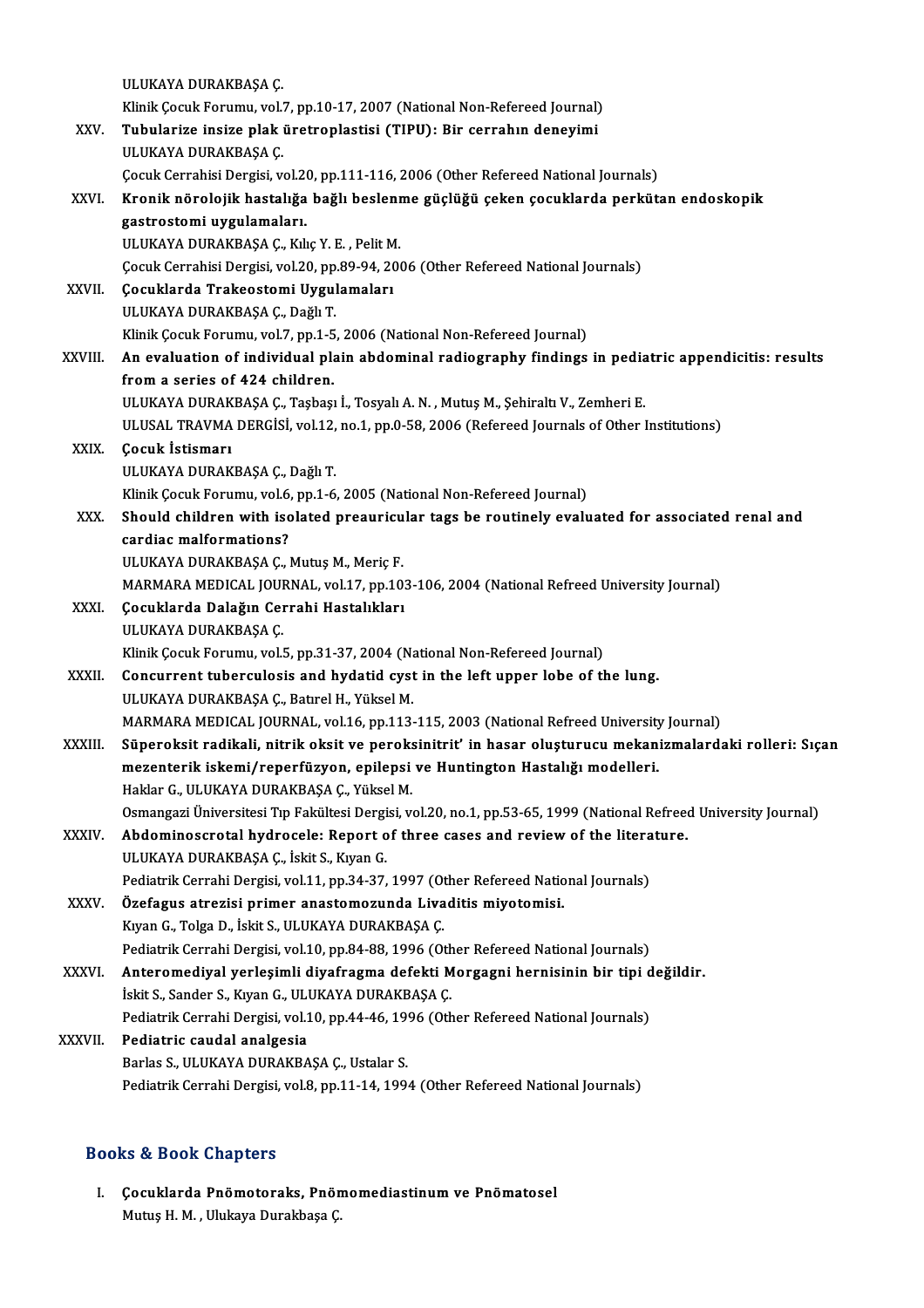|               | ULUKAYA DURAKBAŞA Ç.                                                                                             |
|---------------|------------------------------------------------------------------------------------------------------------------|
|               | Klinik Çocuk Forumu, vol.7, pp.10-17, 2007 (National Non-Refereed Journal)                                       |
| XXV.          | Tubularize insize plak üretroplastisi (TIPU): Bir cerrahın deneyimi                                              |
|               | ULUKAYA DURAKBAŞA Ç.                                                                                             |
|               | Çocuk Cerrahisi Dergisi, vol.20, pp.111-116, 2006 (Other Refereed National Journals)                             |
| XXVI.         | Kronik nörolojik hastalığa bağlı beslenme güçlüğü çeken çocuklarda perkütan endoskopik                           |
|               | gastrostomi uygulamaları.                                                                                        |
|               | ULUKAYA DURAKBAŞA Ç., Kılıç Y. E., Pelit M.                                                                      |
|               | Çocuk Cerrahisi Dergisi, vol.20, pp.89-94, 2006 (Other Refereed National Journals)                               |
| XXVII.        | Çocuklarda Trakeostomi Uygulamaları                                                                              |
|               | ULUKAYA DURAKBAŞA Ç., Dağlı T.                                                                                   |
|               | Klinik Çocuk Forumu, vol.7, pp.1-5, 2006 (National Non-Refereed Journal)                                         |
| XXVIII.       | An evaluation of individual plain abdominal radiography findings in pediatric appendicitis: results              |
|               | from a series of 424 children.                                                                                   |
|               | ULUKAYA DURAKBAŞA Ç., Taşbaşı İ., Tosyalı A. N., Mutuş M., Şehiraltı V., Zemheri E.                              |
|               | ULUSAL TRAVMA DERGISI, vol.12, no.1, pp.0-58, 2006 (Refereed Journals of Other Institutions)                     |
| XXIX.         | Çocuk İstismarı                                                                                                  |
|               | ULUKAYA DURAKBAŞA Ç., Dağlı T.                                                                                   |
|               | Klinik Çocuk Forumu, vol.6, pp.1-6, 2005 (National Non-Refereed Journal)                                         |
| XXX.          | Should children with isolated preauricular tags be routinely evaluated for associated renal and                  |
|               | cardiac malformations?                                                                                           |
|               | ULUKAYA DURAKBAŞA Ç., Mutuş M., Meriç F.                                                                         |
|               | MARMARA MEDICAL JOURNAL, vol.17, pp.103-106, 2004 (National Refreed University Journal)                          |
| <b>XXXI</b>   | Çocuklarda Dalağın Cerrahi Hastalıkları<br>ULUKAYA DURAKBAŞA Ç.                                                  |
|               | Klinik Çocuk Forumu, vol.5, pp.31-37, 2004 (National Non-Refereed Journal)                                       |
| <b>XXXII</b>  | Concurrent tuberculosis and hydatid cyst in the left upper lobe of the lung.                                     |
|               | ULUKAYA DURAKBAŞA Ç., Batırel H., Yüksel M.                                                                      |
|               | MARMARA MEDICAL JOURNAL, vol.16, pp.113-115, 2003 (National Refreed University Journal)                          |
| <b>XXXIII</b> | Süperoksit radikali, nitrik oksit ve peroksinitrit' in hasar oluşturucu mekanizmalardaki rolleri: Sıçan          |
|               | mezenterik iskemi/reperfüzyon, epilepsi ve Huntington Hastalığı modelleri.                                       |
|               | Haklar G., ULUKAYA DURAKBAŞA Ç., Yüksel M.                                                                       |
|               | Osmangazi Üniversitesi Tıp Fakültesi Dergisi, vol.20, no.1, pp.53-65, 1999 (National Refreed University Journal) |
| XXXIV.        | Abdominoscrotal hydrocele: Report of three cases and review of the literature.                                   |
|               | ULUKAYA DURAKBAŞA Ç., İskit S., Kıyan G.                                                                         |
|               | Pediatrik Cerrahi Dergisi, vol.11, pp.34-37, 1997 (Other Refereed National Journals)                             |
| XXXV.         | Özefagus atrezisi primer anastomozunda Livaditis miyotomisi.                                                     |
|               | Kıyan G., Tolga D., İskit S., ULUKAYA DURAKBAŞA Ç.                                                               |
|               | Pediatrik Cerrahi Dergisi, vol.10, pp.84-88, 1996 (Other Refereed National Journals)                             |
| <b>XXXVI</b>  | Anteromediyal yerleşimli diyafragma defekti Morgagni hernisinin bir tipi değildir.                               |
|               | İskit S., Sander S., Kıyan G., ULUKAYA DURAKBAŞA Ç.                                                              |
|               | Pediatrik Cerrahi Dergisi, vol.10, pp.44-46, 1996 (Other Refereed National Journals)                             |
| XXXVII.       | Pediatric caudal analgesia                                                                                       |
|               | Barlas S., ULUKAYA DURAKBAŞA Ç., Ustalar S.                                                                      |
|               | Pediatrik Cerrahi Dergisi, vol.8, pp.11-14, 1994 (Other Refereed National Journals)                              |
|               |                                                                                                                  |

## Books&Book Chapters

I. Çocuklarda Pnömotoraks, Pnömomediastinum ve Pnömatosel Mutuş H. M., Ulukaya Durakbaşa Ç.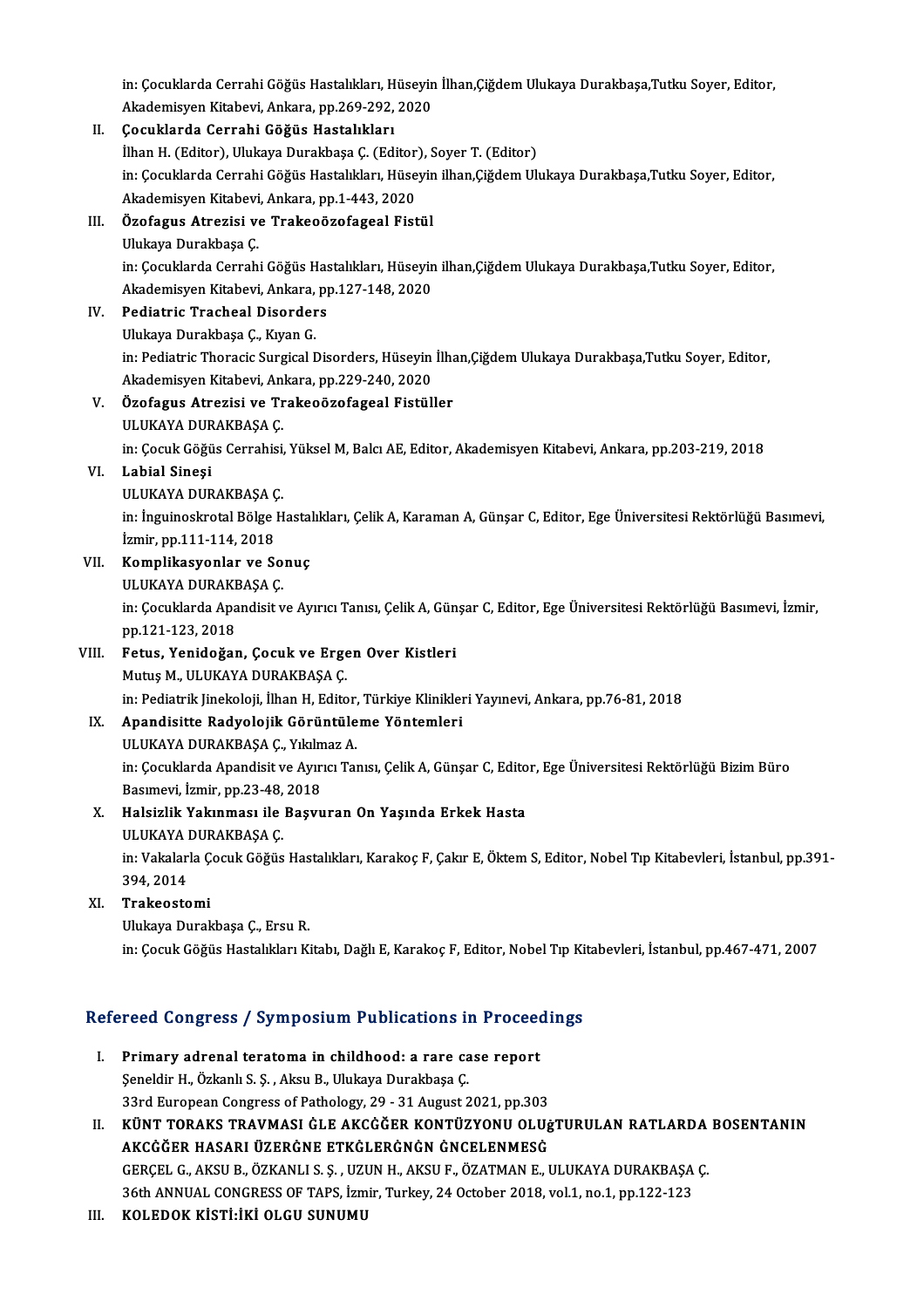in: Çocuklarda Cerrahi Göğüs Hastalıkları, Hüseyin İlhan,Çiğdem Ulukaya Durakbaşa,Tutku Soyer, Editor,<br>Akademisyan Kitabevi, Ankana, np.260,292,2920 in: Çocuklarda Cerrahi Göğüs Hastalıkları, Hüseyin<br>Akademisyen Kitabevi, Ankara, pp.269-292, 2020<br>Cosuklarda Cerrabi Göğüs Hastalıkları

## Akademisyen Kitabevi, Ankara, pp.269-292, 2020<br>II. Cocuklarda Cerrahi Göğüs Hastalıkları Akademisyen Kitabevi, Ankara, pp.269-292, 2020<br>**Çocuklarda Cerrahi Göğüs Hastalıkları**<br>İlhan H. (Editor), Ulukaya Durakbaşa Ç. (Editor), Soyer T. (Editor)<br>in: Cosuklarda Cerrahi Göğüs Hastalıkları, Hüsevin ilhan Göğdem III in: Çocuklarda Cerrahi Göğüs Hastalıkları, Hüseyin ilhan,Çiğdem Ulukaya Durakbaşa,Tutku Soyer, Editor,<br>Akademisyen Kitabevi, Ankara, pp.1-443, 2020 İlhan H. (Editor), Ulukaya Durakbaşa Ç. (Editor)<br>in: Çocuklarda Cerrahi Göğüs Hastalıkları, Hüse<br>Akademisyen Kitabevi, Ankara, pp.1-443, 2020<br>Özofogus Atrorisi ve Trakooörofogoal Eist in: Çocuklarda Cerrahi Göğüs Hastalıkları, Hüseyin<br>Akademisyen Kitabevi, Ankara, pp.1-443, 2020<br>III. Özofagus Atrezisi ve Trakeoözofageal Fistül<br>III. Özofagus Atrezisi ve Trakeoözofageal Fistül Akademisyen Kitabevi<br><mark>Özofagus Atrezisi v</mark><br>Ulukaya Durakbaşa Ç.<br>in:*Cosuklarda Corra*b. Özofagus Atrezisi ve Trakeoözofageal Fistül<br>Ulukaya Durakbaşa Ç.<br>in: Çocuklarda Cerrahi Göğüs Hastalıkları, Hüseyin ilhan,Çiğdem Ulukaya Durakbaşa,Tutku Soyer, Editor,<br>Akademisyen Kitabevi, Ankara, nn 127,148,2020 Ulukaya Durakbaşa Ç.<br>in: Çocuklarda Cerrahi Göğüs Hastalıkları, Hüseyin<br>Akademisyen Kitabevi, Ankara, pp.127-148, 2020<br>Podiatria Trasheal Diserders Akademisyen Kitabevi, Ankara, pp.127-148, 2020

IV. Pediatric Tracheal Disorders in: Pediatric Thoracic Surgical Disorders, Hüseyin İlhan,Çiğdem Ulukaya Durakbaşa,Tutku Soyer, Editor, Ulukaya Durakbaşa Ç., Kıyan G.<br>in: Pediatric Thoracic Surgical Disorders, Hüseyin<br>Akademisyen Kitabevi, Ankara, pp.229-240, 2020<br>Özefegye Atrovisi ve Trakeoözefegeel Fistüll

## V. Özofagus Atrezisi ve Trakeoözofageal Fistüller<br>ULUKAYA DURAKBAŞA Ç. Akademisyen Kitabevi, An<br><mark>Özofagus Atrezisi ve Tr</mark><br>ULUKAYA DURAKBAŞA Ç.<br>in: Cosuk Göğüs Correbisi. Özofagus Atrezisi ve Trakeoözofageal Fistüller<br>ULUKAYA DURAKBAŞA Ç.<br>in: Çocuk Göğüs Cerrahisi, Yüksel M, Balcı AE, Editor, Akademisyen Kitabevi, Ankara, pp.203-219, 2018<br>Labial Sinesi

VI. Labial Sineşi in: Çocuk Göğüs Cerrahisi,<br><mark>Labial Sineşi</mark><br>ULUKAYA DURAKBAŞA Ç.<br>in: İngyineslmatal Bölge H

Labial Sineşi<br>ULUKAYA DURAKBAŞA Ç.<br>in: İnguinoskrotal Bölge Hastalıkları, Çelik A, Karaman A, Günşar C, Editor, Ege Üniversitesi Rektörlüğü Basımevi,<br>İsmin nn 111 114 2019 ULUKAYA DURAKBAŞA Ç<br>in: İnguinoskrotal Bölge l<br>İzmir, pp.111-114, 2018<br>Komnlikasyonlar ve Sa

## İzmir, pp.111-114, 2018<br>VII. Komplikasyonlar ve Sonuç İzmir, pp.111-114, 2018<br>**Komplikasyonlar ve So<br>ULUKAYA DURAKBAŞA Ç.**<br>in: Cosuklarda Apandisit v

in: Çocuklarda Apandisit ve Ayırıcı Tanısı, Çelik A, Günşar C, Editor, Ege Üniversitesi Rektörlüğü Basımevi, İzmir,<br>pp.121-123, 2018 ULUKAYA DURAKE<br>in: Çocuklarda Apa<br>pp.121-123, 2018<br>Estus, Vanidağar in: Çocuklarda Apandisit ve Ayırıcı Tanısı, Çelik A, Gün<br>pp.121-123, 2018<br>VIII. Fetus, Yenidoğan, Çocuk ve Ergen Over Kistleri<br>Mutus M, HI HKAYA DHRAKRASA C

# pp.121-123, 2018<br>Fetus, Yenidoğan, Çocuk ve Erge<br>Mutuş M., ULUKAYA DURAKBAŞA Ç.<br>in: Pediatrik linekeleji, İlban H. Edite

Mutuş M., ULUKAYA DURAKBAŞA Ç.<br>in: Pediatrik Jinekoloji, İlhan H, Editor, Türkiye Klinikleri Yayınevi, Ankara, pp.76-81, 2018

# Mutuş M., ULUKAYA DURAKBAŞA Ç.<br>in: Pediatrik Jinekoloji, İlhan H, Editor, Türkiye Klinikler<br>IX. Apandisitte Radyolojik Görüntüleme Yöntemleri<br>III IIKAYA DURAKRASA G. Yılılmaz A

in: Pediatrik Jinekoloji, İlhan H, Editor,<br><mark>Apandisitte Radyolojik Görüntüle</mark><br>ULUKAYA DURAKBAŞA Ç., Yıkılmaz A.<br>in: Cosuklarda Apandisit ve Ayuya Ta ULUKAYA DURAKBAŞA Ç., Yıkılmaz A.

in: Çocuklarda Apandisit ve Ayırıcı Tanısı, Çelik A, Günşar C, Editor, Ege Üniversitesi Rektörlüğü Bizim Büro<br>Basımevi, İzmir, pp.23-48, 2018 in: Çocuklarda Apandisit ve Ayırıcı Tanısı, Çelik A, Günşar C, Edito<br>Basımevi, İzmir, pp.23-48, 2018<br>X. Halsizlik Yakınması ile Başvuran On Yaşında Erkek Hasta<br>III UKAYA DURAKRASA C

# Basımevi, İzmir, pp.23-48,<br>Halsizlik Yakınması ile<br>ULUKAYA DURAKBAŞA Ç.<br>in: Vakalarla Çesuk Çöğüs

Halsizlik Yakınması ile Başvuran On Yaşında Erkek Hasta<br>ULUKAYA DURAKBAŞA Ç.<br>in: Vakalarla Çocuk Göğüs Hastalıkları, Karakoç F, Çakır E, Öktem S, Editor, Nobel Tıp Kitabevleri, İstanbul, pp.391-<br>204. 2014 ULUKAYA I<br>in: Vakalari<br>394, 2014<br>Trakaasta

## 394, 2014<br>XI. Trakeostomi

Ulukaya Durakbaşa Ç., Ersu R.

in: Çocuk Göğüs Hastalıkları Kitabı, Dağlı E, Karakoç F, Editor, Nobel Tıp Kitabevleri, İstanbul, pp.467-471, 2007

# m: Cocuk Gogus Hastalikiari Kitabi, Dagli E, Karakoç F, Editor, Nobel Tip Ki<br>Refereed Congress / Symposium Publications in Proceedings

- efereed Congress / Symposium Publications in Proceed<br>I. Primary adrenal teratoma in childhood: a rare case report<br>Senaldin H. Örkanlı S. S. Akay B. Ulukaya Durakbasa C. Primary adrenal teratoma in childhood: a rare ca<br>Şeneldir H., Özkanlı S. Ş., Aksu B., Ulukaya Durakbaşa Ç.<br>22nd European Congress of Bathologu, 20, 21 August 2 Primary adrenal teratoma in childhood: a rare case report<br>Şeneldir H., Özkanlı S. Ş. , Aksu B., Ulukaya Durakbaşa Ç.<br>33rd European Congress of Pathology, 29 - 31 August 2021, pp.303<br>KÜNT TORAKS TRAVMASL ÇLE AKÇÇĞER KONTÜZY Seneldir H., Özkanlı S. Ş. , Aksu B., Ulukaya Durakbaşa Ç.<br>33rd European Congress of Pathology, 29 - 31 August 2021, pp.303<br>II. KÜNT TORAKS TRAVMASI ĠLE AKCĠĞER KONTÜZYONU OLUġTURULAN RATLARDA BOSENTANIN
- AKCĠĞER HASARI ÜZERĠNE ETKĠLERĠNĠN ĠNCELENMESĠ KÜNT TORAKS TRAVMASI GLE AKCGĞER KONTÜZYONU OLUġTURULAN RATLARDA<br>AKCGĞER HASARI ÜZERGNE ETKGLERGNGN GNCELENMESG<br>GERÇEL G., AKSU B., ÖZKANLI S. Ş. , UZUN H., AKSU F., ÖZATMAN E., ULUKAYA DURAKBAŞA Ç.<br>26th ANNUAL CONCRESS OF AKCĞĞER HASARI ÜZERĞNE ETKĞLERĞNĞN GNCELENMESG<br>GERÇEL G., AKSU B., ÖZKANLI S. Ş. , UZUN H., AKSU F., ÖZATMAN E., ULUKAYA DURAKBAŞA<br>36th ANNUAL CONGRESS OF TAPS, İzmir, Turkey, 24 October 2018, vol.1, no.1, pp.122-123<br>KOLED

36th ANNUAL CONGRESS OF TAPS, İzmir, Turkey, 24 October 2018, vol.1, no.1, pp.122-123<br>III. KOLEDOK KİSTİ:İKİ OLGU SUNUMU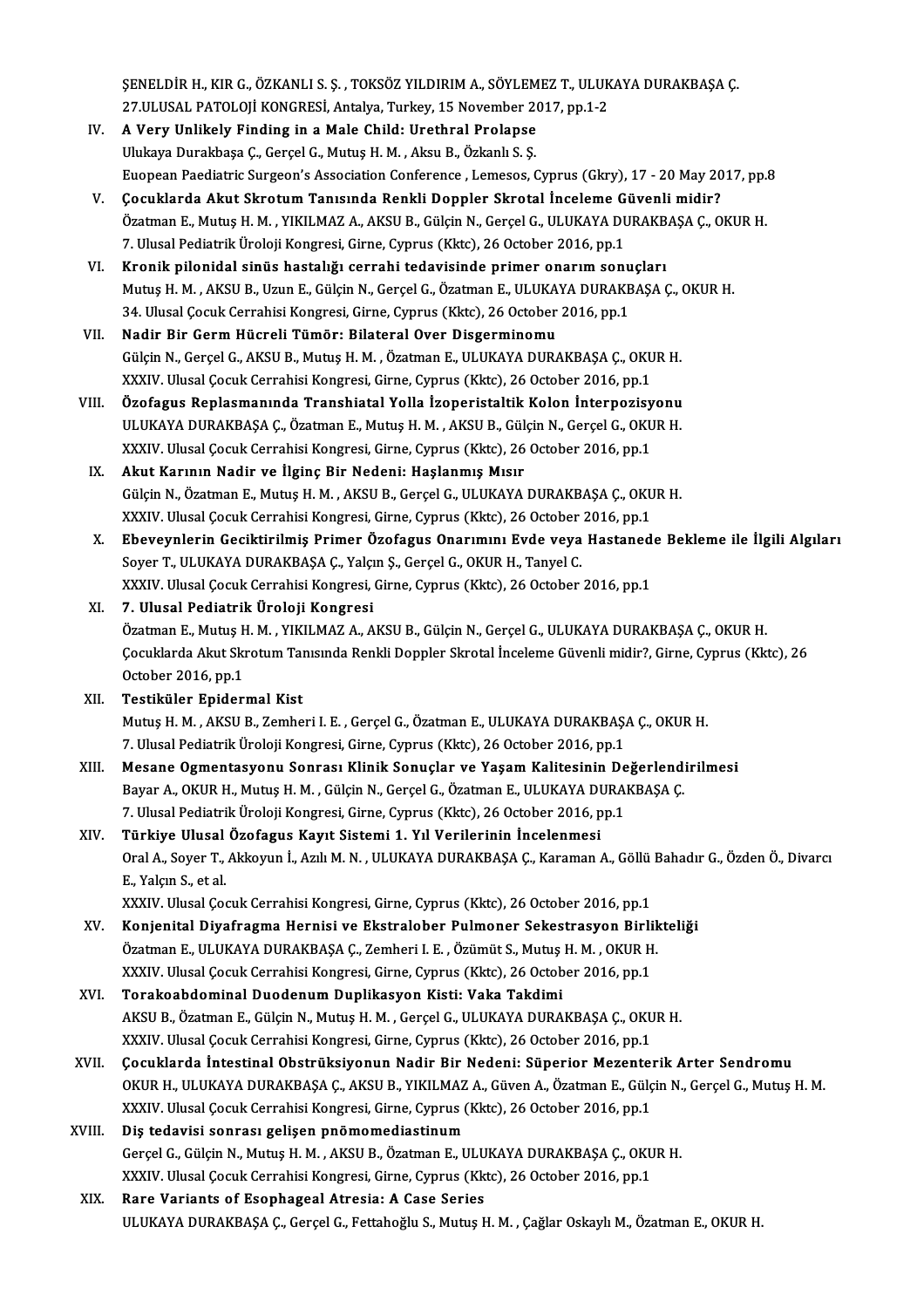ŞENELDİR H., KIR G., ÖZKANLI S. Ş. , TOKSÖZ YILDIRIM A., SÖYLEMEZ T., ULUKAYA DURAKBAŞA Ç.<br>27 H HSAL RATOLOH KONGRESİ, Artakya Turkayı 15 November 2017, pp.1-2 ŞENELDİR H., KIR G., ÖZKANLI S. Ş. , TOKSÖZ YILDIRIM A., SÖYLEMEZ T., ULUK<br>27.ULUSAL PATOLOJİ KONGRESİ, Antalya, Turkey, 15 November 2017, pp.1-2<br>A Very Unlikely Finding in a Male Child; Unethral Prolange 27.ULUSAL PATOLOJİ KONGRESİ, Antalya, Turkey, 15 November 2017, pp.1-2

- IV. A Very Unlikely Finding in a Male Child: Urethral Prolapse<br>Ulukaya Durakbaşa Ç., Gerçel G., Mutuş H. M., Aksu B., Özkanlı S. Ş. Euopean Paediatric Surgeon's Association Conference , Lemesos, Cyprus (Gkry), 17 - 20 May 2017, pp.8
- V. Çocuklarda Akut Skrotum Tanısında Renkli Doppler Skrotal İnceleme Güvenli midir? Euopean Paediatric Surgeon's Association Conference , Lemesos, Cyprus (Gkry), 17 - 20 May 2017, pp.<br>**Çocuklarda Akut Skrotum Tanısında Renkli Doppler Skrotal İnceleme Güvenli midir?**<br>Özatman E., Mutuş H. M. , YIKILMAZ A., Cocuklarda Akut Skrotum Tanısında Renkli Doppler Skrotal İnceleme G<br>Özatman E., Mutuş H. M. , YIKILMAZ A., AKSU B., Gülçin N., Gerçel G., ULUKAYA DL<br>7. Ulusal Pediatrik Üroloji Kongresi, Girne, Cyprus (Kktc), 26 October 20 7. Ulusal Pediatrik Üroloji Kongresi, Girne, Cyprus (Kktc), 26 October 2016, pp.1<br>VI. Kronik pilonidal sinüs hastalığı cerrahi tedavisinde primer onarım sonuçları
- 7. Ulusal Pediatrik Üroloji Kongresi, Girne, Cyprus (Kktc), 26 October 2016, pp.1<br>Kronik pilonidal sinüs hastalığı cerrahi tedavisinde primer onarım sonuçları<br>Mutuş H. M. , AKSU B., Uzun E., Gülçin N., Gerçel G., Özatman E Kronik pilonidal sinüs hastalığı cerrahi tedavisinde primer onarım sonu<br>Mutuş H. M. , AKSU B., Uzun E., Gülçin N., Gerçel G., Özatman E., ULUKAYA DURAKE<br>34. Ulusal Çocuk Cerrahisi Kongresi, Girne, Cyprus (Kktc), 26 October 34. Ulusal Çocuk Cerrahisi Kongresi, Girne, Cyprus (Kktc), 26 October 2016, pp.1 VII. Nadir Bir Germ Hücreli Tümör: Bilateral Over Disgerminomu
- Gülçin N., Gerçel G., AKSU B., Mutuş H. M., Özatman E., ULUKAYA DURAKBAŞA Ç., OKUR H. XXXIV. Ulusal Çocuk Cerrahisi Kongresi, Girne, Cyprus (Kktc), 26 October 2016, pp.1
- VIII. Özofagus Replasmanında Transhiatal Yolla İzoperistaltik Kolon İnterpozisyonu XXXIV. Ulusal Çocuk Cerrahisi Kongresi, Girne, Cyprus (Kktc), 26 October 2016, pp.1<br><mark>Özofagus Replasmanında Transhiatal Yolla İzoperistaltik Kolon İnterpozisyonu</mark><br>ULUKAYA DURAKBAŞA Ç., Özatman E., Mutuş H. M. , AKSU B., Gü Özofagus Replasmanında Transhiatal Yolla İzoperistaltik Kolon İnterpozisy<br>ULUKAYA DURAKBAŞA Ç., Özatman E., Mutuş H. M. , AKSU B., Gülçin N., Gerçel G., OKU<br>XXXIV. Ulusal Çocuk Cerrahisi Kongresi, Girne, Cyprus (Kktc), 26 ULUKAYA DURAKBAŞA Ç., Özatman E., Mutuş H. M., AKSU B., Gül<br>XXXIV. Ulusal Çocuk Cerrahisi Kongresi, Girne, Cyprus (Kktc), 26<br>IX. Akut Karının Nadir ve İlginç Bir Nedeni: Haşlanmış Mısır
	- XXXIV. Ulusal Çocuk Cerrahisi Kongresi, Girne, Cyprus (Kktc), 26 October 2016, pp.1<br>IX. Akut Karının Nadir ve İlginç Bir Nedeni: Haşlanmış Mısır<br>Gülçin N., Özatman E., Mutuş H. M. , AKSU B., Gerçel G., ULUKAYA DURAKBAŞ Akut Karının Nadir ve İlginç Bir Nedeni: Haşlanmış Mısır<br>Gülçin N., Özatman E., Mutuş H. M. , AKSU B., Gerçel G., ULUKAYA DURAKBAŞA Ç., OKU<br>XXXIV. Ulusal Çocuk Cerrahisi Kongresi, Girne, Cyprus (Kktc), 26 October 2016, pp.
	- X. Ebeveynlerin Geciktirilmiş Primer Özofagus Onarımını Evde veya Hastanede Bekleme ile İlgili Algıları XXXIV. Ulusal Çocuk Cerrahisi Kongresi, Girne, Cyprus (Kktc), 26 October<br><mark>Ebeveynlerin Geciktirilmiş Primer Özofagus Onarımını Evde veya</mark><br>Soyer T., ULUKAYA DURAKBAŞA Ç., Yalçın Ş., Gerçel G., OKUR H., Tanyel C.<br>YYYIV. Ulus XXXIV. Ulusal Çocuk Cerrahisi Kongresi, Girne, Cyprus (Kktc), 26 October 2016, pp.1

## XI. 7. Ulusal Pediatrik Üroloji Kongresi XXXIV. Ulusal Çocuk Cerrahisi Kongresi, Girne, Cyprus (Kktc), 26 October 2016, pp.1<br>7. Ulusal Pediatrik Üroloji Kongresi<br>Özatman E., Mutuş H. M. , YIKILMAZ A., AKSU B., Gülçin N., Gerçel G., ULUKAYA DURAKBAŞA Ç., OKUR H.<br>C 7. Ulusal Pediatrik Üroloji Kongresi<br>Özatman E., Mutuş H. M. , YIKILMAZ A., AKSU B., Gülçin N., Gerçel G., ULUKAYA DURAKBAŞA Ç., OKUR H.<br>Çocuklarda Akut Skrotum Tanısında Renkli Doppler Skrotal İnceleme Güvenli midir?, Gir Özatman E., Mutuş H<br>Çocuklarda Akut Skı<br>October 2016, pp.1<br>Testiküler Enider Çocuklarda Akut Skrotum Tanısında Renkli Doppler Skrotal İnceleme Güvenli midir?, Girne, Cyprus (Kktc), 26<br>October 2016, pp.1<br>XII. Testiküler Epidermal Kist

## October 2016, pp.1<br>Testiküler Epidermal Kist<br>Mutuş H. M. , AKSU B., Zemheri I. E. , Gerçel G., Özatman E., ULUKAYA DURAKBAŞA Ç., OKUR H.<br>7. Ulusel Pedistrik Üreleji Kongresi, Girne, Girniya (Klts), 26 Osteber 2016, np.1. Testiküler Epidermal Kist<br>Mutuş H. M. , AKSU B., Zemheri I. E. , Gerçel G., Özatman E., ULUKAYA DURAKBAŞ.<br>7. Ulusal Pediatrik Üroloji Kongresi, Girne, Cyprus (Kktc), 26 October 2016, pp.1<br>Mesane Osmantasyonu Sannası Klinik Mutuş H. M. , AKSU B., Zemheri I. E. , Gerçel G., Özatman E., ULUKAYA DURAKBAŞA Ç., OKUR H.<br>7. Ulusal Pediatrik Üroloji Kongresi, Girne, Cyprus (Kktc), 26 October 2016, pp.1<br>XIII. Mesane Ogmentasyonu Sonrası Klinik Sonuçla

- 7. Ulusal Pediatrik Üroloji Kongresi, Girne, Cyprus (Kktc), 26 October 2016, pp.1<br>Mesane Ogmentasyonu Sonrası Klinik Sonuçlar ve Yaşam Kalitesinin Değerlendi<br>Bayar A., OKUR H., Mutuş H. M. , Gülçin N., Gerçel G., Özatman E Mesane Ogmentasyonu Sonrası Klinik Sonuçlar ve Yaşam Kalitesinin De<br>Bayar A., OKUR H., Mutuş H. M. , Gülçin N., Gerçel G., Özatman E., ULUKAYA DURA!<br>7. Ulusal Pediatrik Üroloji Kongresi, Girne, Cyprus (Kktc), 26 October 20 Bayar A., OKUR H., Mutuş H. M. , Gülçin N., Gerçel G., Özatman E., ULUKAYA D.<br>7. Ulusal Pediatrik Üroloji Kongresi, Girne, Cyprus (Kktc), 26 October 2016, p<br>XIV. Türkiye Ulusal Özofagus Kayıt Sistemi 1. Yıl Verilerinin
- 7. Ulusal Pediatrik Üroloji Kongresi, Girne, Cyprus (Kktc), 26 October 2016, pp.1<br><mark>Türkiye Ulusal Özofagus Kayıt Sistemi 1. Yıl Verilerinin İncelenmesi</mark><br>Oral A., Soyer T., Akkoyun İ., Azılı M. N. , ULUKAYA DURAKBAŞA Ç., Ka Türkiye Ulusal<br>Oral A., Soyer T.,<br>E., Yalçın S., et al.<br>YYYIV. Ulusal Co Oral A., Soyer T., Akkoyun İ., Azılı M. N. , ULUKAYA DURAKBAŞA Ç., Karaman A., Göllü<br>E., Yalçın S., et al.<br>XXXIV. Ulusal Çocuk Cerrahisi Kongresi, Girne, Cyprus (Kktc), 26 October 2016, pp.1<br>Konienital Divafragma Hernisi v E., Yalçın S., et al.<br>XXXIV. Ulusal Çocuk Cerrahisi Kongresi, Girne, Cyprus (Kktc), 26 October 2016, pp.1<br>XV. Konjenital Diyafragma Hernisi ve Ekstralober Pulmoner Sekestrasyon Birlikteliği
- XXXIV. Ulusal Çocuk Cerrahisi Kongresi, Girne, Cyprus (Kktc), 26 October 2016, pp.1<br>Konjenital Diyafragma Hernisi ve Ekstralober Pulmoner Sekestrasyon Birlik<br>Özatman E., ULUKAYA DURAKBAŞA Ç., Zemheri I. E. , Özümüt S., Mut Konjenital Diyafragma Hernisi ve Ekstralober Pulmoner Sekestrasyon Birli<br>Özatman E., ULUKAYA DURAKBAŞA Ç., Zemheri I. E. , Özümüt S., Mutuş H. M. , OKUR H<br>XXXIV. Ulusal Çocuk Cerrahisi Kongresi, Girne, Cyprus (Kktc), 26 Oc Özatman E., ULUKAYA DURAKBAŞA Ç., Zemheri I. E. , Özümüt S., Mutuş H. M. , OKUR H.<br>XXXIV. Ulusal Çocuk Cerrahisi Kongresi, Girne, Cyprus (Kktc), 26 October 2016, pp.1<br>XVI. Torakoabdominal Duodenum Duplikasyon Kisti: Va
- XXXIV. Ulusal Çocuk Cerrahisi Kongresi, Girne, Cyprus (Kktc), 26 October 2016, pp.1<br>**Torakoabdominal Duodenum Duplikasyon Kisti: Vaka Takdimi**<br>AKSU B., Özatman E., Gülçin N., Mutuş H. M. , Gerçel G., ULUKAYA DURAKBAŞA Ç., Torakoabdominal Duodenum Duplikasyon Kisti: Vaka Takdimi<br>AKSU B., Özatman E., Gülçin N., Mutuş H. M. , Gerçel G., ULUKAYA DURAKBAŞA Ç., OKU<br>XXXIV. Ulusal Çocuk Cerrahisi Kongresi, Girne, Cyprus (Kktc), 26 October 2016, pp. AKSU B., Özatman E., Gülçin N., Mutuş H. M. , Gerçel G., ULUKAYA DURAKBAŞA Ç., OKUR H.<br>XXXIV. Ulusal Çocuk Cerrahisi Kongresi, Girne, Cyprus (Kktc), 26 October 2016, pp.1<br>XVII. Cocuklarda İntestinal Obstrüksiyonun Nadir Bi
- XXXIV. Ulusal Çocuk Cerrahisi Kongresi, Girne, Cyprus (Kktc), 26 October 2016, pp.1<br>Cocuklarda İntestinal Obstrüksiyonun Nadir Bir Nedeni: Süperior Mezenterik Arter Sendromu<br>OKUR H., ULUKAYA DURAKBAŞA Ç., AKSU B., YIKILMAZ Çocuklarda İntestinal Obstrüksiyonun Nadir Bir Nedeni: Süperior Mezentel<br>OKUR H., ULUKAYA DURAKBAŞA Ç., AKSU B., YIKILMAZ A., Güven A., Özatman E., Gülç<br>XXXIV. Ulusal Çocuk Cerrahisi Kongresi, Girne, Cyprus (Kktc), 26 Octo

## XVIII. Diş tedavisi sonrası gelişen pnömomediastinum XXXIV. Ulusal Çocuk Cerrahisi Kongresi, Girne, Cyprus (Kktc), 26 October 2016, pp.1<br>Diş tedavisi sonrası gelişen pnömomediastinum<br>Gerçel G., Gülçin N., Mutuş H. M. , AKSU B., Özatman E., ULUKAYA DURAKBAŞA Ç., OKUR H.<br>YYYIV Diş tedavisi sonrası gelişen pnömomediastinum<br>Gerçel G., Gülçin N., Mutuş H. M. , AKSU B., Özatman E., ULUKAYA DURAKBAŞA Ç., OKU<br>XXXIV. Ulusal Çocuk Cerrahisi Kongresi, Girne, Cyprus (Kktc), 26 October 2016, pp.1<br>Para Vari Gerçel G., Gülçin N., Mutuş H. M. , AKSU B., Özatman E., ULU<br>XXXIV. Ulusal Çocuk Cerrahisi Kongresi, Girne, Cyprus (Kk<br>XIX. Rare Variants of Esophageal Atresia: A Case Series<br>III UKAYA DURAKRASA G. Garsel G. Fettaboğlu

XXXIV. Ulusal Çocuk Cerrahisi Kongresi, Girne, Cyprus (Kktc), 26 October 2016, pp.1<br>Rare Variants of Esophageal Atresia: A Case Series<br>ULUKAYA DURAKBAŞA Ç., Gerçel G., Fettahoğlu S., Mutuş H. M. , Çağlar Oskaylı M., Özatma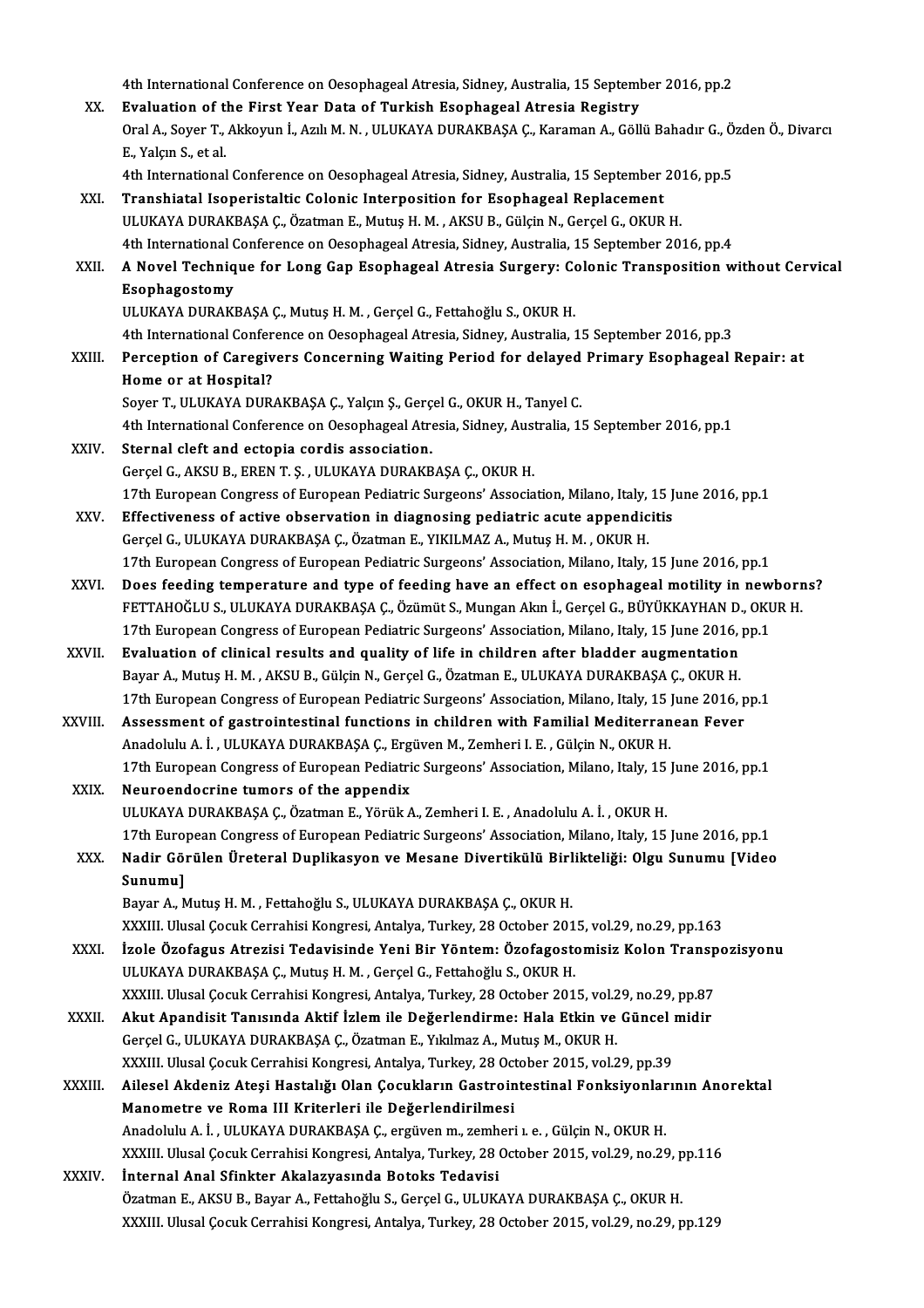4th International Conference on Oesophageal Atresia, Sidney, Australia, 15 September 2016, pp.2<br>Evaluation of the Finst Veer Data of Turkich Feenhageal Atresia Pegistru 4th International Conference on Oesophageal Atresia, Sidney, Australia, 15 Septeml<br>XX. Evaluation of the First Year Data of Turkish Esophageal Atresia Registry<br>Oral A. Sover T. Aldreuun LATUM N. ULUKANA DURAKRASA G. Karama 4th International Conference on Oesophageal Atresia, Sidney, Australia, 15 September 2016, pp.2<br><mark>Evaluation of the First Year Data of Turkish Esophageal Atresia Registry</mark><br>Oral A., Soyer T., Akkoyun İ., Azılı M. N. , ULUKAY Evaluation of t<br>Oral A., Soyer T.,<br>E., Yalçın S., et al.<br>4th International Oral A., Soyer T., Akkoyun İ., Azılı M. N. , ULUKAYA DURAKBAŞA Ç., Karaman A., Göllü Bahadır G., Ö.<br>E., Yalçın S., et al.<br>4th International Conference on Oesophageal Atresia, Sidney, Australia, 15 September 2016, pp.5<br>Tran E., Yalçın S., et al.<br>4th International Conference on Oesophageal Atresia, Sidney, Australia, 15 September 2016, pp.5<br>XXI. Transhiatal Isoperistaltic Colonic Interposition for Esophageal Replacement ULUKAYA DURAKBAŞA Ç., Özatman E., Mutuş H. M., AKSU B., Gülçin N., Gerçel G., OKUR H. 4th International Conference on Oesophageal Atresia, Sidney, Australia, 15 September 2016, pp.4 ULUKAYA DURAKBAŞA Ç., Özatman E., Mutuş H. M. , AKSU B., Gülçin N., Gerçel G., OKUR H.<br>4th International Conference on Oesophageal Atresia, Sidney, Australia, 15 September 2016, pp.4<br>XXII. A Novel Technique for Long Ga 4th International <mark>(</mark><br>A Novel Techniq<br>Esophagostomy<br><sup>III IIVAVA NIBAVI</sub></sup> A Novel Technique for Long Gap Esophageal Atresia Surgery: Contraptions<br>Esophagostomy<br>ULUKAYA DURAKBAŞA Ç., Mutuş H. M. , Gerçel G., Fettahoğlu S., OKUR H.<br>4th International Conference en Ossenbageal Atresia Sidney, Austra Esophagostomy<br>ULUKAYA DURAKBAŞA Ç., Mutuş H. M. , Gerçel G., Fettahoğlu S., OKUR H.<br>4th International Conference on Oesophageal Atresia, Sidney, Australia, 15 September 2016, pp.3 ULUKAYA DURAKBAŞA Ç., Mutuş H. M. , Gerçel G., Fettahoğlu S., OKUR H.<br>4th International Conference on Oesophageal Atresia, Sidney, Australia, 15 September 2016, pp.3<br>XXIII. Perception of Caregivers Concerning Waiting P 4th International Confer<br>Perception of Caregiv<br>Home or at Hospital?<br>Sever T. ULUYAYA DUP Perception of Caregivers Concerning Waiting Period for delayed<br>Home or at Hospital?<br>Soyer T., ULUKAYA DURAKBAŞA Ç., Yalçın Ş., Gerçel G., OKUR H., Tanyel C.<br>4th International Conference on Ossenbassel Arresia Sidney, Austr Home or at Hospital?<br>Soyer T., ULUKAYA DURAKBAŞA Ç., Yalçın Ş., Gerçel G., OKUR H., Tanyel C.<br>4th International Conference on Oesophageal Atresia, Sidney, Australia, 15 September 2016, pp.1<br>Sternal eleft and estenia eerdis Soyer T., ULUKAYA DURAKBAŞA Ç., Yalçın Ş., Gerç<br>4th International Conference on Oesophageal Atre<br>XXIV. Sternal cleft and ectopia cordis association. 4th International Conference on Oesophageal Atresia, Sidney, Aust<br>Sternal cleft and ectopia cordis association.<br>Gerçel G., AKSU B., EREN T. S. , ULUKAYA DURAKBAŞA Ç., OKUR H.<br>17th European Congrees of European Pediatric Su Sternal cleft and ectopia cordis association.<br>Gerçel G., AKSU B., EREN T. S. , ULUKAYA DURAKBAŞA Ç., OKUR H.<br>17th European Congress of European Pediatric Surgeons' Association, Milano, Italy, 15 June 2016, pp.1<br>Effectivene Gerçel G., AKSU B., EREN T. Ş. , ULUKAYA DURAKBAŞA Ç., OKUR H.<br>17th European Congress of European Pediatric Surgeons' Association, Milano, Italy, 15 J<br>XXV. Effectiveness of active observation in diagnosing pediatric acute 17th European Congress of European Pediatric Surgeons' Association, Milano, Italy,<br>Effectiveness of active observation in diagnosing pediatric acute appendic<br>Gerçel G., ULUKAYA DURAKBAŞA Ç., Özatman E., YIKILMAZ A., Mutuş 17th European Congress of European Pediatric Surgeons' Association, Milano, Italy, 15 June 2016, pp.1 Gerçel G., ULUKAYA DURAKBAŞA Ç., Özatman E., YIKILMAZ A., Mutuş H. M. , OKUR H.<br>17th European Congress of European Pediatric Surgeons' Association, Milano, Italy, 15 June 2016, pp.1<br>XXVI. Does feeding temperature and type 17th European Congress of European Pediatric Surgeons' Association, Milano, Italy, 15 June 2016, pp.1<br>Does feeding temperature and type of feeding have an effect on esophageal motility in newborr<br>FETTAHOĞLU S., ULUKAYA DUR Does feeding temperature and type of feeding have an effect on esophageal motility in new<br>FETTAHOĞLU S., ULUKAYA DURAKBAŞA Ç., Özümüt S., Mungan Akın İ., Gerçel G., BÜYÜKKAYHAN D., OKU<br>17th European Congress of European Pe FETTAHOĞLU S., ULUKAYA DURAKBAŞA Ç., Özümüt S., Mungan Akın İ., Gerçel G., BÜYÜKKAYHAN D.<br>17th European Congress of European Pediatric Surgeons' Association, Milano, Italy, 15 June 2016,<br>XXVII. Evaluation of clinical resul 17th European Congress of European Pediatric Surgeons' Association, Milano, Italy, 15 June 2016,<br>**Evaluation of clinical results and quality of life in children after bladder augmentation**<br>Bayar A., Mutuş H. M. , AKSU B., Evaluation of clinical results and quality of life in children after bladder augmentation<br>Bayar A., Mutuş H. M. , AKSU B., Gülçin N., Gerçel G., Özatman E., ULUKAYA DURAKBAŞA Ç., OKUR H.<br>17th European Congress of European Bayar A., Mutuş H. M., AKSU B., Gülçin N., Gerçel G., Özatman E., ULUKAYA DURAKBAŞA Ç., OKUR H.<br>17th European Congress of European Pediatric Surgeons' Association, Milano, Italy, 15 June 2016, p<br>XXVIII. Assessment of gastr 17th European Congress of European Pediatric Surgeons' Association, Milano, Italy, 15 ]<br>Assessment of gastrointestinal functions in children with Familial Mediterran<br>Anadolulu A. İ. , ULUKAYA DURAKBAŞA Ç., Ergüven M., Zemh Assessment of gastrointestinal functions in children with Familial Mediterranean Fever<br>Anadolulu A. İ. , ULUKAYA DURAKBAŞA Ç., Ergüven M., Zemheri I. E. , Gülçin N., OKUR H.<br>17th European Congress of European Pediatric Sur Anadolulu A. İ. , ULUKAYA DURAKBAŞA Ç., Ergüven M., Zemheri I. E. , Gülçin N., OKUR H.<br>17th European Congress of European Pediatric Surgeons' Association, Milano, Italy, 15 June 2016, pp.1<br>XXIX. Neuroendocrine tumors of th ULUKAYA DURAKBAŞA Ç., Özatman E., Yörük A., Zemheri I. E., Anadolulu A. İ., OKUR H. 17th European Congress of European Pediatric Surgeons' Association, Milano, Italy, 15 June 2016, pp.1 ULUKAYA DURAKBAŞA Ç., Özatman E., Yörük A., Zemheri I. E. , Anadolulu A. İ. , OKUR H.<br>17th European Congress of European Pediatric Surgeons' Association, Milano, Italy, 15 June 2016, pp.1<br>XXX. Nadir Görülen Üreteral Du 17th Euro<br>Nadir Göl<br>Sunumu]<br>Boyar A. A Nadir Görülen Üreteral Duplikasyon ve Mesane Divertikülü Birl<br>Sunumu]<br>Bayar A., Mutuş H. M. , Fettahoğlu S., ULUKAYA DURAKBAŞA Ç., OKUR H.<br>YYYIII Ulusal Cosuk Carrabisi Kansresi Antalya Turkay 28 Ostabar 201 Sunumu]<br>Bayar A., Mutuş H. M. , Fettahoğlu S., ULUKAYA DURAKBAŞA Ç., OKUR H.<br>XXXIII. Ulusal Çocuk Cerrahisi Kongresi, Antalya, Turkey, 28 October 2015, vol.29, no.29, pp.163<br>İrola Örefegus Atregisi Tedevisinde Yeni Bir Yön Bayar A., Mutuş H. M. , Fettahoğlu S., ULUKAYA DURAKBAŞA Ç., OKUR H.<br>XXXIII. Ulusal Çocuk Cerrahisi Kongresi, Antalya, Turkey, 28 October 2015, vol.29, no.29, pp.163<br>XXXI. İzole Özofagus Atrezisi Tedavisinde Yeni Bir Yönte XXXIII. Ulusal Çocuk Cerrahisi Kongresi, Antalya, Turkey, 28 October 201<br><mark>İzole Özofagus Atrezisi Tedavisinde Yeni Bir Yöntem: Özofagost</mark><br>ULUKAYA DURAKBAŞA Ç., Mutuş H. M. , Gerçel G., Fettahoğlu S., OKUR H.<br>YYYIII. Ulusal İzole Özofagus Atrezisi Tedavisinde Yeni Bir Yöntem: Özofagostomisiz Kolon Transp<br>ULUKAYA DURAKBAŞA Ç., Mutuş H. M. , Gerçel G., Fettahoğlu S., OKUR H.<br>XXXIII. Ulusal Çocuk Cerrahisi Kongresi, Antalya, Turkey, 28 October 2 ULUKAYA DURAKBAŞA Ç., Mutuş H. M. , Gerçel G., Fettahoğlu S., OKUR H.<br>XXXIII. Ulusal Çocuk Cerrahisi Kongresi, Antalya, Turkey, 28 October 2015, vol.29, no.29, pp.87<br>XXXII. Akut Apandisit Tanısında Aktif İzlem ile Değerlen XXXIII. Ulusal Çocuk Cerrahisi Kongresi, Antalya, Turkey, 28 October 2015, vol.2<br><mark>Akut Apandisit Tanısında Aktif İzlem ile Değerlendirme: Hala Etkin ve</mark><br>Gerçel G., ULUKAYA DURAKBAŞA Ç., Özatman E., Yıkılmaz A., Mutuş M., O Akut Apandisit Tanısında Aktif İzlem ile Değerlendirme: Hala Etkin ve Güncel ı<br>Gerçel G., ULUKAYA DURAKBAŞA Ç., Özatman E., Yıkılmaz A., Mutuş M., OKUR H.<br>XXXIII. Ulusal Çocuk Cerrahisi Kongresi, Antalya, Turkey, 28 Octobe Gerçel G., ULUKAYA DURAKBAŞA Ç., Özatman E., Yıkılmaz A., Mutuş M., OKUR H.<br>XXXIII. Ulusal Çocuk Cerrahisi Kongresi, Antalya, Turkey, 28 October 2015, vol.29, pp.39<br>XXXIII. Ailesel Akdeniz Ateşi Hastalığı Olan Çocuklar XXXIII. Ulusal Çocuk Cerrahisi Kongresi, Antalya, Turkey, 28 October 2015, vol.29, pp.39<br>Ailesel Akdeniz Ateşi Hastalığı Olan Çocukların Gastrointestinal Fonksiyonları<br>Manometre ve Roma III Kriterleri ile Değerlendirilmesi Ailesel Akdeniz Ateşi Hastalığı Olan Çocukların Gastrointestinal Fonksiyonlar<br>Manometre ve Roma III Kriterleri ile Değerlendirilmesi<br>Anadolulu A. İ., ULUKAYA DURAKBAŞA Ç., ergüven m., zemheri ı. e. , Gülçin N., OKUR H.<br>YYY Manometre ve Roma III Kriterleri ile Değerlendirilmesi<br>Anadolulu A. İ. , ULUKAYA DURAKBAŞA Ç., ergüven m., zemheri ı. e. , Gülçin N., OKUR H.<br>XXXIII. Ulusal Çocuk Cerrahisi Kongresi, Antalya, Turkey, 28 October 2015, vol.2 Anadolulu A. İ. , ULUKAYA DURAKBAŞA Ç., ergüven m., zemh<br>XXXIII. Ulusal Çocuk Cerrahisi Kongresi, Antalya, Turkey, 28<br>XXXIV. İnternal Anal Sfinkter Akalazyasında Botoks Tedavisi XXXIII. Ulusal Çocuk Cerrahisi Kongresi, Antalya, Turkey, 28 October 2015, vol.29, no.29, p<br><mark>İnternal Anal Sfinkter Akalazyasında Botoks Tedavisi</mark><br>Özatman E., AKSU B., Bayar A., Fettahoğlu S., Gerçel G., ULUKAYA DURAKBAŞA İnternal Anal Sfinkter Akalazyasında Botoks Tedavisi<br>Özatman E., AKSU B., Bayar A., Fettahoğlu S., Gerçel G., ULUKAYA DURAKBAŞA Ç., OKUR H.<br>XXXIII. Ulusal Çocuk Cerrahisi Kongresi, Antalya, Turkey, 28 October 2015, vol.29,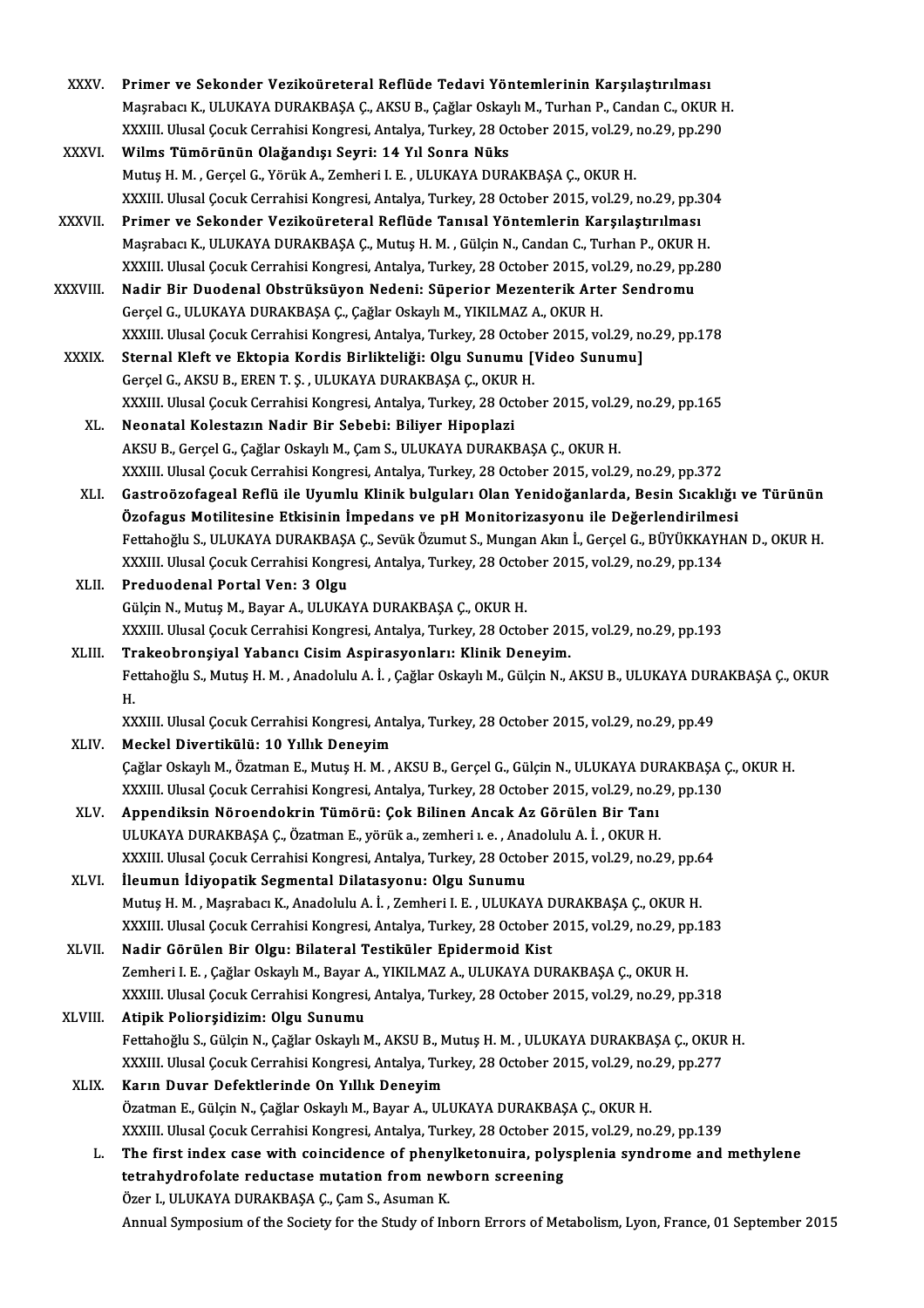- XXXV. Primer ve Sekonder Vezikoüreteral Reflüde Tedavi Yöntemlerinin Karşılaştırılması<br>Masırbası K. III UKAYA DURAKRASA G. AKSU R. Gağlar Oskaylı M. Turban R. Gandan G. OKUL Primer ve Sekonder Vezikoüreteral Reflüde Tedavi Yöntemlerinin Karşılaştırılması<br>Maşrabacı K., ULUKAYA DURAKBAŞA Ç., AKSU B., Çağlar Oskaylı M., Turhan P., Candan C., OKUR H.<br>YYYUL Ulusal Casuk Carrabisi Kangrasi, Antalya, Primer ve Sekonder Vezikoüreteral Reflüde Tedavi Yöntemlerinin Karşılaştırılması<br>Maşrabacı K., ULUKAYA DURAKBAŞA Ç., AKSU B., Çağlar Oskaylı M., Turhan P., Candan C., OKUR I<br>XXXIII. Ulusal Çocuk Cerrahisi Kongresi, Antalya Maşrabacı K., ULUKAYA DURAKBAŞA Ç., AKSU B., Çağlar Oskaylı M., Turhan P., Candan C., OKUR H.<br>XXXIII. Ulusal Çocuk Cerrahisi Kongresi, Antalya, Turkey, 28 October 2015, vol.29, no.29, pp.290<br>XXXVI. Wilms Tümörünün Olağ XXXIII. Ulusal Cocuk Cerrahisi Kongresi, Antalya, Turkey, 28 October 2015, vol.29, no.29, pp.290
- Wilms Tümörünün Olağandışı Seyri: 14 Yıl Sonra Nüks<br>Mutuş H. M. , Gerçel G., Yörük A., Zemheri I. E. , ULUKAYA DURAKBAŞA Ç., OKUR H.<br>XXXIII. Ulusal Çocuk Cerrahisi Kongresi, Antalya, Turkey, 28 October 2015, vol.29, no.29,
- XXXVII. Primer ve Sekonder Vezikoüreteral Reflüde Tanısal Yöntemlerin Karşılaştırılması<br>Maşrabacı K., ULUKAYA DURAKBAŞA Ç., Mutuş H. M. , Gülçin N., Candan C., Turhan P., OKUR H. XXXIII. Ulusal Çocuk Cerrahisi Kongresi, Antalya, Turkey, 28 October 2015, vol.29, no.29, pp.30<br><mark>Primer ve Sekonder Vezikoüreteral Reflüde Tanısal Yöntemlerin Karşılaştırılması</mark><br>Maşrabacı K., ULUKAYA DURAKBAŞA Ç., Mutuş H. Primer ve Sekonder Vezikoüreteral Reflüde Tanısal Yöntemlerin Karşılaştırılması<br>Maşrabacı K., ULUKAYA DURAKBAŞA Ç., Mutuş H. M. , Gülçin N., Candan C., Turhan P., OKUR H.<br>XXXIII. Ulusal Çocuk Cerrahisi Kongresi, Antalya, T Maşrabacı K., ULUKAYA DURAKBAŞA Ç., Mutuş H. M. , Gülçin N., Candan C., Turhan P., OKUR<br>XXXIII. Ulusal Çocuk Cerrahisi Kongresi, Antalya, Turkey, 28 October 2015, vol.29, no.29, pp.<br>XXXVIII. Nadir Bir Duodenal Obstrüksüyon
- Nadir Bir Duodenal Obstrüksüyon Nedeni: Süperior Mezenterik Arter Sendromu<br>Gerçel G., ULUKAYA DURAKBAŞA Ç., Çağlar Oskaylı M., YIKILMAZ A., OKUR H. XXXIII. Ulusal Çocuk Cerrahisi Kongresi, Antalya, Turkey, 28 October 2015, vol.29, no.29, pp.178
- XXXIX. Sternal Kleft ve Ektopia Kordis Birlikteliği: Olgu Sunumu [Video Sunumu] Gerçel G., AKSU B., EREN T. Ş., ULUKAYA DURAKBAŞA Ç., OKUR H. Sternal Kleft ve Ektopia Kordis Birlikteliği: Olgu Sunumu [Video Sunumu]<br>Gerçel G., AKSU B., EREN T. Ş. , ULUKAYA DURAKBAŞA Ç., OKUR H.<br>XXXIII. Ulusal Çocuk Cerrahisi Kongresi, Antalya, Turkey, 28 October 2015, vol.29, no. Gerçel G., AKSU B., EREN T. Ş. , ULUKAYA DURAKBAŞA Ç., OKUR<br>XXXIII. Ulusal Çocuk Cerrahisi Kongresi, Antalya, Turkey, 28 Oct<br>XL. Neonatal Kolestazın Nadir Bir Sebebi: Biliyer Hipoplazi<br>AKSU B. Garsel G. Gağlar Oskaylı M. G
	- XXXIII. Ulusal Çocuk Cerrahisi Kongresi, Antalya, Turkey, 28 October 2015, vol.2<br><mark>Neonatal Kolestazın Nadir Bir Sebebi: Biliyer Hipoplazi</mark><br>AKSU B., Gerçel G., Çağlar Oskaylı M., Çam S., ULUKAYA DURAKBAŞA Ç., OKUR H.<br>YYYIII Neonatal Kolestazın Nadir Bir Sebebi: Biliyer Hipoplazi<br>AKSU B., Gerçel G., Çağlar Oskaylı M., Çam S., ULUKAYA DURAKBAŞA Ç., OKUR H.<br>XXXIII. Ulusal Cocuk Cerrahisi Kongresi, Antalya, Turkey, 28 October 2015, vol.29, no.29, AKSU B., Gerçel G., Çağlar Oskaylı M., Çam S., ULUKAYA DURAKBAŞA Ç., OKUR H.<br>XXXIII. Ulusal Çocuk Cerrahisi Kongresi, Antalya, Turkey, 28 October 2015, vol.29, no.29, pp.372<br>XLI. Gastroözofageal Reflü ile Uyumlu Klinik
	- XXXIII. Ulusal Çocuk Cerrahisi Kongresi, Antalya, Turkey, 28 October 2015, vol.29, no.29, pp.372<br>Gastroözofageal Reflü ile Uyumlu Klinik bulguları Olan Yenidoğanlarda, Besin Sıcaklığı<br>Özofagus Motilitesine Etkisinin İmpeda Gastroözofageal Reflü ile Uyumlu Klinik bulguları Olan Yenidoğanlarda, Besin Sıcaklığı ve Türünün<br>Özofagus Motilitesine Etkisinin İmpedans ve pH Monitorizasyonu ile Değerlendirilmesi<br>Fettahoğlu S.,ULUKAYA DURAKBAŞA Ç., Sev Özofagus Motilitesine Etkisinin İmpedans ve pH Monitorizasyonu ile Değerlendirilme<br>Fettahoğlu S., ULUKAYA DURAKBAŞA Ç., Sevük Özumut S., Mungan Akın İ., Gerçel G., BÜYÜKKAYH<br>XXXIII. Ulusal Çocuk Cerrahisi Kongresi, Antalya Fettahoğlu S., ULUKAYA DURAKBAŞA Ç., Sevük Özumut S., Mungan Akın İ., Gerçel G., BÜYÜKKAYHAN D., OKUR H.<br>XXXIII. Ulusal Çocuk Cerrahisi Kongresi, Antalya, Turkey, 28 October 2015, vol.29, no.29, pp.134<br>XLII. Preduodena
	- Gülçin N., Mutuş M., Bayar A., ULUKAYA DURAKBAŞA Ç., OKUR H. Preduodenal Portal Ven: 3 Olgu<br>Gülçin N., Mutuş M., Bayar A., ULUKAYA DURAKBAŞA Ç., OKUR H.<br>XXXIII. Ulusal Çocuk Cerrahisi Kongresi, Antalya, Turkey, 28 October 2015, vol.29, no.29, pp.193<br>Trakaahransiyal Vabansı Cisim Asp Gülçin N., Mutuş M., Bayar A., ULUKAYA DURAKBAŞA Ç., OKUR H.<br>XXXIII. Ulusal Çocuk Cerrahisi Kongresi, Antalya, Turkey, 28 October 2013<br>XLIII. Trakeobronşiyal Yabancı Cisim Aspirasyonları: Klinik Deneyim.<br>Fettaboğlu S.
	- XXXIII. Ulusal Çocuk Cerrahisi Kongresi, Antalya, Turkey, 28 October 2015, vol.29, no.29, pp.193<br><mark>Trakeobronşiyal Yabancı Cisim Aspirasyonları: Klinik Deneyim.</mark><br>Fettahoğlu S., Mutuş H. M. , Anadolulu A. İ. , Çağlar Oskaylı Tr<br>Fe<br>H<br>vv Fettahoğlu S., Mutuş H. M. , Anadolulu A. İ. , Çağlar Oskaylı M., Gülçin N., AKSU B., ULUKAYA DUR<br>H.<br>XXXIII. Ulusal Çocuk Cerrahisi Kongresi, Antalya, Turkey, 28 October 2015, vol.29, no.29, pp.49<br>Maskal Divertikülü 1.1.0

```
H.<br>XXXIII. Ulusal Çocuk Cerrahisi Kongresi, Ant<br>XLIV.     Meckel Divertikülü: 10 Yıllık Deneyim
 Meckel Divertikülü: 10 Yıllık Deneyim<br>Cağlar Oskaylı M., Özatman E., Mutuş H. M. , AKSU B., Gerçel G., Gülçin N., ULUKAYA DURAKBASA Ç., OKUR H.
   Meckel Divertikülü: 10 Yıllık Deneyim<br>Çağlar Oskaylı M., Özatman E., Mutuş H. M. , AKSU B., Gerçel G., Gülçin N., ULUKAYA DURAKBAŞA (<br>XXXIII. Ulusal Çocuk Cerrahisi Kongresi, Antalya, Turkey, 28 October 2015, vol.29, no.29
```
- XLV. Appendiksin Nöroendokrin Tümörü: Çok Bilinen Ancak Az Görülen Bir Tanı XXXIII. Ulusal Çocuk Cerrahisi Kongresi, Antalya, Turkey, 28 October 2015, vol.29, no.2<br><mark>Appendiksin Nöroendokrin Tümörü: Çok Bilinen Ancak Az Görülen Bir Tanı</mark><br>ULUKAYA DURAKBAŞA Ç., Özatman E., yörük a., zemheri ı. e. , A Appendiksin Nöroendokrin Tümörü: Çok Bilinen Ancak Az Görülen Bir Tanı<br>ULUKAYA DURAKBAŞA Ç., Özatman E., yörük a., zemheri ı. e. , Anadolulu A. İ. , OKUR H.<br>XXXIII. Ulusal Çocuk Cerrahisi Kongresi, Antalya, Turkey, 28 Octo ULUKAYA DURAKBAŞA Ç., Özatman E., yörük a., zemheri 1. e. , Ana<br>XXXIII. Ulusal Çocuk Cerrahisi Kongresi, Antalya, Turkey, 28 Octol<br>XLVI. İleumun İdiyopatik Segmental Dilatasyonu: Olgu Sunumu<br>Mutus H. M. Masyabası K. Anadal
- XXXIII. Ulusal Çocuk Cerrahisi Kongresi, Antalya, Turkey, 28 October 2015, vol.29, no.29, pp.6<br>İleumun İdiyopatik Segmental Dilatasyonu: Olgu Sunumu<br>Mutuş H. M. , Maşrabacı K., Anadolulu A. İ. , Zemheri I. E. , ULUKAYA DUR İleumun İdiyopatik Segmental Dilatasyonu: Olgu Sunumu<br>Mutuş H. M. , Maşrabacı K., Anadolulu A. İ. , Zemheri I. E. , ULUKAYA DURAKBAŞA Ç., OKUR H.<br>XXXIII. Ulusal Çocuk Cerrahisi Kongresi, Antalya, Turkey, 28 October 2015, v Mutuş H. M. , Maşrabacı K., Anadolulu A. İ. , Zemheri I. E. , ULUKAYA D<br>XXXIII. Ulusal Çocuk Cerrahisi Kongresi, Antalya, Turkey, 28 October<br>XLVII. Nadir Görülen Bir Olgu: Bilateral Testiküler Epidermoid Kist<br>Zemberi I
- XXXIII. Ulusal Çocuk Cerrahisi Kongresi, Antalya, Turkey, 28 October 2015, vol.29, no.29, p<sub>l</sub><br><mark>Nadir Görülen Bir Olgu: Bilateral Testiküler Epidermoid Kist</mark><br>Zemheri I. E. , Çağlar Oskaylı M., Bayar A., YIKILMAZ A., ULUKAY Nadir Görülen Bir Olgu: Bilateral Testiküler Epidermoid Kist<br>Zemheri I. E. , Çağlar Oskaylı M., Bayar A., YIKILMAZ A., ULUKAYA DURAKBAŞA Ç., OKUR H.<br>XXXIII. Ulusal Çocuk Cerrahisi Kongresi, Antalya, Turkey, 28 October 2015 Zemheri I. E. , Çağlar Oskaylı M., Bayar A., YIKILMAZ A., ULUKAYA DURAKBAŞA Ç., OKUR H.<br>XXXIII. Ulusal Çocuk Cerrahisi Kongresi, Antalya, Turkey, 28 October 2015, vol.29, no.29, p<br>XLVIII. Atipik Poliorsidizim: Olgu Sun
- XXXIII. Ulusal Çocuk Cerrahisi Kongresi, Antalya, Turkey, 28 October 2015, vol.29, no.29, pp.318<br><mark>Atipik Poliorşidizim: Olgu Sunumu</mark><br>Fettahoğlu S., Gülçin N., Çağlar Oskaylı M., AKSU B., Mutuş H. M. , ULUKAYA DURAKBAŞA Ç., Atipik Poliorşidizim: Olgu Sunumu<br>Fettahoğlu S., Gülçin N., Çağlar Oskaylı M., AKSU B., Mutuş H. M. , ULUKAYA DURAKBAŞA Ç., OKUR<br>XXXIII. Ulusal Çocuk Cerrahisi Kongresi, Antalya, Turkey, 28 October 2015, vol.29, no.29, pp. Fettahoğlu S., Gülçin N., Çağlar Oskaylı M., AKSU B., M<br>XXXIII. Ulusal Çocuk Cerrahisi Kongresi, Antalya, Tur<br>XLIX. Karın Duvar Defektlerinde On Yıllık Deneyim<br>Özetmen E. Cülcin N. Çeğler Oskaylı M. Bayen A. III.
- XXXIII. Ulusal Çocuk Cerrahisi Kongresi, Antalya, Turkey, 28 October 2015, vol.29, no.29, pp.277<br>**Karın Duvar Defektlerinde On Yıllık Deneyim**<br>Özatman E., Gülçin N., Çağlar Oskaylı M., Bayar A., ULUKAYA DURAKBAŞA Ç., OKUR Karın Duvar Defektlerinde On Yıllık Deneyim<br>Özatman E., Gülçin N., Çağlar Oskaylı M., Bayar A., ULUKAYA DURAKBAŞA Ç., OKUR H.<br>XXXIII. Ulusal Çocuk Cerrahisi Kongresi, Antalya, Turkey, 28 October 2015, vol.29, no.29, pp.139 Özatman E., Gülçin N., Çağlar Oskaylı M., Bayar A., ULUKAYA DURAKBAŞA Ç., OKUR H.<br>XXXIII. Ulusal Çocuk Cerrahisi Kongresi, Antalya, Turkey, 28 October 2015, vol.29, no.29, pp.139<br>L. The first index case with coincidence of
	- XXXIII. Ulusal Çocuk Cerrahisi Kongresi, Antalya, Turkey, 28 October 20<br>The first index case with coincidence of phenylketonuira, poly:<br>tetrahydrofolate reductase mutation from newborn screening<br>Özer L. ULUKAYA DURAKAAG G. The first index case with coincidence of pheny<br>tetrahydrofolate reductase mutation from new<br>Özer I., ULUKAYA DURAKBAŞA Ç., Çam S., Asuman K.<br>Annual Sumnosium of the Society for the Study of Inl tetrahydrofolate reductase mutation from newborn screening<br>Özer I., ULUKAYA DURAKBAŞA Ç., Çam S., Asuman K.<br>Annual Symposium of the Society for the Study of Inborn Errors of Metabolism, Lyon, France, 01 September 2015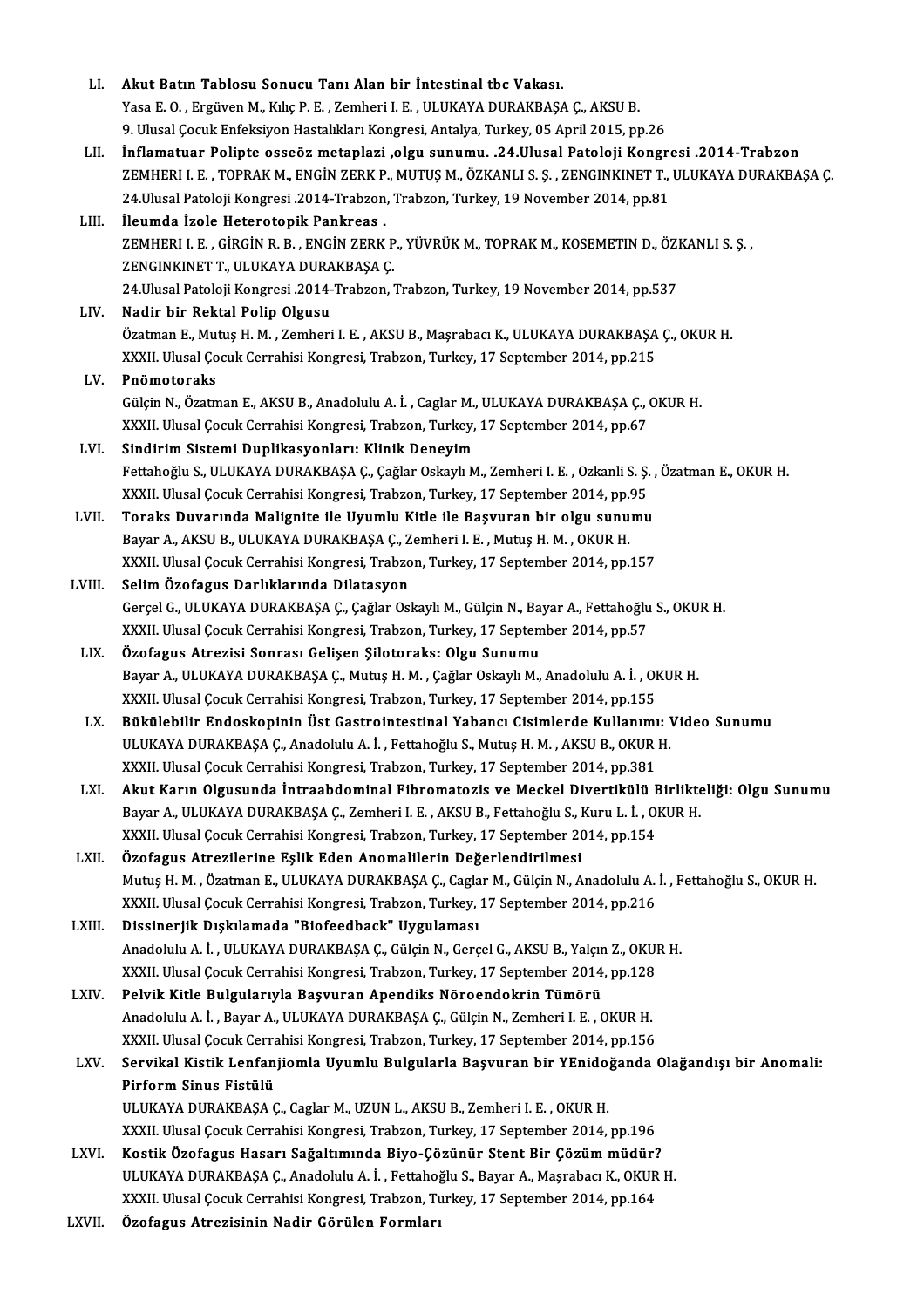| LI.    | Akut Batın Tablosu Sonucu Tanı Alan bir İntestinal tbc Vakası.                                                 |
|--------|----------------------------------------------------------------------------------------------------------------|
|        | Yasa E. O., Ergüven M., Kılıç P. E., Zemheri I. E., ULUKAYA DURAKBAŞA Ç., AKSU B.                              |
|        | 9. Ulusal Çocuk Enfeksiyon Hastalıkları Kongresi, Antalya, Turkey, 05 April 2015, pp.26                        |
| LII.   | İnflamatuar Polipte osseöz metaplazi ,olgu sunumu. .24.Ulusal Patoloji Kongresi .2014-Trabzon                  |
|        | ZEMHERI I. E., TOPRAK M., ENGIN ZERK P., MUTUŞ M., ÖZKANLI S. Ş., ZENGINKINET T., ULUKAYA DURAKBAŞA Ç.         |
|        | 24.Ulusal Patoloji Kongresi .2014-Trabzon, Trabzon, Turkey, 19 November 2014, pp.81                            |
| LIII.  | İleumda İzole Heterotopik Pankreas.                                                                            |
|        | ZEMHERI I. E., GİRGİN R. B., ENGİN ZERK P., YÜVRÜK M., TOPRAK M., KOSEMETIN D., ÖZKANLI S. Ş.,                 |
|        | ZENGINKINET T., ULUKAYA DURAKBAŞA Ç.                                                                           |
|        | 24. Ulusal Patoloji Kongresi 2014-Trabzon, Trabzon, Turkey, 19 November 2014, pp.537                           |
| LIV.   | Nadir bir Rektal Polip Olgusu                                                                                  |
|        | Özatman E., Mutuş H. M., Zemheri I. E., AKSU B., Maşrabacı K., ULUKAYA DURAKBAŞA Ç., OKUR H.                   |
|        | XXXII. Ulusal Çocuk Cerrahisi Kongresi, Trabzon, Turkey, 17 September 2014, pp.215                             |
| LV.    | Pnömotoraks                                                                                                    |
|        | Gülçin N., Özatman E., AKSU B., Anadolulu A. İ., Caglar M., ULUKAYA DURAKBAŞA Ç., OKUR H.                      |
|        | XXXII. Ulusal Çocuk Cerrahisi Kongresi, Trabzon, Turkey, 17 September 2014, pp.67                              |
|        |                                                                                                                |
| LVI.   | Sindirim Sistemi Duplikasyonları: Klinik Deneyim                                                               |
|        | Fettahoğlu S., ULUKAYA DURAKBAŞA Ç., Çağlar Oskaylı M., Zemheri I. E., Ozkanli S. Ş., Özatman E., OKUR H.      |
|        | XXXII. Ulusal Çocuk Cerrahisi Kongresi, Trabzon, Turkey, 17 September 2014, pp.95                              |
| LVII.  | Toraks Duvarında Malignite ile Uyumlu Kitle ile Başvuran bir olgu sunumu                                       |
|        | Bayar A., AKSU B., ULUKAYA DURAKBAŞA Ç., Zemheri I. E., Mutuş H. M., OKUR H.                                   |
|        | XXXII. Ulusal Çocuk Cerrahisi Kongresi, Trabzon, Turkey, 17 September 2014, pp.157                             |
| LVIII. | Selim Özofagus Darlıklarında Dilatasyon                                                                        |
|        | Gerçel G., ULUKAYA DURAKBAŞA Ç., Çağlar Oskaylı M., Gülçin N., Bayar A., Fettahoğlu S., OKUR H.                |
|        | XXXII. Ulusal Çocuk Cerrahisi Kongresi, Trabzon, Turkey, 17 September 2014, pp.57                              |
| LIX.   | Özofagus Atrezisi Sonrası Gelişen Şilotoraks: Olgu Sunumu                                                      |
|        | Bayar A., ULUKAYA DURAKBAŞA Ç., Mutuş H. M., Çağlar Oskaylı M., Anadolulu A. İ., OKUR H.                       |
|        | XXXII. Ulusal Çocuk Cerrahisi Kongresi, Trabzon, Turkey, 17 September 2014, pp.155                             |
| LX.    | Bükülebilir Endoskopinin Üst Gastrointestinal Yabancı Cisimlerde Kullanımı: Video Sunumu                       |
|        | ULUKAYA DURAKBAŞA Ç., Anadolulu A. İ., Fettahoğlu S., Mutuş H. M., AKSU B., OKUR H.                            |
|        | XXXII. Ulusal Çocuk Cerrahisi Kongresi, Trabzon, Turkey, 17 September 2014, pp.381                             |
| LXI.   | Akut Karın Olgusunda İntraabdominal Fibromatozis ve Meckel Divertikülü Birlikteliği: Olgu Sunumu               |
|        | Bayar A., ULUKAYA DURAKBAŞA Ç., Zemheri I. E., AKSU B., Fettahoğlu S., Kuru L. İ., OKUR H.                     |
|        | XXXII. Ulusal Çocuk Cerrahisi Kongresi, Trabzon, Turkey, 17 September 2014, pp.154                             |
| LXII.  | Özofagus Atrezilerine Eşlik Eden Anomalilerin Değerlendirilmesi                                                |
|        | Mutuş H. M. , Özatman E., ULUKAYA DURAKBAŞA Ç., Caglar M., Gülçin N., Anadolulu A. İ. , Fettahoğlu S., OKUR H. |
|        | XXXII. Ulusal Çocuk Cerrahisi Kongresi, Trabzon, Turkey, 17 September 2014, pp.216                             |
| LXIII. | Dissinerjik Dışkılamada "Biofeedback" Uygulaması                                                               |
|        | Anadolulu A. İ., ULUKAYA DURAKBAŞA Ç., Gülçin N., Gerçel G., AKSU B., Yalçın Z., OKUR H.                       |
|        | XXXII. Ulusal Çocuk Cerrahisi Kongresi, Trabzon, Turkey, 17 September 2014, pp.128                             |
| LXIV.  | Pelvik Kitle Bulgularıyla Başvuran Apendiks Nöroendokrin Tümörü                                                |
|        | Anadolulu A. İ., Bayar A., ULUKAYA DURAKBAŞA Ç., Gülçin N., Zemheri I. E., OKUR H.                             |
|        | XXXII. Ulusal Çocuk Cerrahisi Kongresi, Trabzon, Turkey, 17 September 2014, pp.156                             |
| LXV.   | Servikal Kistik Lenfanjiomla Uyumlu Bulgularla Başvuran bir YEnidoğanda Olağandışı bir Anomali:                |
|        | Pirform Sinus Fistülü                                                                                          |
|        | ULUKAYA DURAKBAŞA Ç., Caglar M., UZUN L., AKSU B., Zemheri I. E., OKUR H.                                      |
|        | XXXII. Ulusal Çocuk Cerrahisi Kongresi, Trabzon, Turkey, 17 September 2014, pp.196                             |
| LXVI.  | Kostik Özofagus Hasarı Sağaltımında Biyo-Çözünür Stent Bir Çözüm müdür?                                        |
|        | ULUKAYA DURAKBAŞA Ç., Anadolulu A. İ., Fettahoğlu S., Bayar A., Maşrabacı K., OKUR H.                          |
|        | XXXII. Ulusal Çocuk Cerrahisi Kongresi, Trabzon, Turkey, 17 September 2014, pp.164                             |
| LXVII. | Özofagus Atrezisinin Nadir Görülen Formları                                                                    |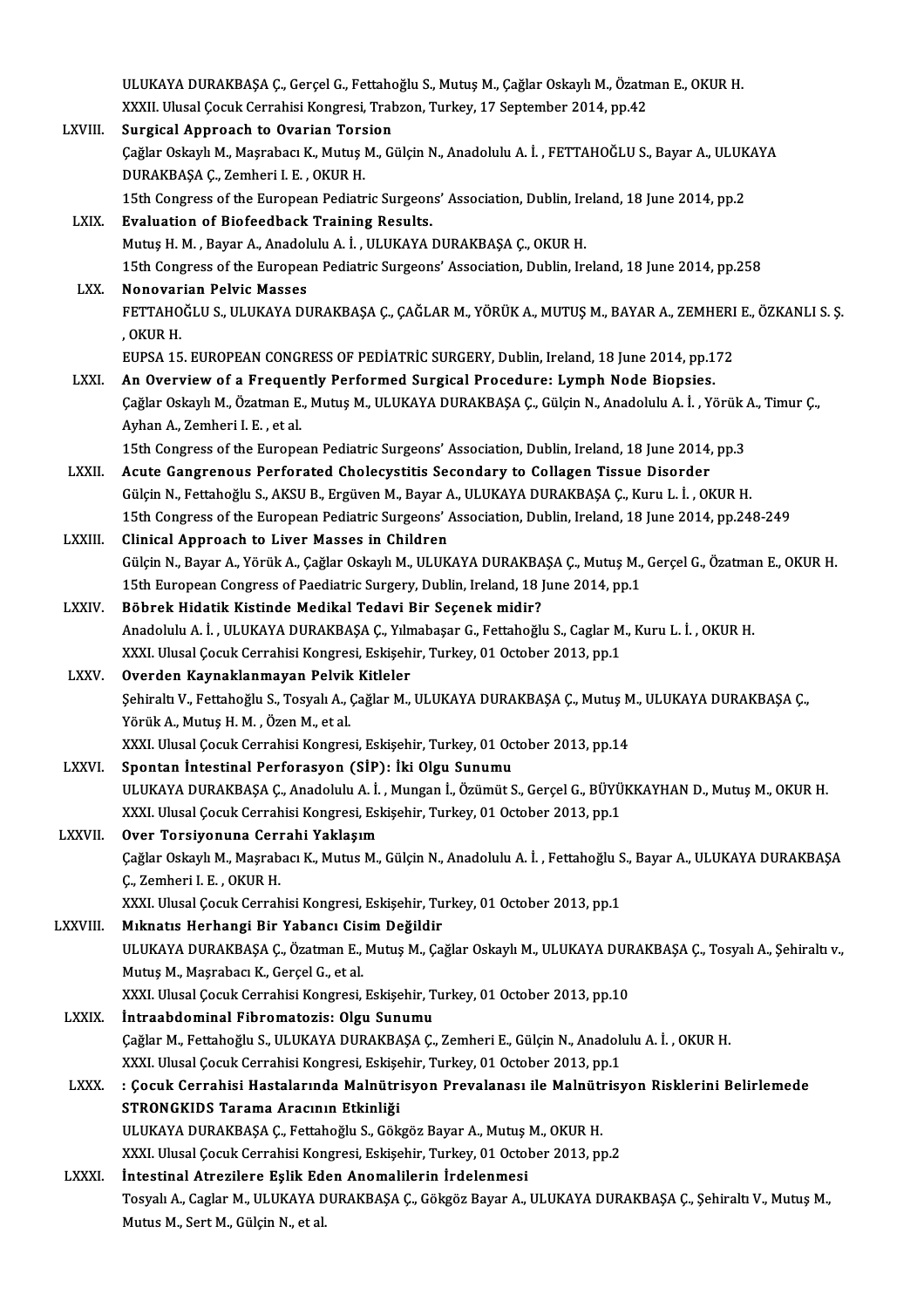|                | ULUKAYA DURAKBAŞA Ç., Gerçel G., Fettahoğlu S., Mutuş M., Çağlar Oskaylı M., Özatman E., OKUR H.                                                                                                 |
|----------------|--------------------------------------------------------------------------------------------------------------------------------------------------------------------------------------------------|
|                | XXXII. Ulusal Çocuk Cerrahisi Kongresi, Trabzon, Turkey, 17 September 2014, pp.42                                                                                                                |
| LXVIII.        | <b>Surgical Approach to Ovarian Torsion</b>                                                                                                                                                      |
|                | Çağlar Oskaylı M., Maşrabacı K., Mutuş M., Gülçin N., Anadolulu A. İ., FETTAHOĞLU S., Bayar A., ULUKAYA                                                                                          |
|                | DURAKBAŞA Ç., Zemheri I. E., OKUR H.                                                                                                                                                             |
|                | 15th Congress of the European Pediatric Surgeons' Association, Dublin, Ireland, 18 June 2014, pp.2                                                                                               |
| LXIX.          | <b>Evaluation of Biofeedback Training Results.</b>                                                                                                                                               |
|                | Mutuş H. M., Bayar A., Anadolulu A. İ., ULUKAYA DURAKBAŞA Ç., OKUR H.                                                                                                                            |
|                | 15th Congress of the European Pediatric Surgeons' Association, Dublin, Ireland, 18 June 2014, pp.258                                                                                             |
| LXX.           | Nonovarian Pelvic Masses                                                                                                                                                                         |
|                | FETTAHOĞLU S., ULUKAYA DURAKBAŞA Ç., ÇAĞLAR M., YÖRÜK A., MUTUŞ M., BAYAR A., ZEMHERI E., ÖZKANLI S. Ş.                                                                                          |
|                | , OKUR H.                                                                                                                                                                                        |
|                | EUPSA 15. EUROPEAN CONGRESS OF PEDIATRIC SURGERY, Dublin, Ireland, 18 June 2014, pp.172                                                                                                          |
| LXXI.          | An Overview of a Frequently Performed Surgical Procedure: Lymph Node Biopsies.<br>Çağlar Oskaylı M., Özatman E., Mutuş M., ULUKAYA DURAKBAŞA Ç., Gülçin N., Anadolulu A. İ., Yörük A., Timur Ç., |
|                | Ayhan A, Zemheri I. E., et al.                                                                                                                                                                   |
|                | 15th Congress of the European Pediatric Surgeons' Association, Dublin, Ireland, 18 June 2014, pp.3                                                                                               |
| LXXII.         | Acute Gangrenous Perforated Cholecystitis Secondary to Collagen Tissue Disorder                                                                                                                  |
|                | Gülçin N., Fettahoğlu S., AKSU B., Ergüven M., Bayar A., ULUKAYA DURAKBAŞA Ç., Kuru L. İ. , OKUR H.                                                                                              |
|                | 15th Congress of the European Pediatric Surgeons' Association, Dublin, Ireland, 18 June 2014, pp.248-249                                                                                         |
| LXXIII.        | Clinical Approach to Liver Masses in Children                                                                                                                                                    |
|                | Gülçin N., Bayar A., Yörük A., Çağlar Oskaylı M., ULUKAYA DURAKBAŞA Ç., Mutuş M., Gerçel G., Özatman E., OKUR H.                                                                                 |
|                | 15th European Congress of Paediatric Surgery, Dublin, Ireland, 18 June 2014, pp.1                                                                                                                |
| <b>LXXIV</b>   | Böbrek Hidatik Kistinde Medikal Tedavi Bir Seçenek midir?                                                                                                                                        |
|                | Anadolulu A. İ., ULUKAYA DURAKBAŞA Ç., Yılmabaşar G., Fettahoğlu S., Caglar M., Kuru L. İ., OKUR H.                                                                                              |
|                | XXXI. Ulusal Çocuk Cerrahisi Kongresi, Eskişehir, Turkey, 01 October 2013, pp.1                                                                                                                  |
| <b>LXXV</b>    | Overden Kaynaklanmayan Pelvik Kitleler                                                                                                                                                           |
|                | Şehiraltı V., Fettahoğlu S., Tosyalı A., Çağlar M., ULUKAYA DURAKBAŞA Ç., Mutuş M., ULUKAYA DURAKBAŞA Ç.,                                                                                        |
|                | Yörük A., Mutuş H. M., Özen M., et al.                                                                                                                                                           |
|                | XXXI. Ulusal Çocuk Cerrahisi Kongresi, Eskişehir, Turkey, 01 October 2013, pp.14                                                                                                                 |
| <b>LXXVI</b>   | Spontan İntestinal Perforasyon (SİP): İki Olgu Sunumu                                                                                                                                            |
|                | ULUKAYA DURAKBAŞA Ç., Anadolulu A. İ., Mungan İ., Özümüt S., Gerçel G., BÜYÜKKAYHAN D., Mutuş M., OKUR H.                                                                                        |
|                | XXXI. Ulusal Çocuk Cerrahisi Kongresi, Eskişehir, Turkey, 01 October 2013, pp.1                                                                                                                  |
| LXXVII.        | Over Torsiyonuna Cerrahi Yaklaşım                                                                                                                                                                |
|                | Çağlar Oskaylı M., Maşrabacı K., Mutus M., Gülçin N., Anadolulu A. İ., Fettahoğlu S., Bayar A., ULUKAYA DURAKBAŞA                                                                                |
|                | Ç., Zemheri I. E., OKUR H.                                                                                                                                                                       |
|                | XXXI. Ulusal Çocuk Cerrahisi Kongresi, Eskişehir, Turkey, 01 October 2013, pp.1                                                                                                                  |
| LXXVIII.       | Mıknatıs Herhangi Bir Yabancı Cisim Değildir                                                                                                                                                     |
|                | ULUKAYA DURAKBAŞA Ç., Özatman E., Mutuş M., Çağlar Oskaylı M., ULUKAYA DURAKBAŞA Ç., Tosyalı A., Şehiraltı v.,                                                                                   |
|                | Mutuș M., Mașrabacı K., Gerçel G., et al.                                                                                                                                                        |
|                | XXXI. Ulusal Çocuk Cerrahisi Kongresi, Eskişehir, Turkey, 01 October 2013, pp.10                                                                                                                 |
| <b>LXXIX</b>   | İntraabdominal Fibromatozis: Olgu Sunumu                                                                                                                                                         |
|                | Çağlar M., Fettahoğlu S., ULUKAYA DURAKBAŞA Ç., Zemheri E., Gülçin N., Anadolulu A. İ. , OKUR H.                                                                                                 |
|                | XXXI. Ulusal Çocuk Cerrahisi Kongresi, Eskişehir, Turkey, 01 October 2013, pp.1                                                                                                                  |
| <b>LXXX</b>    | : Çocuk Cerrahisi Hastalarında Malnütrisyon Prevalanası ile Malnütrisyon Risklerini Belirlemede                                                                                                  |
|                | STRONGKIDS Tarama Aracının Etkinliği                                                                                                                                                             |
|                | ULUKAYA DURAKBAŞA Ç., Fettahoğlu S., Gökgöz Bayar A., Mutuş M., OKUR H.                                                                                                                          |
|                | XXXI. Ulusal Çocuk Cerrahisi Kongresi, Eskişehir, Turkey, 01 October 2013, pp.2                                                                                                                  |
| <b>LXXXI</b> . | Intestinal Atrezilere Eşlik Eden Anomalilerin İrdelenmesi                                                                                                                                        |
|                | Tosyalı A., Caglar M., ULUKAYA DURAKBAŞA Ç., Gökgöz Bayar A., ULUKAYA DURAKBAŞA Ç., Şehiraltı V., Mutuş M.,                                                                                      |
|                | Mutus M., Sert M., Gülçin N., et al.                                                                                                                                                             |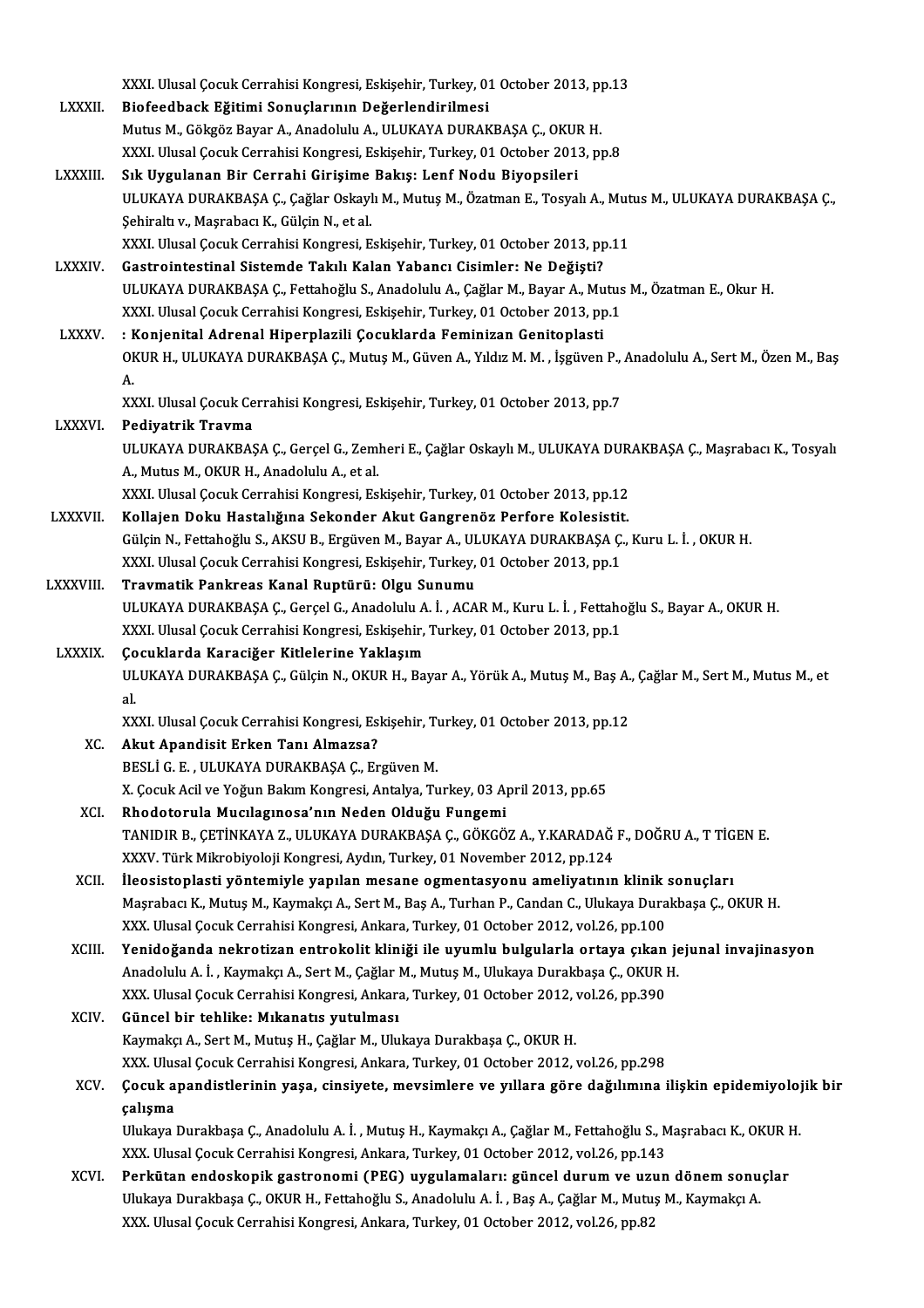|               | XXXI. Ulusal Çocuk Cerrahisi Kongresi, Eskişehir, Turkey, 01 October 2013, pp.13                                                 |
|---------------|----------------------------------------------------------------------------------------------------------------------------------|
| <b>LXXXII</b> | Biofeedback Eğitimi Sonuçlarının Değerlendirilmesi                                                                               |
|               | Mutus M., Gökgöz Bayar A., Anadolulu A., ULUKAYA DURAKBAŞA Ç., OKUR H.                                                           |
|               | XXXI. Ulusal Çocuk Cerrahisi Kongresi, Eskişehir, Turkey, 01 October 2013, pp.8                                                  |
| LXXXIII.      | Sık Uygulanan Bir Cerrahi Girişime Bakış: Lenf Nodu Biyopsileri                                                                  |
|               | ULUKAYA DURAKBAŞA Ç., Çağlar Oskaylı M., Mutuş M., Özatman E., Tosyalı A., Mutus M., ULUKAYA DURAKBAŞA Ç.,                       |
|               | Şehiraltı v., Maşrabacı K., Gülçin N., et al.                                                                                    |
|               | XXXI. Ulusal Çocuk Cerrahisi Kongresi, Eskişehir, Turkey, 01 October 2013, pp.11                                                 |
| <b>LXXXIV</b> | Gastrointestinal Sistemde Takılı Kalan Yabancı Cisimler: Ne Değişti?                                                             |
|               | ULUKAYA DURAKBAŞA Ç., Fettahoğlu S., Anadolulu A., Çağlar M., Bayar A., Mutus M., Özatman E., Okur H.                            |
|               | XXXI. Ulusal Çocuk Cerrahisi Kongresi, Eskişehir, Turkey, 01 October 2013, pp.1                                                  |
| <b>LXXXV</b>  | : Konjenital Adrenal Hiperplazili Çocuklarda Feminizan Genitoplasti                                                              |
|               | OKUR H., ULUKAYA DURAKBAŞA Ç., Mutuş M., Güven A., Yıldız M. M. , İşgüven P., Anadolulu A., Sert M., Özen M., Baş                |
|               | A.                                                                                                                               |
|               | XXXI. Ulusal Çocuk Cerrahisi Kongresi, Eskişehir, Turkey, 01 October 2013, pp.7                                                  |
| <b>LXXXVI</b> | Pediyatrik Travma                                                                                                                |
|               | ULUKAYA DURAKBAŞA Ç., Gerçel G., Zemheri E., Çağlar Oskaylı M., ULUKAYA DURAKBAŞA Ç., Maşrabacı K., Tosyalı                      |
|               | A., Mutus M., OKUR H., Anadolulu A., et al.                                                                                      |
|               | XXXI. Ulusal Çocuk Cerrahisi Kongresi, Eskişehir, Turkey, 01 October 2013, pp.12                                                 |
| LXXXVII.      | Kollajen Doku Hastalığına Sekonder Akut Gangrenöz Perfore Kolesistit.                                                            |
|               | Gülçin N., Fettahoğlu S., AKSU B., Ergüven M., Bayar A., ULUKAYA DURAKBAŞA Ç., Kuru L. İ. , OKUR H.                              |
|               | XXXI. Ulusal Çocuk Cerrahisi Kongresi, Eskişehir, Turkey, 01 October 2013, pp.1                                                  |
| LXXXVIII.     | Travmatik Pankreas Kanal Ruptürü: Olgu Sunumu                                                                                    |
|               | ULUKAYA DURAKBAŞA Ç., Gerçel G., Anadolulu A. İ. , ACAR M., Kuru L. İ. , Fettahoğlu S., Bayar A., OKUR H.                        |
|               | XXXI. Ulusal Çocuk Cerrahisi Kongresi, Eskişehir, Turkey, 01 October 2013, pp.1                                                  |
| LXXXIX.       | Çocuklarda Karaciğer Kitlelerine Yaklaşım                                                                                        |
|               | ULUKAYA DURAKBAŞA Ç., Gülçin N., OKUR H., Bayar A., Yörük A., Mutuş M., Baş A., Çağlar M., Sert M., Mutus M., et                 |
|               | al.                                                                                                                              |
|               | XXXI. Ulusal Çocuk Cerrahisi Kongresi, Eskişehir, Turkey, 01 October 2013, pp.12                                                 |
| XC.           | Akut Apandisit Erken Tanı Almazsa?                                                                                               |
|               | BESLI G. E., ULUKAYA DURAKBAŞA Ç., Ergüven M.                                                                                    |
|               | X. Çocuk Acil ve Yoğun Bakım Kongresi, Antalya, Turkey, 03 April 2013, pp.65                                                     |
| XCI.          | Rhodotorula Mucilaginosa'nın Neden Olduğu Fungemi                                                                                |
|               | TANIDIR B., ÇETİNKAYA Z., ULUKAYA DURAKBAŞA Ç., GÖKGÖZ A., Y.KARADAĞ F., DOĞRU A., T TİGEN E.                                    |
|               | XXXV. Türk Mikrobiyoloji Kongresi, Aydın, Turkey, 01 November 2012, pp.124                                                       |
| XCII.         | İleosistoplasti yöntemiyle yapılan mesane ogmentasyonu ameliyatının klinik sonuçları                                             |
|               | Maşrabacı K., Mutuş M., Kaymakçı A., Sert M., Baş A., Turhan P., Candan C., Ulukaya Durakbaşa Ç., OKUR H.                        |
|               | XXX. Ulusal Çocuk Cerrahisi Kongresi, Ankara, Turkey, 01 October 2012, vol.26, pp.100                                            |
| XCIII.        | Yenidoğanda nekrotizan entrokolit kliniği ile uyumlu bulgularla ortaya çıkan jejunal invajinasyon                                |
|               | Anadolulu A. İ., Kaymakçı A., Sert M., Çağlar M., Mutuş M., Ulukaya Durakbaşa Ç., OKUR H.                                        |
| XCIV.         | XXX. Ulusal Çocuk Cerrahisi Kongresi, Ankara, Turkey, 01 October 2012, vol.26, pp.390<br>Güncel bir tehlike: Mıkanatıs yutulması |
|               | Kaymakçı A., Sert M., Mutuş H., Çağlar M., Ulukaya Durakbaşa Ç., OKUR H.                                                         |
|               | XXX. Ulusal Çocuk Cerrahisi Kongresi, Ankara, Turkey, 01 October 2012, vol.26, pp.298                                            |
| XCV.          | Çocuk apandistlerinin yaşa, cinsiyete, mevsimlere ve yıllara göre dağılımına ilişkin epidemiyolojik bir                          |
|               | çalışma                                                                                                                          |
|               | Ulukaya Durakbaşa Ç., Anadolulu A. İ., Mutuş H., Kaymakçı A., Çağlar M., Fettahoğlu S., Maşrabacı K., OKUR H.                    |
|               | XXX. Ulusal Çocuk Cerrahisi Kongresi, Ankara, Turkey, 01 October 2012, vol.26, pp.143                                            |
| XCVI.         | Perkütan endoskopik gastronomi (PEG) uygulamaları: güncel durum ve uzun dönem sonuçlar                                           |
|               | Ulukaya Durakbaşa Ç., OKUR H., Fettahoğlu S., Anadolulu A. İ., Baş A., Çağlar M., Mutuş M., Kaymakçı A.                          |
|               | XXX. Ulusal Çocuk Cerrahisi Kongresi, Ankara, Turkey, 01 October 2012, vol.26, pp.82                                             |
|               |                                                                                                                                  |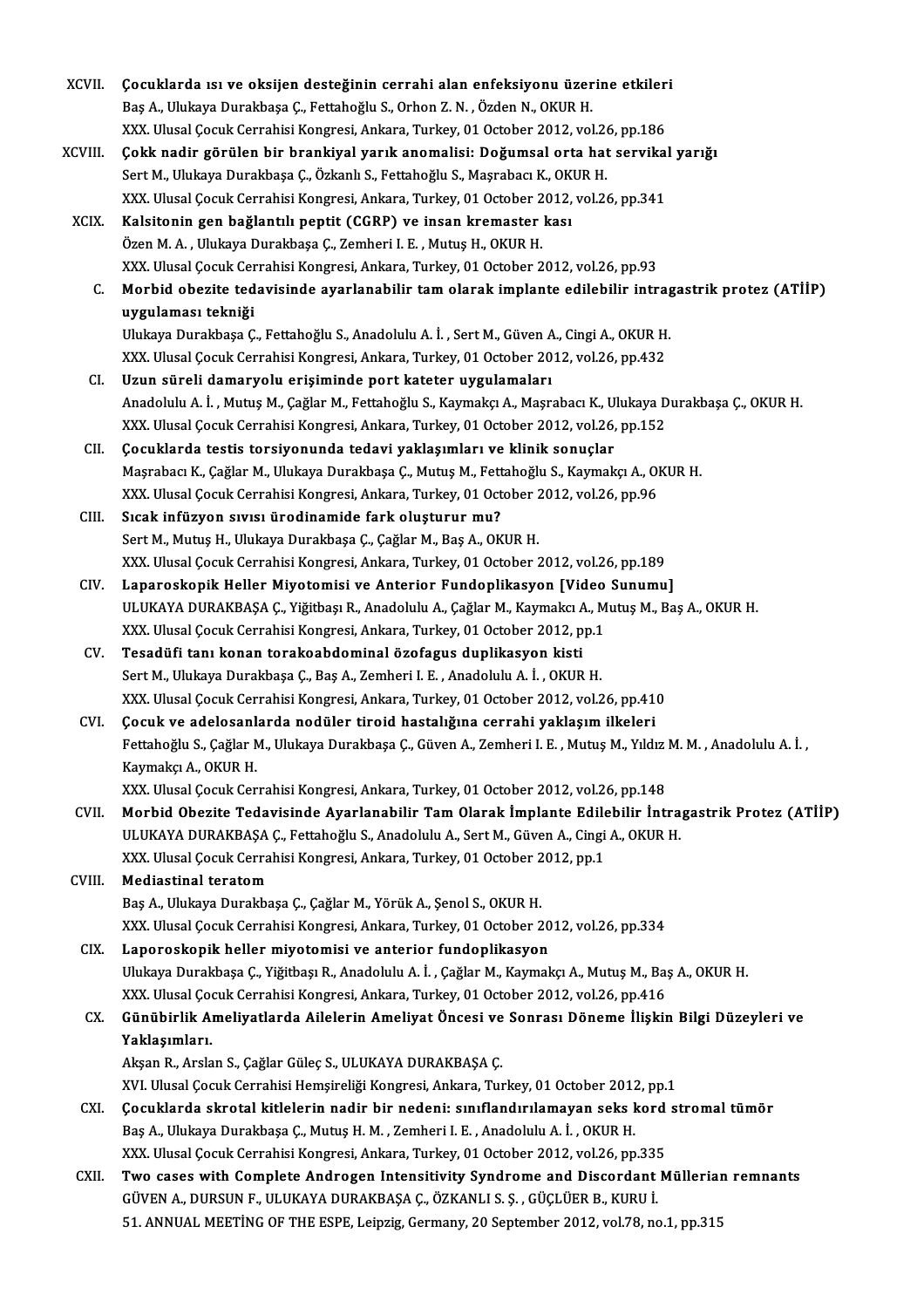| XCVII.         | Çocuklarda ısı ve oksijen desteğinin cerrahi alan enfeksiyonu üzerine etkileri                                    |
|----------------|-------------------------------------------------------------------------------------------------------------------|
|                | Baş A., Ulukaya Durakbaşa Ç., Fettahoğlu S., Orhon Z. N., Özden N., OKUR H.                                       |
|                | XXX. Ulusal Çocuk Cerrahisi Kongresi, Ankara, Turkey, 01 October 2012, vol.26, pp.186                             |
| XCVIII.        | Çokk nadir görülen bir brankiyal yarık anomalisi: Doğumsal orta hat servikal yarığı                               |
|                | Sert M., Ulukaya Durakbaşa Ç., Özkanlı S., Fettahoğlu S., Maşrabacı K., OKUR H.                                   |
|                | XXX. Ulusal Çocuk Cerrahisi Kongresi, Ankara, Turkey, 01 October 2012, vol.26, pp.341                             |
| XCIX.          | Kalsitonin gen bağlantılı peptit (CGRP) ve insan kremaster kası                                                   |
|                | Özen M. A., Ulukaya Durakbaşa Ç., Zemheri I. E., Mutuş H., OKUR H.                                                |
|                | XXX. Ulusal Çocuk Cerrahisi Kongresi, Ankara, Turkey, 01 October 2012, vol.26, pp.93                              |
| $\mathsf{C}$ . | Morbid obezite tedavisinde ayarlanabilir tam olarak implante edilebilir intragastrik protez (ATİİP)               |
|                | uygulaması tekniği                                                                                                |
|                | Ulukaya Durakbaşa Ç., Fettahoğlu S., Anadolulu A. İ., Sert M., Güven A., Cingi A., OKUR H.                        |
|                | XXX. Ulusal Çocuk Cerrahisi Kongresi, Ankara, Turkey, 01 October 2012, vol.26, pp.432                             |
| CI.            | Uzun süreli damaryolu erişiminde port kateter uygulamaları                                                        |
|                | Anadolulu A. İ., Mutuş M., Çağlar M., Fettahoğlu S., Kaymakçı A., Maşrabacı K., Ulukaya Durakbaşa Ç., OKUR H.     |
|                | XXX. Ulusal Çocuk Cerrahisi Kongresi, Ankara, Turkey, 01 October 2012, vol.26, pp.152                             |
| CII.           | Çocuklarda testis torsiyonunda tedavi yaklaşımları ve klinik sonuçlar                                             |
|                | Maşrabacı K., Çağlar M., Ulukaya Durakbaşa Ç., Mutuş M., Fettahoğlu S., Kaymakçı A., OKUR H.                      |
|                |                                                                                                                   |
|                | XXX. Ulusal Çocuk Cerrahisi Kongresi, Ankara, Turkey, 01 October 2012, vol.26, pp.96                              |
| CIII.          | Sıcak infüzyon sıvısı ürodinamide fark oluşturur mu?                                                              |
|                | Sert M., Mutuş H., Ulukaya Durakbaşa Ç., Çağlar M., Baş A., OKUR H.                                               |
|                | XXX. Ulusal Çocuk Cerrahisi Kongresi, Ankara, Turkey, 01 October 2012, vol.26, pp.189                             |
| CIV.           | Laparoskopik Heller Miyotomisi ve Anterior Fundoplikasyon [Video Sunumu]                                          |
|                | ULUKAYA DURAKBAŞA Ç., Yiğitbaşı R., Anadolulu A., Çağlar M., Kaymakcı A., Mutuş M., Baş A., OKUR H.               |
|                | XXX. Ulusal Çocuk Cerrahisi Kongresi, Ankara, Turkey, 01 October 2012, pp.1                                       |
| CV.            | Tesadüfi tanı konan torakoabdominal özofagus duplikasyon kisti                                                    |
|                | Sert M., Ulukaya Durakbaşa Ç., Baş A., Zemheri I. E., Anadolulu A. İ., OKUR H.                                    |
|                | XXX. Ulusal Çocuk Cerrahisi Kongresi, Ankara, Turkey, 01 October 2012, vol.26, pp.410                             |
| CVI.           | Cocuk ve adelosanlarda nodüler tiroid hastalığına cerrahi yaklaşım ilkeleri                                       |
|                | Fettahoğlu S., Çağlar M., Ulukaya Durakbaşa Ç., Güven A., Zemheri I. E., Mutuş M., Yıldız M. M., Anadolulu A. İ., |
|                | Kaymakçı A., OKUR H.                                                                                              |
|                | XXX. Ulusal Çocuk Cerrahisi Kongresi, Ankara, Turkey, 01 October 2012, vol.26, pp.148                             |
| CVII.          | Morbid Obezite Tedavisinde Ayarlanabilir Tam Olarak İmplante Edilebilir İntragastrik Protez (ATİİP)               |
|                | ULUKAYA DURAKBAŞA Ç., Fettahoğlu S., Anadolulu A., Sert M., Güven A., Cingi A., OKUR H.                           |
|                | XXX. Ulusal Çocuk Cerrahisi Kongresi, Ankara, Turkey, 01 October 2012, pp.1                                       |
| CVIII.         | <b>Mediastinal teratom</b>                                                                                        |
|                | Baş A., Ulukaya Durakbaşa Ç., Çağlar M., Yörük A., Şenol S., OKUR H.                                              |
|                | XXX. Ulusal Çocuk Cerrahisi Kongresi, Ankara, Turkey, 01 October 2012, vol.26, pp.334                             |
| CIX.           | Laporoskopik heller miyotomisi ve anterior fundoplikasyon                                                         |
|                | Ulukaya Durakbaşa Ç., Yiğitbaşı R., Anadolulu A. İ., Çağlar M., Kaymakçı A., Mutuş M., Baş A., OKUR H.            |
|                | XXX. Ulusal Çocuk Cerrahisi Kongresi, Ankara, Turkey, 01 October 2012, vol.26, pp.416                             |
| CX.            | Günübirlik Ameliyatlarda Ailelerin Ameliyat Öncesi ve Sonrası Döneme İlişkin Bilgi Düzeyleri ve                   |
|                | Yaklaşımları.                                                                                                     |
|                | Akşan R., Arslan S., Çağlar Güleç S., ULUKAYA DURAKBAŞA Ç.                                                        |
|                | XVI. Ulusal Çocuk Cerrahisi Hemşireliği Kongresi, Ankara, Turkey, 01 October 2012, pp.1                           |
| CXI.           | Çocuklarda skrotal kitlelerin nadir bir nedeni: sınıflandırılamayan seks kord stromal tümör                       |
|                | Baş A., Ulukaya Durakbaşa Ç., Mutuş H. M., Zemheri I. E., Anadolulu A. İ., OKUR H.                                |
|                | XXX. Ulusal Çocuk Cerrahisi Kongresi, Ankara, Turkey, 01 October 2012, vol.26, pp.335                             |
| CXII.          | Two cases with Complete Androgen Intensitivity Syndrome and Discordant Müllerian remnants                         |
|                | GÜVEN A., DURSUN F., ULUKAYA DURAKBAŞA Ç., ÖZKANLI S. Ş. , GÜÇLÜER B., KURU İ.                                    |
|                | 51. ANNUAL MEETING OF THE ESPE, Leipzig, Germany, 20 September 2012, vol.78, no.1, pp.315                         |
|                |                                                                                                                   |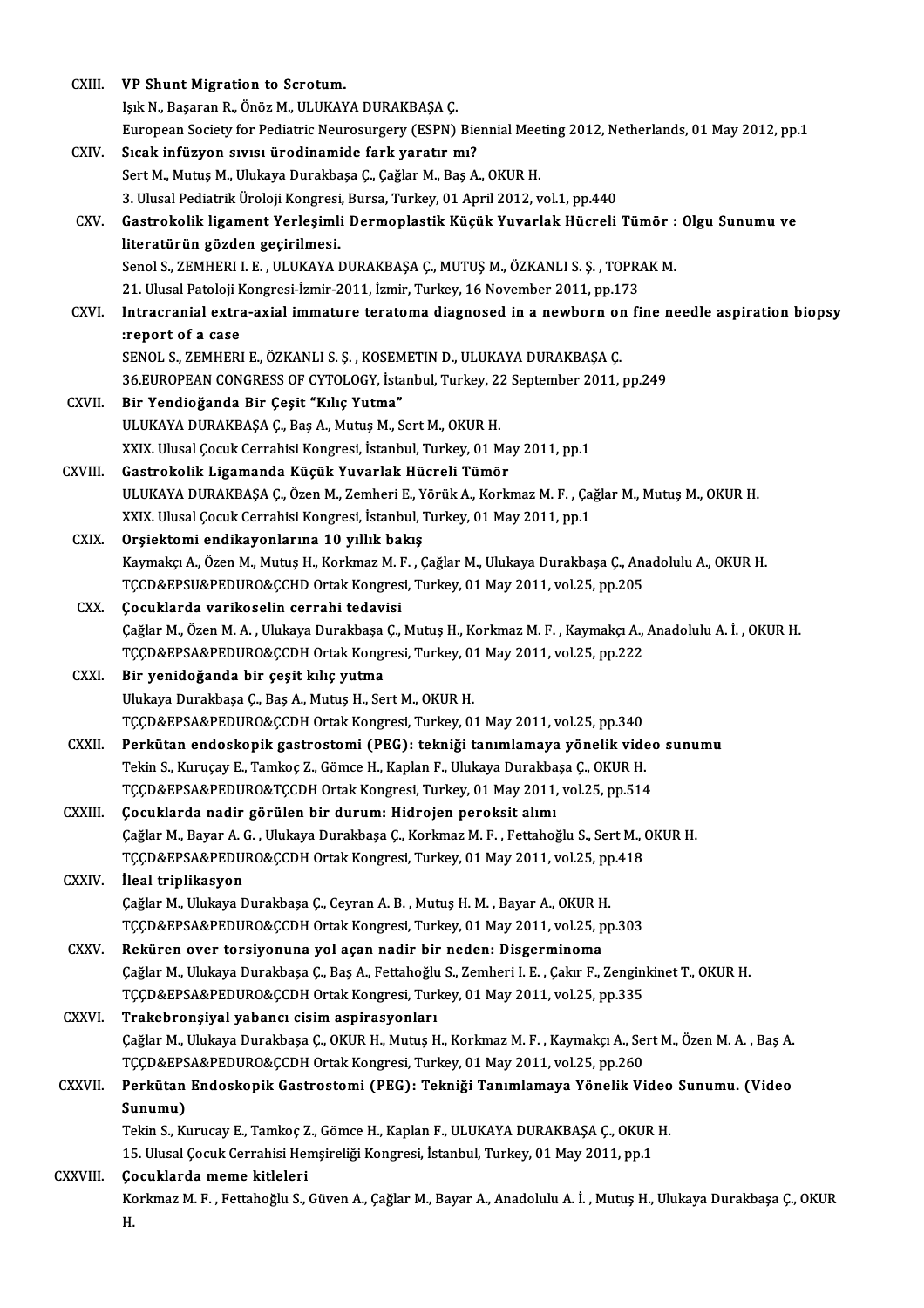| CXIII.       | VP Shunt Migration to Scrotum.                                                                                       |
|--------------|----------------------------------------------------------------------------------------------------------------------|
|              | Işık N., Başaran R., Önöz M., ULUKAYA DURAKBAŞA Ç.                                                                   |
|              | European Society for Pediatric Neurosurgery (ESPN) Biennial Meeting 2012, Netherlands, 01 May 2012, pp.1             |
| CXIV.        | Sıcak infüzyon sıvısı ürodinamide fark yaratır mı?                                                                   |
|              | Sert M., Mutuş M., Ulukaya Durakbaşa Ç., Çağlar M., Baş A., OKUR H.                                                  |
|              | 3. Ulusal Pediatrik Üroloji Kongresi, Bursa, Turkey, 01 April 2012, vol.1, pp.440                                    |
| CXV.         | Gastrokolik ligament Yerleşimli Dermoplastik Küçük Yuvarlak Hücreli Tümör : Olgu Sunumu ve                           |
|              | literatürün gözden geçirilmesi.                                                                                      |
|              | Senol S., ZEMHERI I. E., ULUKAYA DURAKBAŞA Ç., MUTUŞ M., ÖZKANLI S. Ş., TOPRAK M.                                    |
|              | 21. Ulusal Patoloji Kongresi-İzmir-2011, İzmir, Turkey, 16 November 2011, pp.173                                     |
| CXVI.        | Intracranial extra-axial immature teratoma diagnosed in a newborn on fine needle aspiration biopsy                   |
|              | :report of a case                                                                                                    |
|              | SENOL S., ZEMHERI E., ÖZKANLI S. Ş., KOSEMETIN D., ULUKAYA DURAKBAŞA Ç.                                              |
|              | 36.EUROPEAN CONGRESS OF CYTOLOGY, İstanbul, Turkey, 22 September 2011, pp.249                                        |
| CXVII.       | Bir Yendioğanda Bir Çeşit "Kılıç Yutma"                                                                              |
|              | ULUKAYA DURAKBAŞA Ç., Baş A., Mutuş M., Sert M., OKUR H.                                                             |
|              | XXIX. Ulusal Çocuk Cerrahisi Kongresi, İstanbul, Turkey, 01 May 2011, pp.1                                           |
| CXVIII.      | Gastrokolik Ligamanda Küçük Yuvarlak Hücreli Tümör                                                                   |
|              | ULUKAYA DURAKBAŞA Ç., Özen M., Zemheri E., Yörük A., Korkmaz M. F., Çağlar M., Mutuş M., OKUR H.                     |
|              | XXIX. Ulusal Çocuk Cerrahisi Kongresi, İstanbul, Turkey, 01 May 2011, pp.1                                           |
| CXIX.        | Orşiektomi endikayonlarına 10 yıllık bakış                                                                           |
|              | Kaymakçı A., Özen M., Mutuş H., Korkmaz M. F., Çağlar M., Ulukaya Durakbaşa Ç., Anadolulu A., OKUR H.                |
|              | TCCD&EPSU&PEDURO&CCHD Ortak Kongresi, Turkey, 01 May 2011, vol.25, pp.205                                            |
| CXX.         | Çocuklarda varikoselin cerrahi tedavisi                                                                              |
|              | Çağlar M., Özen M. A. , Ulukaya Durakbaşa Ç., Mutuş H., Korkmaz M. F. , Kaymakçı A., Anadolulu A. İ. , OKUR H.       |
|              | TÇÇD&EPSA&PEDURO&ÇCDH Ortak Kongresi, Turkey, 01 May 2011, vol.25, pp.222                                            |
| CXXI.        | Bir yenidoğanda bir çeşit kılıç yutma                                                                                |
|              | Ulukaya Durakbaşa Ç., Baş A., Mutuş H., Sert M., OKUR H.                                                             |
|              | TCCD&EPSA&PEDURO&CCDH Ortak Kongresi, Turkey, 01 May 2011, vol.25, pp.340                                            |
| CXXII.       | Perkütan endoskopik gastrostomi (PEG): tekniği tanımlamaya yönelik video sunumu                                      |
|              | Tekin S., Kuruçay E., Tamkoç Z., Gömce H., Kaplan F., Ulukaya Durakbaşa Ç., OKUR H.                                  |
|              | TÇÇD&EPSA&PEDURO&TÇCDH Ortak Kongresi, Turkey, 01 May 2011, vol.25, pp.514                                           |
| CXXIII.      | Çocuklarda nadir görülen bir durum: Hidrojen peroksit alımı                                                          |
|              | Çağlar M., Bayar A. G., Ulukaya Durakbaşa Ç., Korkmaz M. F., Fettahoğlu S., Sert M., OKUR H.                         |
|              | TÇÇD&EPSA&PEDURO&ÇCDH Ortak Kongresi, Turkey, 01 May 2011, vol.25, pp.418                                            |
| CXXIV.       | İleal triplikasyon                                                                                                   |
|              | Çağlar M., Ulukaya Durakbaşa Ç., Ceyran A. B., Mutuş H. M., Bayar A., OKUR H.                                        |
|              | TÇÇD&EPSA&PEDURO&ÇCDH Ortak Kongresi, Turkey, 01 May 2011, vol.25, pp.303                                            |
| CXXV.        | Reküren over torsiyonuna yol açan nadir bir neden: Disgerminoma                                                      |
|              | Çağlar M., Ulukaya Durakbaşa Ç., Baş A., Fettahoğlu S., Zemheri I. E. , Çakır F., Zenginkinet T., OKUR H.            |
|              | TCCD&EPSA&PEDURO&CCDH Ortak Kongresi, Turkey, 01 May 2011, vol.25, pp.335                                            |
| <b>CXXVI</b> | Trakebronşiyal yabancı cisim aspirasyonları                                                                          |
|              | Çağlar M., Ulukaya Durakbaşa Ç., OKUR H., Mutuş H., Korkmaz M. F., Kaymakçı A., Sert M., Özen M. A., Baş A.          |
|              | TÇÇD&EPSA&PEDURO&ÇCDH Ortak Kongresi, Turkey, 01 May 2011, vol.25, pp.260                                            |
| CXXVII.      | Perkütan Endoskopik Gastrostomi (PEG): Tekniği Tanımlamaya Yönelik Video Sunumu. (Video                              |
|              | Sunumu)                                                                                                              |
|              | Tekin S., Kurucay E., Tamkoç Z., Gömce H., Kaplan F., ULUKAYA DURAKBAŞA Ç., OKUR H.                                  |
|              | 15. Ulusal Çocuk Cerrahisi Hemşireliği Kongresi, İstanbul, Turkey, 01 May 2011, pp.1                                 |
| CXXVIII.     | Çocuklarda meme kitleleri                                                                                            |
|              | Korkmaz M. F. , Fettahoğlu S., Güven A., Çağlar M., Bayar A., Anadolulu A. İ. , Mutuş H., Ulukaya Durakbaşa Ç., OKUR |
|              | Η.                                                                                                                   |
|              |                                                                                                                      |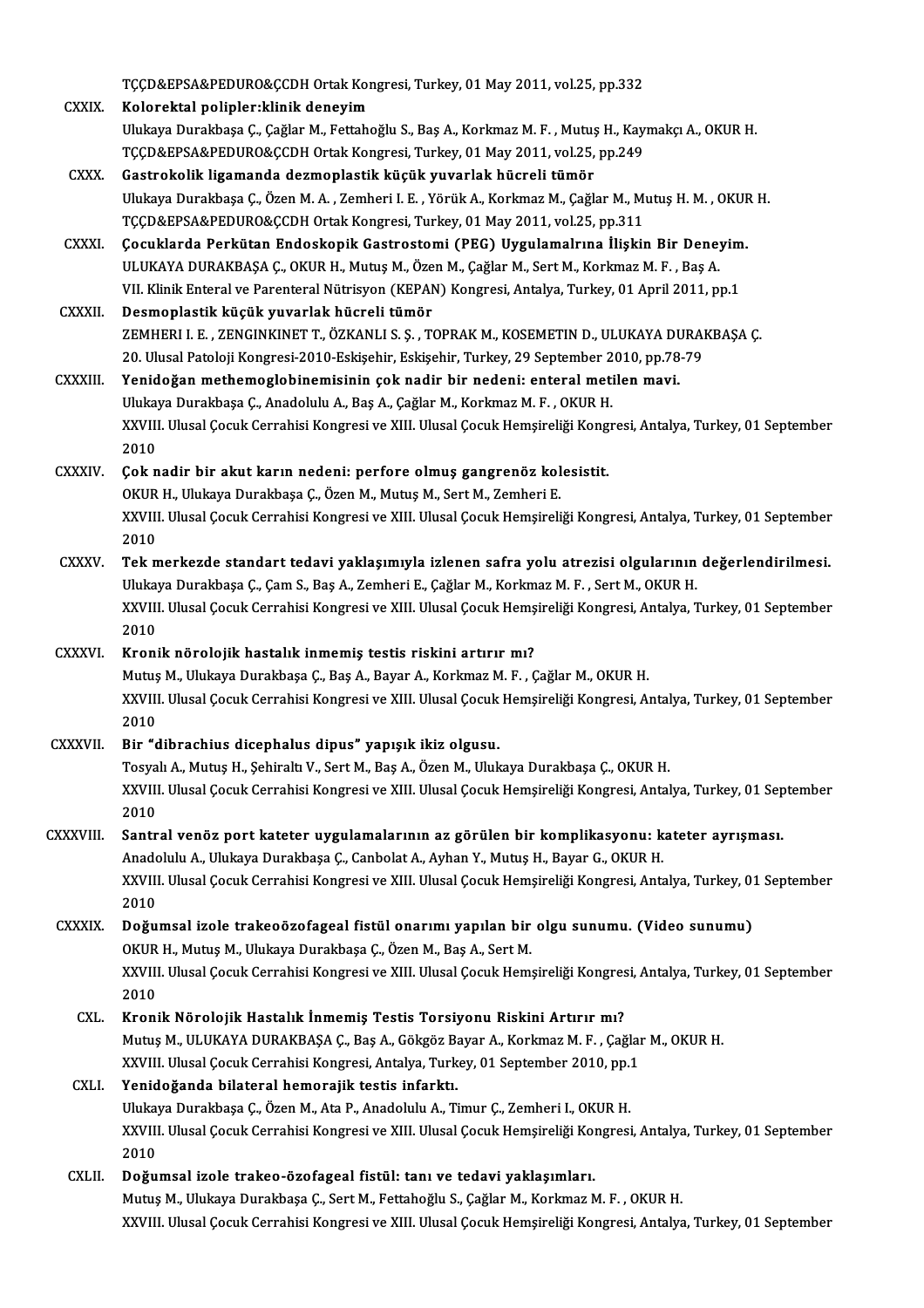|                 | TÇÇD&EPSA&PEDURO&ÇCDH Ortak Kongresi, Turkey, 01 May 2011, vol.25, pp.332                                                 |
|-----------------|---------------------------------------------------------------------------------------------------------------------------|
| <b>CXXIX</b>    | Kolorektal polipler: klinik deneyim                                                                                       |
|                 | Ulukaya Durakbaşa Ç., Çağlar M., Fettahoğlu S., Baş A., Korkmaz M. F., Mutuş H., Kaymakçı A., OKUR H.                     |
|                 | TÇÇD&EPSA&PEDURO&ÇCDH Ortak Kongresi, Turkey, 01 May 2011, vol.25, pp.249                                                 |
| CXXX.           | Gastrokolik ligamanda dezmoplastik küçük yuvarlak hücreli tümör                                                           |
|                 | Ulukaya Durakbaşa Ç., Özen M. A., Zemheri I. E., Yörük A., Korkmaz M., Çağlar M., Mutuş H. M., OKUR H.                    |
|                 | TÇÇD&EPSA&PEDURO&ÇCDH Ortak Kongresi, Turkey, 01 May 2011, vol.25, pp.311                                                 |
| CXXXI.          | Çocuklarda Perkütan Endoskopik Gastrostomi (PEG) Uygulamalrına İlişkin Bir Deneyim.                                       |
|                 | ULUKAYA DURAKBAŞA Ç., OKUR H., Mutuş M., Özen M., Çağlar M., Sert M., Korkmaz M. F., Baş A.                               |
|                 | VII. Klinik Enteral ve Parenteral Nütrisyon (KEPAN) Kongresi, Antalya, Turkey, 01 April 2011, pp.1                        |
| <b>CXXXII</b>   | Desmoplastik küçük yuvarlak hücreli tümör                                                                                 |
|                 | ZEMHERI I. E., ZENGINKINET T., ÖZKANLI S. Ş., TOPRAK M., KOSEMETIN D., ULUKAYA DURAKBAŞA Ç.                               |
|                 | 20. Ulusal Patoloji Kongresi-2010-Eskişehir, Eskişehir, Turkey, 29 September 2010, pp.78-79                               |
| <b>CXXXIII</b>  | Yenidoğan methemoglobinemisinin çok nadir bir nedeni: enteral metilen mavi.                                               |
|                 | Ulukaya Durakbaşa Ç., Anadolulu A., Baş A., Çağlar M., Korkmaz M. F., OKUR H.                                             |
|                 | XXVIII. Ulusal Çocuk Cerrahisi Kongresi ve XIII. Ulusal Çocuk Hemşireliği Kongresi, Antalya, Turkey, 01 September<br>2010 |
| CXXXIV.         | Çok nadir bir akut karın nedeni: perfore olmuş gangrenöz kolesistit.                                                      |
|                 | OKUR H., Ulukaya Durakbaşa Ç., Özen M., Mutuş M., Sert M., Zemheri E.                                                     |
|                 | XXVIII. Ulusal Çocuk Cerrahisi Kongresi ve XIII. Ulusal Çocuk Hemşireliği Kongresi, Antalya, Turkey, 01 September         |
|                 | 2010                                                                                                                      |
| CXXXV.          | Tek merkezde standart tedavi yaklaşımıyla izlenen safra yolu atrezisi olgularının değerlendirilmesi.                      |
|                 | Ulukaya Durakbaşa Ç., Çam S., Baş A., Zemheri E., Çağlar M., Korkmaz M. F., Sert M., OKUR H.                              |
|                 | XXVIII. Ulusal Çocuk Cerrahisi Kongresi ve XIII. Ulusal Çocuk Hemşireliği Kongresi, Antalya, Turkey, 01 September         |
|                 | 2010                                                                                                                      |
| CXXXVI.         | Kronik nörolojik hastalık inmemiş testis riskini artırır mı?                                                              |
|                 | Mutuş M., Ulukaya Durakbaşa Ç., Baş A., Bayar A., Korkmaz M. F., Çağlar M., OKUR H.                                       |
|                 | XXVIII. Ulusal Çocuk Cerrahisi Kongresi ve XIII. Ulusal Çocuk Hemşireliği Kongresi, Antalya, Turkey, 01 September<br>2010 |
| <b>CXXXVII.</b> | Bir "dibrachius dicephalus dipus" yapışık ikiz olgusu.                                                                    |
|                 | Tosyalı A., Mutuş H., Şehiraltı V., Sert M., Baş A., Özen M., Ulukaya Durakbaşa Ç., OKUR H.                               |
|                 | XXVIII. Ulusal Çocuk Cerrahisi Kongresi ve XIII. Ulusal Çocuk Hemşireliği Kongresi, Antalya, Turkey, 01 September<br>2010 |
| CXXXVIII.       | Santral venöz port kateter uygulamalarının az görülen bir komplikasyonu: kateter ayrışması.                               |
|                 | Anadolulu A., Ulukaya Durakbaşa Ç., Canbolat A., Ayhan Y., Mutuş H., Bayar G., OKUR H.                                    |
|                 | XXVIII. Ulusal Çocuk Cerrahisi Kongresi ve XIII. Ulusal Çocuk Hemşireliği Kongresi, Antalya, Turkey, 01 September<br>2010 |
| <b>CXXXIX</b>   | Doğumsal izole trakeoözofageal fistül onarımı yapılan bir olgu sunumu. (Video sunumu)                                     |
|                 | OKUR H., Mutuş M., Ulukaya Durakbaşa Ç., Özen M., Baş A., Sert M.                                                         |
|                 | XXVIII. Ulusal Çocuk Cerrahisi Kongresi ve XIII. Ulusal Çocuk Hemşireliği Kongresi, Antalya, Turkey, 01 September         |
|                 | 2010                                                                                                                      |
| CXL.            | Kronik Nörolojik Hastalık İnmemiş Testis Torsiyonu Riskini Artırır mı?                                                    |
|                 | Mutuş M., ULUKAYA DURAKBAŞA Ç., Baş A., Gökgöz Bayar A., Korkmaz M. F., Çağlar M., OKUR H.                                |
|                 | XXVIII. Ulusal Çocuk Cerrahisi Kongresi, Antalya, Turkey, 01 September 2010, pp.1                                         |
| <b>CXLI</b>     | Yenidoğanda bilateral hemorajik testis infarktı.                                                                          |
|                 | Ulukaya Durakbaşa Ç., Özen M., Ata P., Anadolulu A., Timur Ç., Zemheri I., OKUR H.                                        |
|                 | XXVIII. Ulusal Çocuk Cerrahisi Kongresi ve XIII. Ulusal Çocuk Hemşireliği Kongresi, Antalya, Turkey, 01 September         |
|                 | 2010                                                                                                                      |
| <b>CXLII</b>    | Doğumsal izole trakeo-özofageal fistül: tanı ve tedavi yaklaşımları.                                                      |
|                 | Mutuş M., Ulukaya Durakbaşa Ç., Sert M., Fettahoğlu S., Çağlar M., Korkmaz M. F., OKUR H.                                 |
|                 | XXVIII. Ulusal Çocuk Cerrahisi Kongresi ve XIII. Ulusal Çocuk Hemşireliği Kongresi, Antalya, Turkey, 01 September         |
|                 |                                                                                                                           |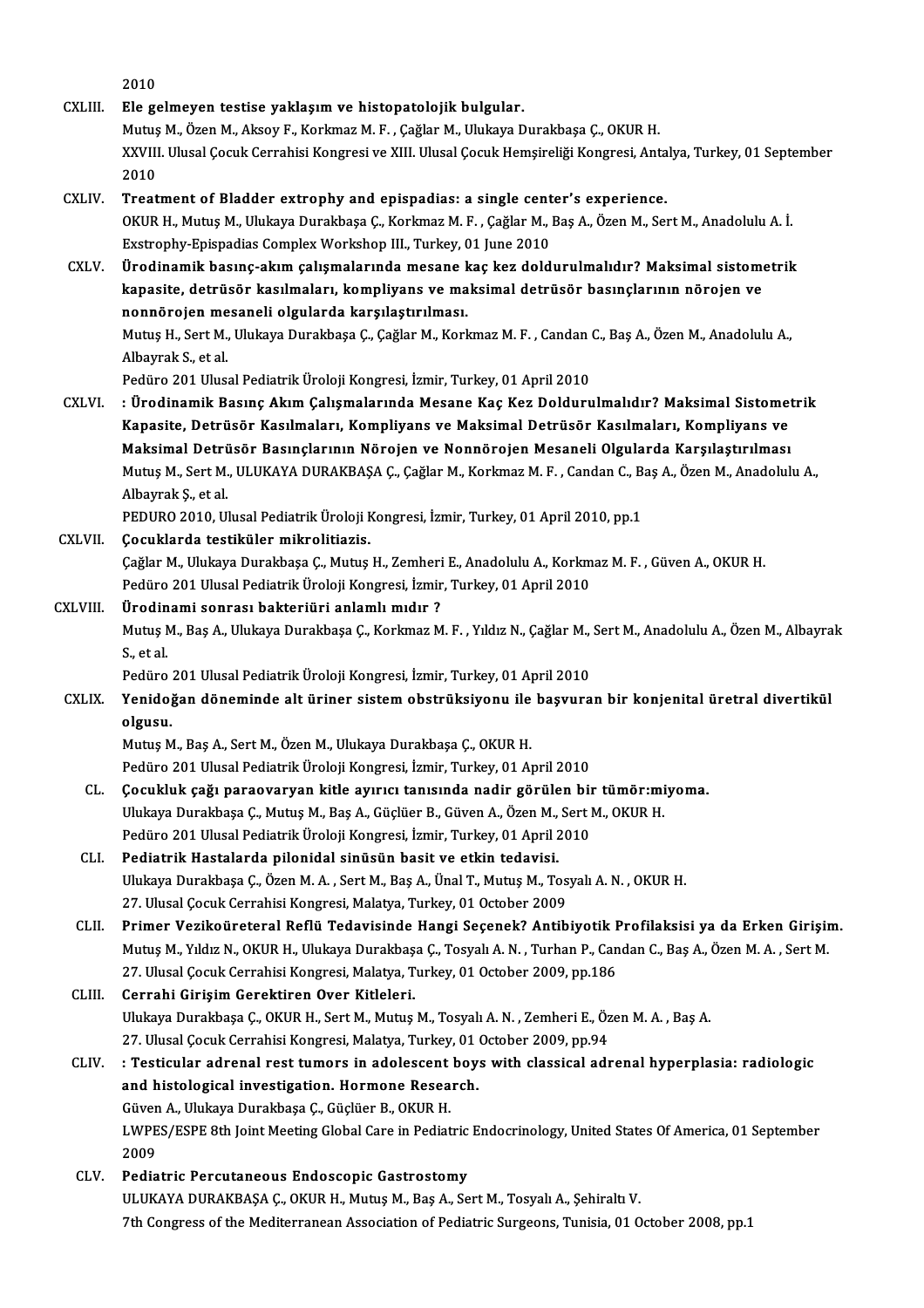|              | 2010                                                                                                                  |
|--------------|-----------------------------------------------------------------------------------------------------------------------|
| CXLIII.      | Ele gelmeyen testise yaklaşım ve histopatolojik bulgular.                                                             |
|              | Mutuş M., Özen M., Aksoy F., Korkmaz M. F., Çağlar M., Ulukaya Durakbaşa Ç., OKUR H.                                  |
|              | XXVIII. Ulusal Çocuk Cerrahisi Kongresi ve XIII. Ulusal Çocuk Hemşireliği Kongresi, Antalya, Turkey, 01 September     |
|              | 2010                                                                                                                  |
| CXLIV.       | Treatment of Bladder extrophy and epispadias: a single center's experience.                                           |
|              | OKUR H., Mutuş M., Ulukaya Durakbaşa Ç., Korkmaz M. F., Çağlar M., Baş A., Özen M., Sert M., Anadolulu A. İ.          |
|              | Exstrophy-Epispadias Complex Workshop III., Turkey, 01 June 2010                                                      |
| CXLV.        | Ürodinamik basınç-akım çalışmalarında mesane kaç kez doldurulmalıdır? Maksimal sistometrik                            |
|              | kapasite, detrüsör kasılmaları, kompliyans ve maksimal detrüsör basınçlarının nörojen ve                              |
|              | nonnörojen mesaneli olgularda karşılaştırılması.                                                                      |
|              | Mutuş H., Sert M., Ulukaya Durakbaşa Ç., Çağlar M., Korkmaz M. F., Candan C., Baş A., Özen M., Anadolulu A.,          |
|              | Albayrak S, et al.                                                                                                    |
|              | Pedüro 201 Ulusal Pediatrik Üroloji Kongresi, İzmir, Turkey, 01 April 2010                                            |
| <b>CXLVI</b> | : Ürodinamik Basınç Akım Çalışmalarında Mesane Kaç Kez Doldurulmalıdır? Maksimal Sistometrik                          |
|              | Kapasite, Detrüsör Kasılmaları, Kompliyans ve Maksimal Detrüsör Kasılmaları, Kompliyans ve                            |
|              | Maksimal Detrüsör Basınçlarının Nörojen ve Nonnörojen Mesaneli Olgularda Karşılaştırılması                            |
|              | Mutuş M., Sert M., ULUKAYA DURAKBAŞA Ç., Çağlar M., Korkmaz M. F., Candan C., Baş A., Özen M., Anadolulu A.,          |
|              | Albayrak Ş, et al.                                                                                                    |
|              | PEDURO 2010, Ulusal Pediatrik Üroloji Kongresi, İzmir, Turkey, 01 April 2010, pp.1                                    |
| CXLVII.      | Çocuklarda testiküler mikrolitiazis.                                                                                  |
|              | Çağlar M., Ulukaya Durakbaşa Ç., Mutuş H., Zemheri E., Anadolulu A., Korkmaz M. F., Güven A., OKUR H.                 |
|              | Pedüro 201 Ulusal Pediatrik Üroloji Kongresi, İzmir, Turkey, 01 April 2010                                            |
| CXLVIII.     | Ürodinami sonrası bakteriüri anlamlı mıdır?                                                                           |
|              | Mutuş M., Baş A., Ulukaya Durakbaşa Ç., Korkmaz M. F., Yıldız N., Çağlar M., Sert M., Anadolulu A., Özen M., Albayrak |
|              | S, et al.                                                                                                             |
|              | Pedüro 201 Ulusal Pediatrik Üroloji Kongresi, İzmir, Turkey, 01 April 2010                                            |
| <b>CXLIX</b> | Yenidoğan döneminde alt üriner sistem obstrüksiyonu ile başvuran bir konjenital üretral divertikül                    |
|              | olgusu.                                                                                                               |
|              | Mutuş M., Baş A., Sert M., Özen M., Ulukaya Durakbaşa Ç., OKUR H.                                                     |
|              | Pedüro 201 Ulusal Pediatrik Üroloji Kongresi, İzmir, Turkey, 01 April 2010                                            |
| CL.          | Çocukluk çağı paraovaryan kitle ayırıcı tanısında nadir görülen bir tümör:miyoma.                                     |
|              | Ulukaya Durakbaşa Ç., Mutuş M., Baş A., Güçlüer B., Güven A., Özen M., Sert M., OKUR H.                               |
|              | Pedüro 201 Ulusal Pediatrik Üroloji Kongresi, İzmir, Turkey, 01 April 2010                                            |
| CLI.         | Pediatrik Hastalarda pilonidal sinüsün basit ve etkin tedavisi.                                                       |
|              | Ulukaya Durakbaşa Ç., Özen M. A., Sert M., Baş A., Ünal T., Mutuş M., Tosyalı A. N., OKUR H.                          |
|              | 27. Ulusal Çocuk Cerrahisi Kongresi, Malatya, Turkey, 01 October 2009                                                 |
| CLII.        | Primer Vezikoüreteral Reflü Tedavisinde Hangi Seçenek? Antibiyotik Profilaksisi ya da Erken Girişim.                  |
|              | Mutuş M., Yıldız N., OKUR H., Ulukaya Durakbaşa Ç., Tosyalı A. N., Turhan P., Candan C., Baş A., Özen M. A., Sert M.  |
|              | 27. Ulusal Çocuk Cerrahisi Kongresi, Malatya, Turkey, 01 October 2009, pp.186                                         |
| CLIII.       | Cerrahi Girişim Gerektiren Over Kitleleri.                                                                            |
|              | Ulukaya Durakbaşa Ç., OKUR H., Sert M., Mutuş M., Tosyalı A. N., Zemheri E., Özen M. A., Baş A.                       |
|              | 27. Ulusal Çocuk Cerrahisi Kongresi, Malatya, Turkey, 01 October 2009, pp.94                                          |
| CLIV.        | : Testicular adrenal rest tumors in adolescent boys with classical adrenal hyperplasia: radiologic                    |
|              | and histological investigation. Hormone Research.                                                                     |
|              | Güven A., Ulukaya Durakbaşa Ç., Güçlüer B., OKUR H.                                                                   |
|              | LWPES/ESPE 8th Joint Meeting Global Care in Pediatric Endocrinology, United States Of America, 01 September           |
|              | 2009                                                                                                                  |
| CLV.         | Pediatric Percutaneous Endoscopic Gastrostomy                                                                         |
|              | ULUKAYA DURAKBAŞA Ç., OKUR H., Mutuş M., Baş A., Sert M., Tosyalı A., Şehiraltı V.                                    |
|              | 7th Congress of the Mediterranean Association of Pediatric Surgeons, Tunisia, 01 October 2008, pp.1                   |
|              |                                                                                                                       |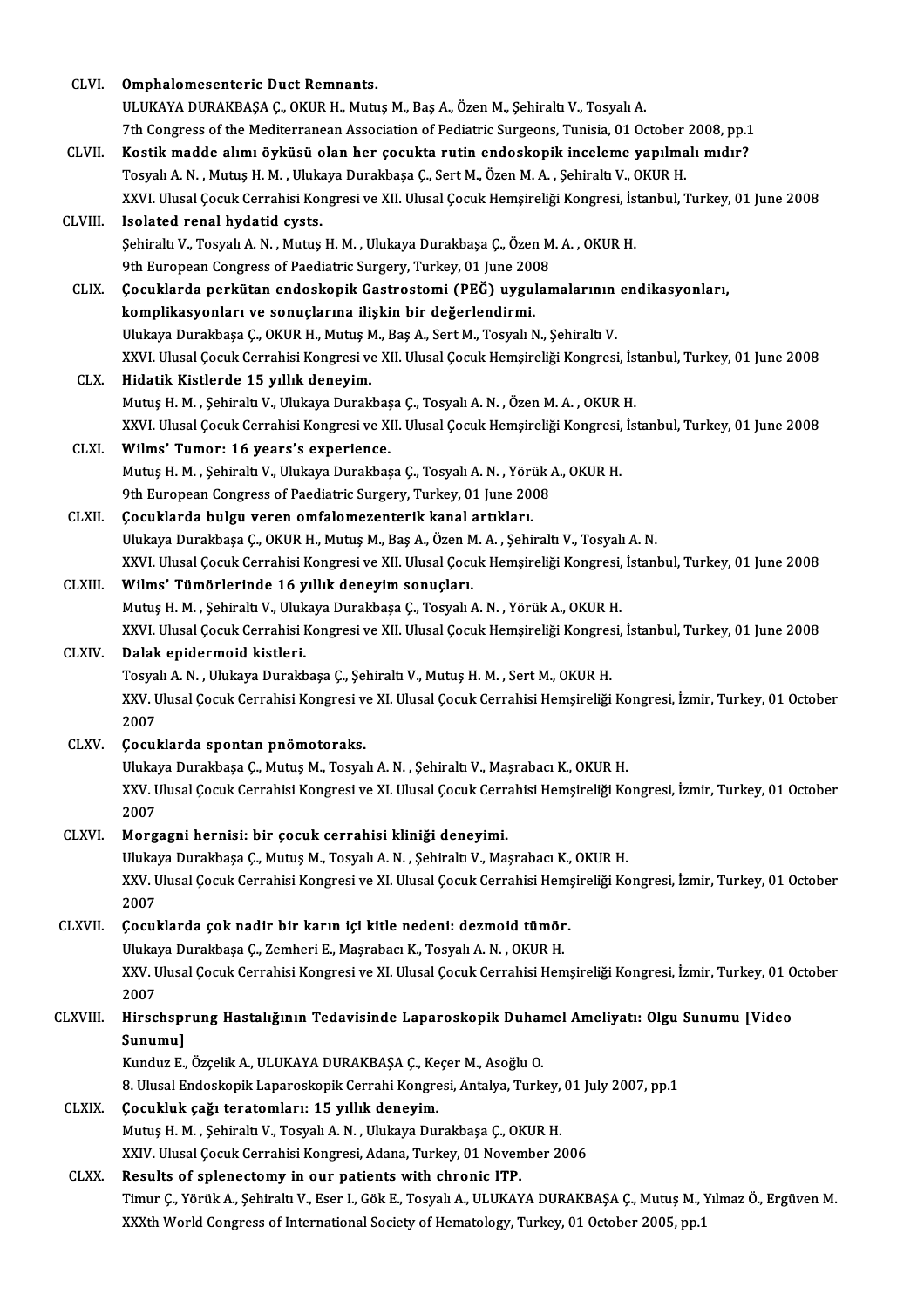| CLVI.        | Omphalomesenteric Duct Remnants.                                                                                     |
|--------------|----------------------------------------------------------------------------------------------------------------------|
|              | ULUKAYA DURAKBAŞA Ç., OKUR H., Mutuş M., Baş A., Özen M., Şehiraltı V., Tosyalı A.                                   |
|              | 7th Congress of the Mediterranean Association of Pediatric Surgeons, Tunisia, 01 October 2008, pp.1                  |
| CLVII.       | Kostik madde alımı öyküsü olan her çocukta rutin endoskopik inceleme yapılmalı mıdır?                                |
|              | Tosyalı A. N., Mutuş H. M., Ulukaya Durakbaşa Ç., Sert M., Özen M. A., Şehiraltı V., OKUR H.                         |
|              | XXVI. Ulusal Çocuk Cerrahisi Kongresi ve XII. Ulusal Çocuk Hemşireliği Kongresi, İstanbul, Turkey, 01 June 2008      |
| CLVIII.      | Isolated renal hydatid cysts.                                                                                        |
|              | Şehiraltı V., Tosyalı A. N., Mutuş H. M., Ulukaya Durakbaşa Ç., Özen M. A., OKUR H.                                  |
|              | 9th European Congress of Paediatric Surgery, Turkey, 01 June 2008                                                    |
| CLIX.        | Çocuklarda perkütan endoskopik Gastrostomi (PEĞ) uygulamalarının endikasyonları,                                     |
|              | komplikasyonları ve sonuçlarına ilişkin bir değerlendirmi.                                                           |
|              | Ulukaya Durakbaşa Ç., OKUR H., Mutuş M., Baş A., Sert M., Tosyalı N., Şehiraltı V.                                   |
|              | XXVI. Ulusal Çocuk Cerrahisi Kongresi ve XII. Ulusal Çocuk Hemşireliği Kongresi, İstanbul, Turkey, 01 June 2008      |
| CLX.         | Hidatik Kistlerde 15 yıllık deneyim.                                                                                 |
|              | Mutuş H. M., Şehiraltı V., Ulukaya Durakbaşa Ç., Tosyalı A. N., Özen M. A., OKUR H.                                  |
|              | XXVI. Ulusal Çocuk Cerrahisi Kongresi ve XII. Ulusal Çocuk Hemşireliği Kongresi, İstanbul, Turkey, 01 June 2008      |
| CLXI.        | Wilms' Tumor: 16 years's experience.                                                                                 |
|              | Mutuş H. M., Şehiraltı V., Ulukaya Durakbaşa Ç., Tosyalı A. N., Yörük A., OKUR H.                                    |
|              | 9th European Congress of Paediatric Surgery, Turkey, 01 June 2008                                                    |
| <b>CLXII</b> | Çocuklarda bulgu veren omfalomezenterik kanal artıkları.                                                             |
|              | Ulukaya Durakbaşa Ç., OKUR H., Mutuş M., Baş A., Özen M. A., Şehiraltı V., Tosyalı A. N.                             |
|              | XXVI. Ulusal Çocuk Cerrahisi Kongresi ve XII. Ulusal Çocuk Hemşireliği Kongresi, İstanbul, Turkey, 01 June 2008      |
| CLXIII.      | Wilms' Tümörlerinde 16 yıllık deneyim sonuçları.                                                                     |
|              | Mutuş H. M., Şehiraltı V., Ulukaya Durakbaşa Ç., Tosyalı A. N., Yörük A., OKUR H.                                    |
|              | XXVI. Ulusal Çocuk Cerrahisi Kongresi ve XII. Ulusal Çocuk Hemşireliği Kongresi, İstanbul, Turkey, 01 June 2008      |
| CLXIV.       | Dalak epidermoid kistleri.                                                                                           |
|              | Tosyalı A. N., Ulukaya Durakbaşa Ç., Şehiraltı V., Mutuş H. M., Sert M., OKUR H.                                     |
|              | XXV. Ulusal Çocuk Cerrahisi Kongresi ve XI. Ulusal Çocuk Cerrahisi Hemşireliği Kongresi, İzmir, Turkey, 01 October   |
|              | 2007                                                                                                                 |
| CLXV.        | Çocuklarda spontan pnömotoraks.                                                                                      |
|              | Ulukaya Durakbaşa Ç., Mutuş M., Tosyalı A. N., Şehiraltı V., Maşrabacı K., OKUR H.                                   |
|              | XXV. Ulusal Çocuk Cerrahisi Kongresi ve XI. Ulusal Çocuk Cerrahisi Hemşireliği Kongresi, İzmir, Turkey, 01 October   |
|              | 2007                                                                                                                 |
| CLXVI.       | Morgagni hernisi: bir çocuk cerrahisi kliniği deneyimi.                                                              |
|              | Ulukaya Durakbaşa Ç., Mutuş M., Tosyalı A. N., Şehiraltı V., Maşrabacı K., OKUR H.                                   |
|              | XXV. Ulusal Çocuk Cerrahisi Kongresi ve XI. Ulusal Çocuk Cerrahisi Hemşireliği Kongresi, İzmir, Turkey, 01 October   |
|              | 2007                                                                                                                 |
| CLXVII.      | Çocuklarda çok nadir bir karın içi kitle nedeni: dezmoid tümör.                                                      |
|              | Ulukaya Durakbaşa Ç., Zemheri E., Maşrabacı K., Tosyalı A. N., OKUR H.                                               |
|              | XXV. Ulusal Çocuk Cerrahisi Kongresi ve XI. Ulusal Çocuk Cerrahisi Hemşireliği Kongresi, İzmir, Turkey, 01 October   |
|              | 2007                                                                                                                 |
| CLXVIII.     | Hirschsprung Hastalığının Tedavisinde Laparoskopik Duhamel Ameliyatı: Olgu Sunumu [Video                             |
|              | Sunumu]                                                                                                              |
|              | Kunduz E., Özçelik A., ULUKAYA DURAKBAŞA Ç., Keçer M., Asoğlu O.                                                     |
|              | 8. Ulusal Endoskopik Laparoskopik Cerrahi Kongresi, Antalya, Turkey, 01 July 2007, pp.1                              |
| CLXIX.       | Çocukluk çağı teratomları: 15 yıllık deneyim.                                                                        |
|              | Mutuş H. M., Şehiraltı V., Tosyalı A. N., Ulukaya Durakbaşa Ç., OKUR H.                                              |
|              | XXIV. Ulusal Çocuk Cerrahisi Kongresi, Adana, Turkey, 01 November 2006                                               |
| CLXX.        | Results of splenectomy in our patients with chronic ITP.                                                             |
|              | Timur Ç., Yörük A., Şehiraltı V., Eser I., Gök E., Tosyalı A., ULUKAYA DURAKBAŞA Ç., Mutuş M., Yılmaz Ö., Ergüven M. |
|              | XXXth World Congress of International Society of Hematology, Turkey, 01 October 2005, pp.1                           |
|              |                                                                                                                      |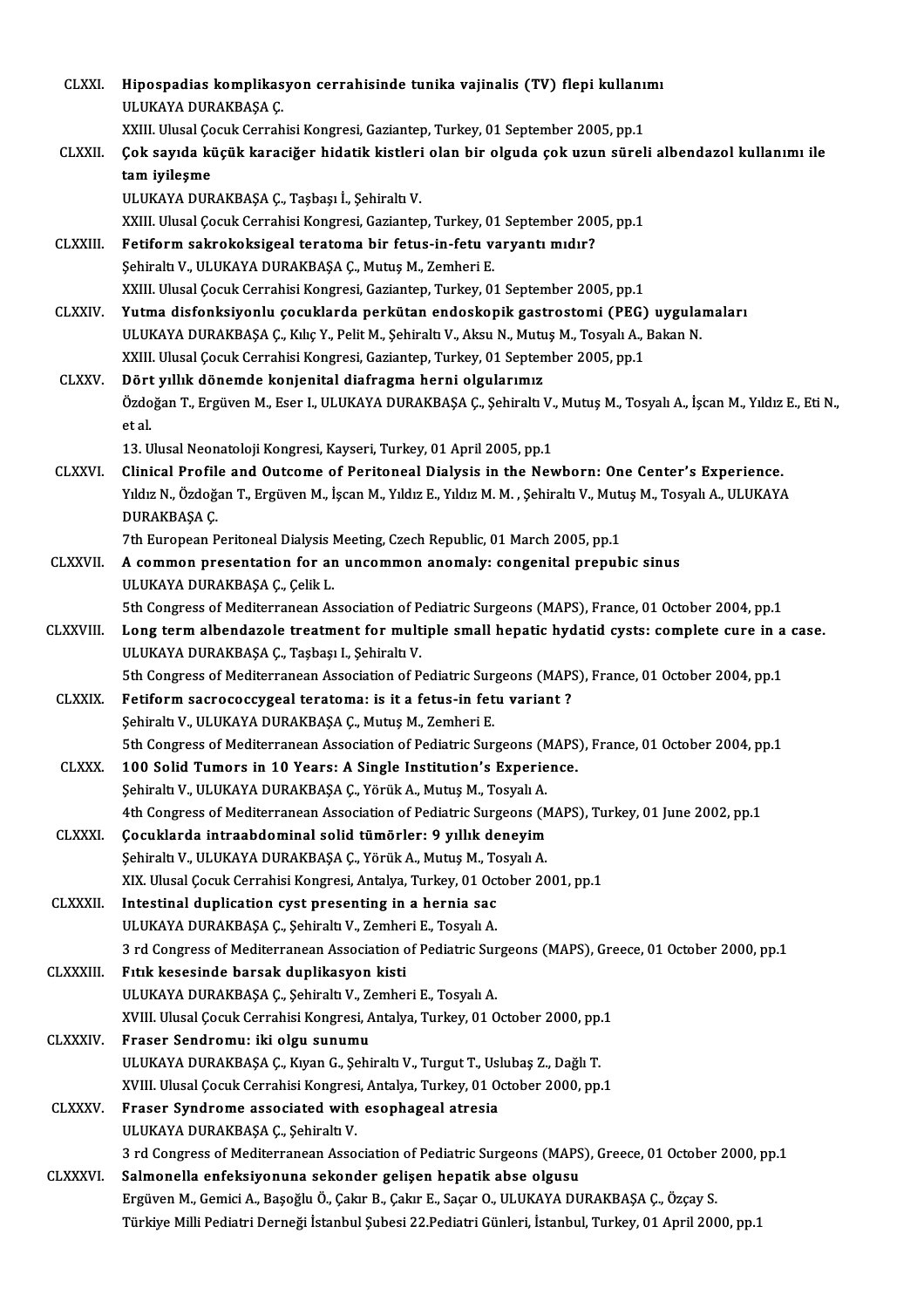| <b>CLXXI</b>     | Hipospadias komplikasyon cerrahisinde tunika vajinalis (TV) flepi kullanımı                                                                          |
|------------------|------------------------------------------------------------------------------------------------------------------------------------------------------|
|                  | ULUKAYA DURAKBAŞA Ç.                                                                                                                                 |
|                  | XXIII. Ulusal Çocuk Cerrahisi Kongresi, Gaziantep, Turkey, 01 September 2005, pp.1                                                                   |
| <b>CLXXII</b>    | Çok sayıda küçük karaciğer hidatik kistleri olan bir olguda çok uzun süreli albendazol kullanımı ile                                                 |
|                  | tam iyileşme                                                                                                                                         |
|                  | ULUKAYA DURAKBAŞA Ç., Taşbaşı İ., Şehiraltı V.                                                                                                       |
|                  | XXIII. Ulusal Çocuk Cerrahisi Kongresi, Gaziantep, Turkey, 01 September 2005, pp.1                                                                   |
| <b>CLXXIII.</b>  | Fetiform sakrokoksigeal teratoma bir fetus-in-fetu varyantı mıdır?                                                                                   |
|                  | Şehiraltı V., ULUKAYA DURAKBAŞA Ç., Mutuş M., Zemheri E.                                                                                             |
|                  | XXIII. Ulusal Çocuk Cerrahisi Kongresi, Gaziantep, Turkey, 01 September 2005, pp.1                                                                   |
| <b>CLXXIV</b>    | Yutma disfonksiyonlu çocuklarda perkütan endoskopik gastrostomi (PEG) uygulamaları                                                                   |
|                  | ULUKAYA DURAKBAŞA Ç., Kılıç Y., Pelit M., Şehiraltı V., Aksu N., Mutuş M., Tosyalı A., Bakan N.                                                      |
|                  | XXIII. Ulusal Çocuk Cerrahisi Kongresi, Gaziantep, Turkey, 01 September 2005, pp.1                                                                   |
| <b>CLXXV</b>     | Dört yıllık dönemde konjenital diafragma herni olgularımız                                                                                           |
|                  | Özdoğan T., Ergüven M., Eser I., ULUKAYA DURAKBAŞA Ç., Şehiraltı V., Mutuş M., Tosyalı A., İşcan M., Yıldız E., Eti N.,                              |
|                  | et al.                                                                                                                                               |
|                  | 13. Ulusal Neonatoloji Kongresi, Kayseri, Turkey, 01 April 2005, pp.1                                                                                |
| <b>CLXXVI.</b>   | Clinical Profile and Outcome of Peritoneal Dialysis in the Newborn: One Center's Experience.                                                         |
|                  | Yıldız N., Özdoğan T., Ergüven M., İşcan M., Yıldız E., Yıldız M. M. , Şehiraltı V., Mutuş M., Tosyalı A., ULUKAYA                                   |
|                  | DURAKBAŞA Ç                                                                                                                                          |
|                  | 7th European Peritoneal Dialysis Meeting, Czech Republic, 01 March 2005, pp.1                                                                        |
| <b>CLXXVII.</b>  | A common presentation for an uncommon anomaly: congenital prepubic sinus                                                                             |
|                  | ULUKAYA DURAKBAŞA Ç., Çelik L.                                                                                                                       |
| CLXXVIII.        | 5th Congress of Mediterranean Association of Pediatric Surgeons (MAPS), France, 01 October 2004, pp.1                                                |
|                  | Long term albendazole treatment for multiple small hepatic hydatid cysts: complete cure in a case.<br>ULUKAYA DURAKBAŞA Ç., Taşbaşı I., Şehiraltı V. |
|                  | 5th Congress of Mediterranean Association of Pediatric Surgeons (MAPS), France, 01 October 2004, pp.1                                                |
| <b>CLXXIX</b>    | Fetiform sacrococcygeal teratoma: is it a fetus-in fetu variant?                                                                                     |
|                  | Şehiraltı V., ULUKAYA DURAKBAŞA Ç., Mutuş M., Zemheri E.                                                                                             |
|                  | 5th Congress of Mediterranean Association of Pediatric Surgeons (MAPS), France, 01 October 2004, pp.1                                                |
| <b>CLXXX</b>     | 100 Solid Tumors in 10 Years: A Single Institution's Experience.                                                                                     |
|                  | Şehiraltı V., ULUKAYA DURAKBAŞA Ç., Yörük A., Mutuş M., Tosyalı A.                                                                                   |
|                  | 4th Congress of Mediterranean Association of Pediatric Surgeons (MAPS), Turkey, 01 June 2002, pp.1                                                   |
| <b>CLXXXI</b>    | Çocuklarda intraabdominal solid tümörler: 9 yıllık deneyim                                                                                           |
|                  | Şehiraltı V., ULUKAYA DURAKBAŞA Ç., Yörük A., Mutuş M., Tosyalı A.                                                                                   |
|                  | XIX. Ulusal Çocuk Cerrahisi Kongresi, Antalya, Turkey, 01 October 2001, pp.1                                                                         |
| <b>CLXXXII</b>   | Intestinal duplication cyst presenting in a hernia sac                                                                                               |
|                  | ULUKAYA DURAKBAŞA Ç., Şehiraltı V., Zemheri E., Tosyalı A.                                                                                           |
|                  | 3 rd Congress of Mediterranean Association of Pediatric Surgeons (MAPS), Greece, 01 October 2000, pp.1                                               |
| <b>CLXXXIII.</b> | Fitik kesesinde barsak duplikasyon kisti                                                                                                             |
|                  | ULUKAYA DURAKBAŞA Ç., Şehiraltı V., Zemheri E., Tosyalı A.                                                                                           |
|                  | XVIII. Ulusal Çocuk Cerrahisi Kongresi, Antalya, Turkey, 01 October 2000, pp.1                                                                       |
| <b>CLXXXIV</b>   | Fraser Sendromu: iki olgu sunumu                                                                                                                     |
|                  | ULUKAYA DURAKBAŞA Ç., Kıyan G., Şehiraltı V., Turgut T., Uslubaş Z., Dağlı T.                                                                        |
|                  | XVIII. Ulusal Çocuk Cerrahisi Kongresi, Antalya, Turkey, 01 October 2000, pp.1                                                                       |
| <b>CLXXXV</b>    | Fraser Syndrome associated with esophageal atresia                                                                                                   |
|                  | ULUKAYA DURAKBAŞA Ç., Şehiraltı V.<br>3 rd Congress of Mediterranean Association of Pediatric Surgeons (MAPS), Greece, 01 October 2000, pp.1         |
| <b>CLXXXVI.</b>  | Salmonella enfeksiyonuna sekonder gelişen hepatik abse olgusu                                                                                        |
|                  | Ergüven M., Gemici A., Başoğlu Ö., Çakır B., Çakır E., Saçar O., ULUKAYA DURAKBAŞA Ç., Özçay S.                                                      |
|                  | Türkiye Milli Pediatri Derneği İstanbul Şubesi 22.Pediatri Günleri, İstanbul, Turkey, 01 April 2000, pp.1                                            |
|                  |                                                                                                                                                      |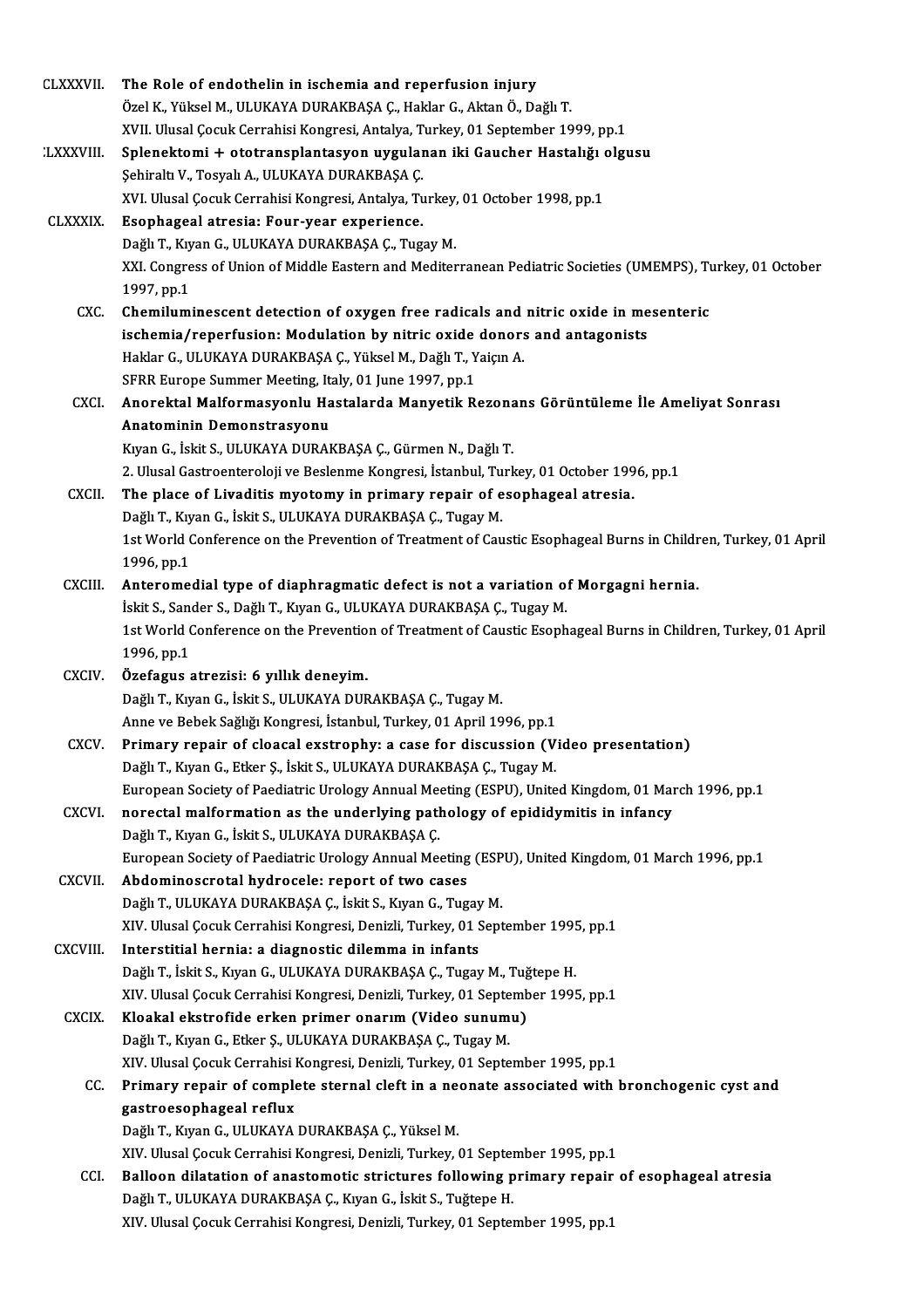| <b>CLXXXVII.</b> | The Role of endothelin in ischemia and reperfusion injury                                                     |
|------------------|---------------------------------------------------------------------------------------------------------------|
|                  | Özel K., Yüksel M., ULUKAYA DURAKBAŞA Ç., Haklar G., Aktan Ö., Dağlı T.                                       |
|                  | XVII. Ulusal Çocuk Cerrahisi Kongresi, Antalya, Turkey, 01 September 1999, pp.1                               |
| <b>LXXXVIII.</b> | Splenektomi + ototransplantasyon uygulanan iki Gaucher Hastalığı olgusu                                       |
|                  | Şehiraltı V., Tosyalı A., ULUKAYA DURAKBAŞA Ç.                                                                |
|                  | XVI. Ulusal Çocuk Cerrahisi Kongresi, Antalya, Turkey, 01 October 1998, pp.1                                  |
| <b>CLXXXIX</b>   | Esophageal atresia: Four-year experience.                                                                     |
|                  | Dağlı T., Kıyan G., ULUKAYA DURAKBAŞA Ç., Tugay M.                                                            |
|                  | XXI. Congress of Union of Middle Eastern and Mediterranean Pediatric Societies (UMEMPS), Turkey, 01 October   |
|                  | 1997, pp 1                                                                                                    |
| CXC.             | Chemiluminescent detection of oxygen free radicals and nitric oxide in mesenteric                             |
|                  | ischemia/reperfusion: Modulation by nitric oxide donors and antagonists                                       |
|                  | Haklar G., ULUKAYA DURAKBAŞA Ç., Yüksel M., Dağlı T., Yaiçın A.                                               |
|                  | SFRR Europe Summer Meeting, Italy, 01 June 1997, pp.1                                                         |
| CXCI.            | Anorektal Malformasyonlu Hastalarda Manyetik Rezonans Görüntüleme İle Ameliyat Sonrası                        |
|                  | Anatominin Demonstrasyonu                                                                                     |
|                  | Kıyan G., İskit S., ULUKAYA DURAKBAŞA Ç., Gürmen N., Dağlı T.                                                 |
|                  | 2. Ulusal Gastroenteroloji ve Beslenme Kongresi, İstanbul, Turkey, 01 October 1996, pp.1                      |
| <b>CXCII</b>     | The place of Livaditis myotomy in primary repair of esophageal atresia.                                       |
|                  | Dağlı T., Kıyan G., İskit S., ULUKAYA DURAKBAŞA Ç., Tugay M.                                                  |
|                  | 1st World Conference on the Prevention of Treatment of Caustic Esophageal Burns in Children, Turkey, 01 April |
|                  | 1996, pp.1                                                                                                    |
| <b>CXCIII</b>    | Anteromedial type of diaphragmatic defect is not a variation of Morgagni hernia.                              |
|                  | İskit S., Sander S., Dağlı T., Kıyan G., ULUKAYA DURAKBAŞA Ç., Tugay M.                                       |
|                  | 1st World Conference on the Prevention of Treatment of Caustic Esophageal Burns in Children, Turkey, 01 April |
|                  | 1996, pp.1                                                                                                    |
| <b>CXCIV</b>     | Özefagus atrezisi: 6 yıllık deneyim.                                                                          |
|                  | Dağlı T., Kıyan G., İskit S., ULUKAYA DURAKBAŞA Ç., Tugay M.                                                  |
|                  | Anne ve Bebek Sağlığı Kongresi, İstanbul, Turkey, 01 April 1996, pp.1                                         |
| <b>CXCV</b>      | Primary repair of cloacal exstrophy: a case for discussion (Video presentation)                               |
|                  | Dağlı T., Kıyan G., Etker Ş., İskit S., ULUKAYA DURAKBAŞA Ç., Tugay M.                                        |
|                  | European Society of Paediatric Urology Annual Meeting (ESPU), United Kingdom, 01 March 1996, pp.1             |
| CXCVI.           | norectal malformation as the underlying pathology of epididymitis in infancy                                  |
|                  | Dağlı T., Kıyan G., İskit S., ULUKAYA DURAKBAŞA Ç.                                                            |
|                  | European Society of Paediatric Urology Annual Meeting (ESPU), United Kingdom, 01 March 1996, pp.1             |
| <b>CXCVII.</b>   | Abdominoscrotal hydrocele: report of two cases                                                                |
|                  | Dağlı T., ULUKAYA DURAKBAŞA Ç., İskit S., Kıyan G., Tugay M.                                                  |
|                  | XIV. Ulusal Çocuk Cerrahisi Kongresi, Denizli, Turkey, 01 September 1995, pp.1                                |
| CXCVIII.         | Interstitial hernia: a diagnostic dilemma in infants                                                          |
|                  | Dağlı T., İskit S., Kıyan G., ULUKAYA DURAKBAŞA Ç., Tugay M., Tuğtepe H.                                      |
|                  | XIV. Ulusal Çocuk Cerrahisi Kongresi, Denizli, Turkey, 01 September 1995, pp.1                                |
| <b>CXCIX</b>     | Kloakal ekstrofide erken primer onarım (Video sunumu)                                                         |
|                  | Dağlı T., Kıyan G., Etker Ş., ULUKAYA DURAKBAŞA Ç., Tugay M.                                                  |
|                  | XIV. Ulusal Çocuk Cerrahisi Kongresi, Denizli, Turkey, 01 September 1995, pp.1                                |
| CC.              | Primary repair of complete sternal cleft in a neonate associated with bronchogenic cyst and                   |
|                  | gastroesophageal reflux                                                                                       |
|                  | Dağlı T., Kıyan G., ULUKAYA DURAKBAŞA Ç., Yüksel M.                                                           |
|                  | XIV. Ulusal Çocuk Cerrahisi Kongresi, Denizli, Turkey, 01 September 1995, pp.1                                |
| CCI.             | Balloon dilatation of anastomotic strictures following primary repair of esophageal atresia                   |
|                  | Dağlı T., ULUKAYA DURAKBAŞA Ç., Kıyan G., İskit S., Tuğtepe H.                                                |
|                  | XIV. Ulusal Çocuk Cerrahisi Kongresi, Denizli, Turkey, 01 September 1995, pp.1                                |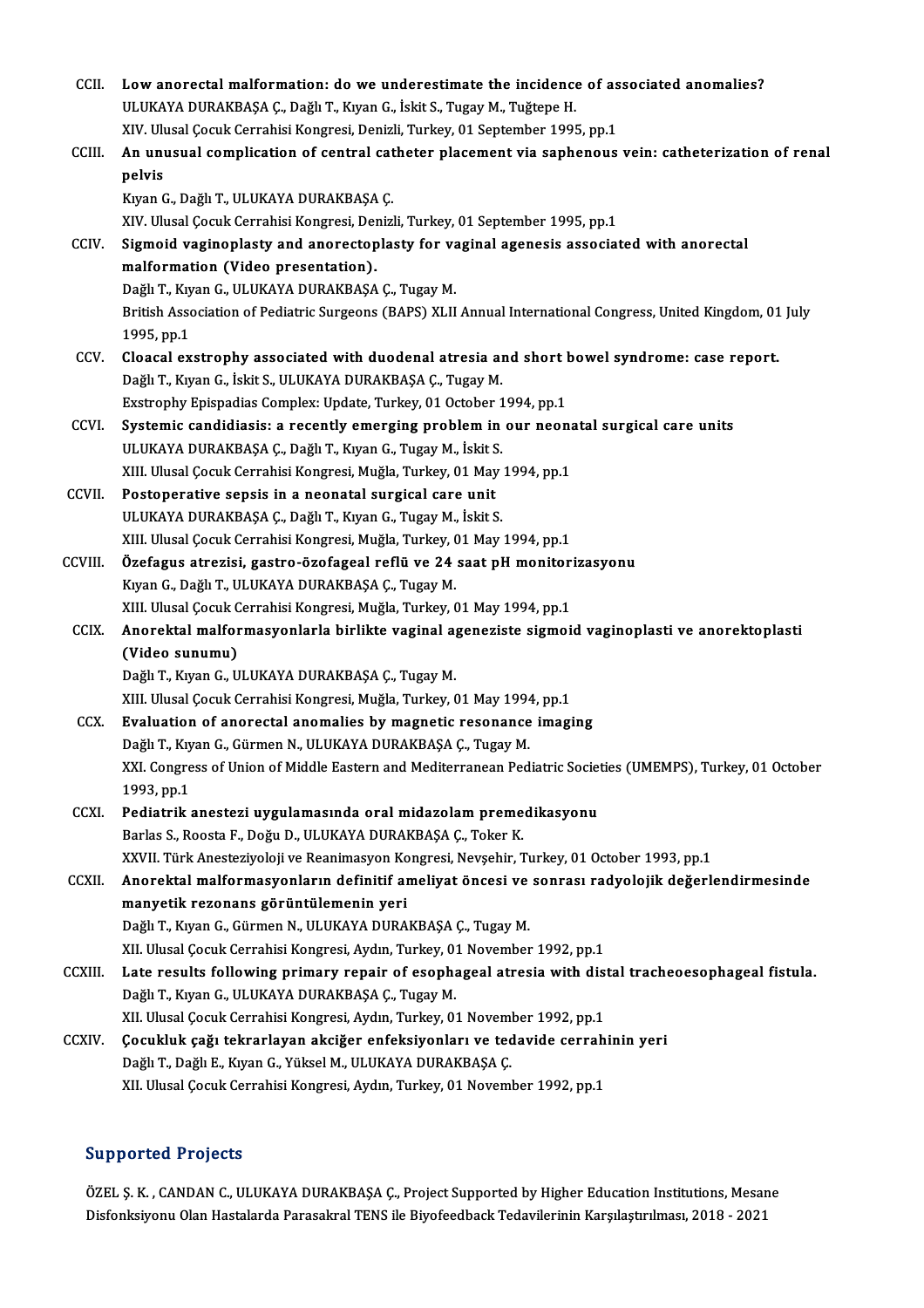| <b>CCII</b>   | Low anorectal malformation: do we underestimate the incidence of associated anomalies?                       |
|---------------|--------------------------------------------------------------------------------------------------------------|
|               | ULUKAYA DURAKBAŞA Ç., Dağlı T., Kıyan G., İskit S., Tugay M., Tuğtepe H.                                     |
|               | XIV. Ulusal Çocuk Cerrahisi Kongresi, Denizli, Turkey, 01 September 1995, pp.1                               |
| CCIII.        | An unusual complication of central catheter placement via saphenous vein: catheterization of renal           |
|               | pelvis                                                                                                       |
|               | Kıyan G., Dağlı T., ULUKAYA DURAKBAŞA Ç.                                                                     |
|               | XIV. Ulusal Çocuk Cerrahisi Kongresi, Denizli, Turkey, 01 September 1995, pp.1                               |
| CCIV.         | Sigmoid vaginoplasty and anorectoplasty for vaginal agenesis associated with anorectal                       |
|               | malformation (Video presentation).                                                                           |
|               | Dağlı T., Kıyan G., ULUKAYA DURAKBAŞA Ç., Tugay M.                                                           |
|               | British Association of Pediatric Surgeons (BAPS) XLII Annual International Congress, United Kingdom, 01 July |
|               | 1995, pp.1                                                                                                   |
| CCV           | Cloacal exstrophy associated with duodenal atresia and short bowel syndrome: case report.                    |
|               | Dağlı T., Kıyan G., İskit S., ULUKAYA DURAKBAŞA Ç., Tugay M.                                                 |
|               | Exstrophy Epispadias Complex: Update, Turkey, 01 October 1994, pp.1                                          |
| CCVI.         | Systemic candidiasis: a recently emerging problem in our neonatal surgical care units                        |
|               | ULUKAYA DURAKBAŞA Ç., Dağlı T., Kıyan G., Tugay M., İskit S.                                                 |
|               | XIII. Ulusal Çocuk Cerrahisi Kongresi, Muğla, Turkey, 01 May 1994, pp.1                                      |
| <b>CCVII</b>  | Postoperative sepsis in a neonatal surgical care unit                                                        |
|               | ULUKAYA DURAKBAŞA Ç., Dağlı T., Kıyan G., Tugay M., İskit S.                                                 |
|               | XIII. Ulusal Çocuk Cerrahisi Kongresi, Muğla, Turkey, 01 May 1994, pp.1                                      |
| CCVIII.       | Özefagus atrezisi, gastro-özofageal reflü ve 24 saat pH monitorizasyonu                                      |
|               | Kıyan G., Dağlı T., ULUKAYA DURAKBAŞA Ç., Tugay M.                                                           |
|               | XIII. Ulusal Çocuk Cerrahisi Kongresi, Muğla, Turkey, 01 May 1994, pp.1                                      |
| <b>CCIX</b>   | Anorektal malformasyonlarla birlikte vaginal ageneziste sigmoid vaginoplasti ve anorektoplasti               |
|               | (Video sunumu)                                                                                               |
|               | Dağlı T., Kıyan G., ULUKAYA DURAKBAŞA Ç., Tugay M.                                                           |
|               | XIII. Ulusal Çocuk Cerrahisi Kongresi, Muğla, Turkey, 01 May 1994, pp.1                                      |
| CCX.          | Evaluation of anorectal anomalies by magnetic resonance imaging                                              |
|               | Dağlı T., Kıyan G., Gürmen N., ULUKAYA DURAKBAŞA Ç., Tugay M.                                                |
|               | XXI. Congress of Union of Middle Eastern and Mediterranean Pediatric Societies (UMEMPS), Turkey, 01 October  |
|               | 1993, pp.1                                                                                                   |
| CCXI.         | Pediatrik anestezi uygulamasında oral midazolam premedikasyonu                                               |
|               | Barlas S., Roosta F., Doğu D., ULUKAYA DURAKBAŞA Ç., Toker K.                                                |
|               | XXVII. Türk Anesteziyoloji ve Reanimasyon Kongresi, Nevşehir, Turkey, 01 October 1993, pp.1                  |
| <b>CCXII</b>  | Anorektal malformasyonların definitif ameliyat öncesi ve sonrası radyolojik değerlendirmesinde               |
|               | manyetik rezonans görüntülemenin yeri                                                                        |
|               | Dağlı T., Kıyan G., Gürmen N., ULUKAYA DURAKBAŞA Ç., Tugay M.                                                |
|               | XII. Ulusal Çocuk Cerrahisi Kongresi, Aydın, Turkey, 01 November 1992, pp.1                                  |
| <b>CCXIII</b> | Late results following primary repair of esophageal atresia with distal tracheoesophageal fistula.           |
|               | Dağlı T., Kıyan G., ULUKAYA DURAKBAŞA Ç., Tugay M.                                                           |
|               | XII. Ulusal Çocuk Cerrahisi Kongresi, Aydın, Turkey, 01 November 1992, pp.1                                  |
| CCXIV.        | Çocukluk çağı tekrarlayan akciğer enfeksiyonları ve tedavide cerrahinin yeri                                 |
|               | Dağlı T., Dağlı E., Kıyan G., Yüksel M., ULUKAYA DURAKBAŞA Ç.                                                |
|               | XII. Ulusal Çocuk Cerrahisi Kongresi, Aydın, Turkey, 01 November 1992, pp.1                                  |

## Supported Projects

Supported Projects<br>ÖZEL Ş. K. , CANDAN C., ULUKAYA DURAKBAŞA Ç., Project Supported by Higher Education Institutions, Mesane<br>Disfonksiyany Olan Hastalarda Parasakral TENS ilə Biyafoodbask Tedavilərinin Karalastrulması 2018 Dupporten 110jeea<br>ÖZEL Ş. K. , CANDAN C., ULUKAYA DURAKBAŞA Ç., Project Supported by Higher Education Institutions, Mesar<br>Disfonksiyonu Olan Hastalarda Parasakral TENS ile Biyofeedback Tedavilerinin Karşılaştırılması, 2018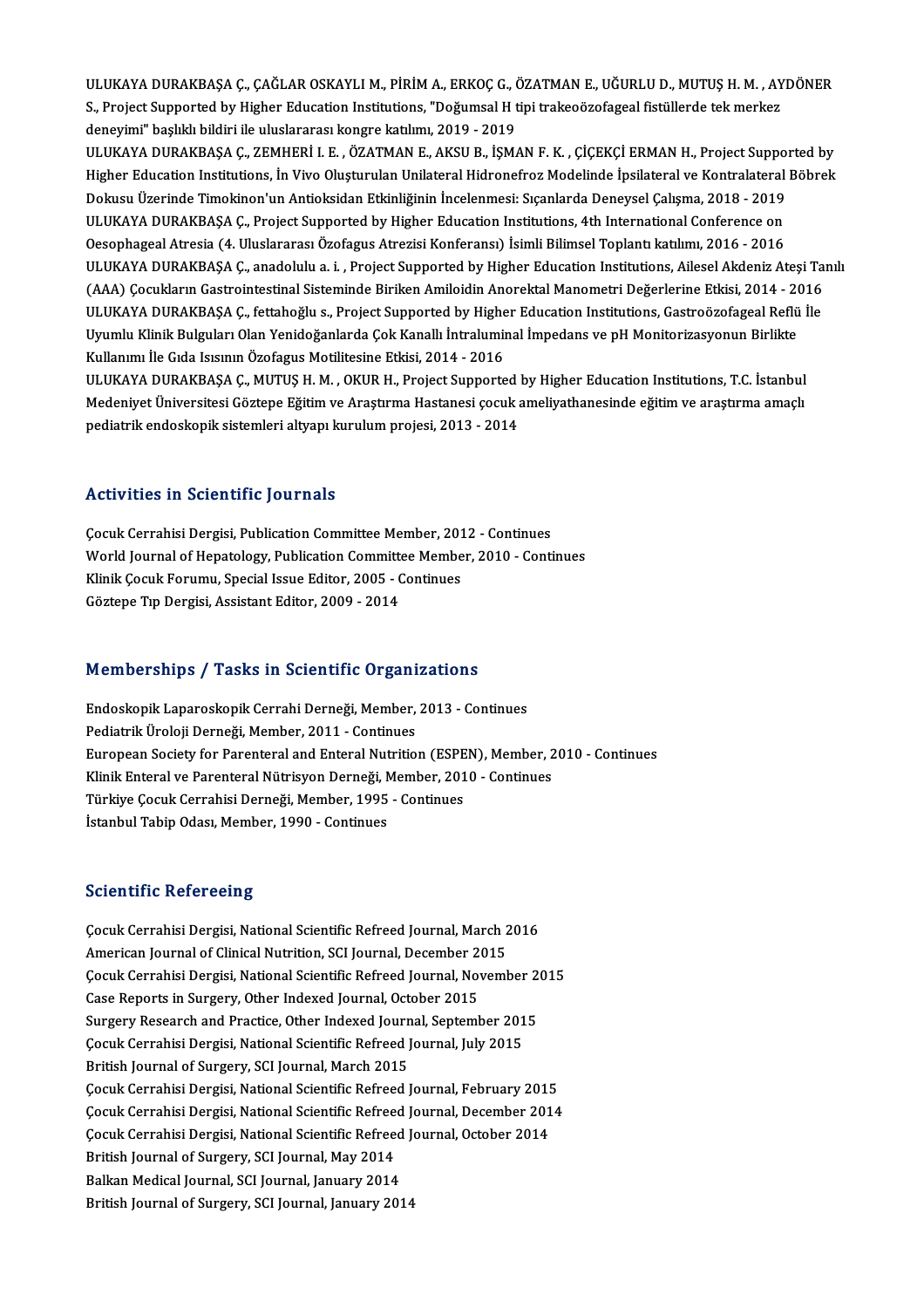ULUKAYA DURAKBAŞA Ç., ÇAĞLAR OSKAYLI M., PİRİM A., ERKOÇ G., ÖZATMAN E., UĞURLU D., MUTUŞ H. M. , AYDÖNER<br>S. Preject Sunnerted bu Hisber Education Institutions. "Değumsel H tipi trakeeğasefessel fistülerde tek merker ULUKAYA DURAKBAŞA Ç., ÇAĞLAR OSKAYLI M., PİRİM A., ERKOÇ G., ÖZATMAN E., UĞURLU D., MUTUŞ H. M. , AY<br>S., Project Supported by Higher Education Institutions, "Doğumsal H tipi trakeoözofageal fistüllerde tek merkez<br>denavimi" ULUKAYA DURAKBAŞA Ç., ÇAĞLAR OSKAYLI M., PİRİM A., ERKOÇ G., (<br>S., Project Supported by Higher Education Institutions, "Doğumsal H t<br>deneyimi" başlıklı bildiri ile uluslararası kongre katılımı, 2019 - 2019<br>ULUKAYA DURAKRAS S., Project Supported by Higher Education Institutions, "Doğumsal H tipi trakeoözofageal fistüllerde tek merkez<br>deneyimi" başlıklı bildiri ile uluslararası kongre katılımı, 2019 - 2019<br>ULUKAYA DURAKBAŞA Ç., ZEMHERİ I. E. ,

deneyimi" başlıklı bildiri ile uluslararası kongre katılımı, 2019 - 2019<br>ULUKAYA DURAKBAŞA Ç., ZEMHERİ I. E. , ÖZATMAN E., AKSU B., İŞMAN F. K. , ÇİÇEKÇİ ERMAN H., Project Supported by<br>Higher Education Institutions, İn Viv ULUKAYA DURAKBAŞA Ç., ZEMHERİ I. E. , ÖZATMAN E., AKSU B., İŞMAN F. K. , ÇİÇEKÇİ ERMAN H., Project Suppo:<br>Higher Education Institutions, İn Vivo Oluşturulan Unilateral Hidronefroz Modelinde İpsilateral ve Kontralatera<br>Doku Higher Education Institutions, İn Vivo Oluşturulan Unilateral Hidronefroz Modelinde İpsilateral ve Kontralateral<br>Dokusu Üzerinde Timokinon'un Antioksidan Etkinliğinin İncelenmesi: Sıçanlarda Deneysel Çalışma, 2018 - 2019<br>U Dokusu Üzerinde Timokinon'un Antioksidan Etkinliğinin İncelenmesi: Sıçanlarda Deneysel Çalışma, 2018 - 2019<br>ULUKAYA DURAKBAŞA Ç., Project Supported by Higher Education Institutions, 4th International Conference on<br>Oesophag ULUKAYA DURAKBAŞA Ç., Project Supported by Higher Education Institutions, 4th International Conference on<br>Oesophageal Atresia (4. Uluslararası Özofagus Atrezisi Konferansı) İsimli Bilimsel Toplantı katılımı, 2016 - 2016<br>UL Oesophageal Atresia (4. Uluslararası Özofagus Atrezisi Konferansı) İsimli Bilimsel Toplantı katılımı, 2016 - 2016<br>ULUKAYA DURAKBAŞA Ç., anadolulu a. i. , Project Supported by Higher Education Institutions, Ailesel Akdeniz ULUKAYA DURAKBAŞA Ç., anadolulu a. i. , Project Supported by Higher Education Institutions, Ailesel Akdeniz Ateşi Ta<br>(AAA) Çocukların Gastrointestinal Sisteminde Biriken Amiloidin Anorektal Manometri Değerlerine Etkisi, 20 (AAA) Çocukların Gastrointestinal Sisteminde Biriken Amiloidin Anorektal Manometri Değerlerine Etkisi, 2014 - 2016<br>ULUKAYA DURAKBAŞA Ç., fettahoğlu s., Project Supported by Higher Education Institutions, Gastroözofageal Re ULUKAYA DURAKBAŞA Ç., fettahoğlu s., Project Supported by Higher Education Institutions, Gastroözofageal Reflü İle Uyumlu Klinik Bulguları Olan Yenidoğanlarda Çok Kanallı İntraluminal İmpedans ve pH Monitorizasyonun Birlikte<br>Kullanımı İle Gıda Isısının Özofagus Motilitesine Etkisi, 2014 - 2016<br>ULUKAYA DURAKBAŞA Ç., MUTUŞ H. M. , OKUR H

Kullanımı İle Gıda Isısının Özofagus Motilitesine Etkisi, 2014 - 2016<br>ULUKAYA DURAKBAŞA Ç., MUTUŞ H. M. , OKUR H., Project Supported by Higher Education Institutions, T.C. İstanbul<br>Medeniyet Üniversitesi Göztepe Eğitim ve ULUKAYA DURAKBAŞA Ç., MUTUŞ H. M. , OKUR H., Project Supported<br>Medeniyet Üniversitesi Göztepe Eğitim ve Araştırma Hastanesi çocuk :<br>pediatrik endoskopik sistemleri altyapı kurulum projesi, 2013 - 2014 pediatrik endoskopik sistemleri altyapı kurulum projesi, 2013 - 2014<br>Activities in Scientific Journals

Activities in Scientific Journals<br>Cocuk Cerrahisi Dergisi, Publication Committee Member, 2012 - Continues<br>World Journal of Henatology, Publication Committee Member, 2010 - Conti World Journal of Hepatology, Publication Committee Member, 2010 - Continues Cocuk Cerrahisi Dergisi, Publication Committee Member, 201<br>World Journal of Hepatology, Publication Committee Membe<br>Klinik Cocuk Forumu, Special Issue Editor, 2005 - Continues<br>Cërtone Tip Dergisi, Assistant Editor, 2009, 2 Klinik Çocuk Forumu, Special Issue Editor, 2005 - Continues<br>Göztepe Tıp Dergisi, Assistant Editor, 2009 - 2014

# uozlepe rip bergisi, Assistant Editor, 2009 - 2014<br>Memberships / Tasks in Scientific Organizations

Memberships / Tasks in Scientific Organizations<br>Endoskopik Laparoskopik Cerrahi Derneği, Member, 2013 - Continues<br>Pediatrik Üreleji Derneği, Member, 2011 - Centinues Endoskopik Laparoskopik Cerrahi Derneği, Member, 2013 - Continues<br>Pediatrik Üroloji Derneği, Member, 2011 - Continues Endoskopik Laparoskopik Cerrahi Derneği, Member, 2013 - Continues<br>Pediatrik Üroloji Derneği, Member, 2011 - Continues<br>European Society for Parenteral and Enteral Nutrition (ESPEN), Member, 2010 - Continues<br>Klinik Enteral v Pediatrik Üroloji Derneği, Member, 2011 - Continues<br>European Society for Parenteral and Enteral Nutrition (ESPEN), Member, 2<br>Klinik Enteral ve Parenteral Nütrisyon Derneği, Member, 2010 - Continues<br>Türkiye Cosuk Cerrebisi European Society for Parenteral and Enteral Nutrition (ESPE<br>Klinik Enteral ve Parenteral Nütrisyon Derneği, Member, 201<br>Türkiye Çocuk Cerrahisi Derneği, Member, 1995 - Continues<br>İstanbul Tabin Odası Member 1990 - Continues Klinik Enteral ve Parenteral Nütrisyon Derneği, Member, 2010 - Continues<br>Türkiye Çocuk Cerrahisi Derneği, Member, 1995 - Continues<br>İstanbul Tabip Odası, Member, 1990 - Continues

### **Scientific Refereeing**

Scientific Refereeing<br>Cocuk Cerrahisi Dergisi, National Scientific Refreed Journal, March 2016<br>American Journal of Clinical Nutrition, SCI Journal, December 2015 Berentinic Nerentering<br>Cocuk Cerrahisi Dergisi, National Scientific Refreed Journal, March 2<br>American Journal of Clinical Nutrition, SCI Journal, December 2015<br>Cosuk Cerrahisi Dergisi, National Scientific Befreed Journal, Çocuk Cerrahisi Dergisi, National Scientific Refreed Journal, March 2016<br>American Journal of Clinical Nutrition, SCI Journal, December 2015<br>Çocuk Cerrahisi Dergisi, National Scientific Refreed Journal, November 2015<br>Case B American Journal of Clinical Nutrition, SCI Journal, December 2<br>Cocuk Cerrahisi Dergisi, National Scientific Refreed Journal, Nov<br>Case Reports in Surgery, Other Indexed Journal, October 2015<br>Surgery Pessersh and Prestise, Cocuk Cerrahisi Dergisi, National Scientific Refreed Journal, November 2<br>Case Reports in Surgery, Other Indexed Journal, October 2015<br>Surgery Research and Practice, Other Indexed Journal, September 2015<br>Cosuk Cerrabisi Der Case Reports in Surgery, Other Indexed Journal, October 2015<br>Surgery Research and Practice, Other Indexed Journal, September 201<br>Çocuk Cerrahisi Dergisi, National Scientific Refreed Journal, July 2015<br>Pritish Journal of Su Surgery Research and Practice, Other Indexed Journ<br>Cocuk Cerrahisi Dergisi, National Scientific Refreed J<br>British Journal of Surgery, SCI Journal, March 2015<br>Cocuk Cerrahisi Dergisi, National Scientific Refreed I Çocuk Cerrahisi Dergisi, National Scientific Refreed Journal, July 2015<br>British Journal of Surgery, SCI Journal, March 2015<br>Çocuk Cerrahisi Dergisi, National Scientific Refreed Journal, February 2015<br>Cosuk Cerrahisi Dergis British Journal of Surgery, SCI Journal, March 2015<br>Çocuk Cerrahisi Dergisi, National Scientific Refreed Journal, February 2015<br>Çocuk Cerrahisi Dergisi, National Scientific Refreed Journal, December 2014<br>Ceguk Cerrahisi De Çocuk Cerrahisi Dergisi, National Scientific Refreed Journal, February 2015<br>Çocuk Cerrahisi Dergisi, National Scientific Refreed Journal, December 2014<br>Çocuk Cerrahisi Dergisi, National Scientific Refreed Journal, October Cocuk Cerrahisi Dergisi, National Scientific Refree<br>Cocuk Cerrahisi Dergisi, National Scientific Refree<br>British Journal of Surgery, SCI Journal, May 2014<br>Balkan Madisal Journal, SCI Journal, Jonuary 2014 Cocuk Cerrahisi Dergisi, National Scientific Refreed<br>British Journal of Surgery, SCI Journal, May 2014<br>Balkan Medical Journal, SCI Journal, January 2014<br>Pritish Journal of Surgery, SCI Journal, January 201 British Journal of Surgery, SCI Journal, May 2014<br>Balkan Medical Journal, SCI Journal, January 2014<br>British Journal of Surgery, SCI Journal, January 2014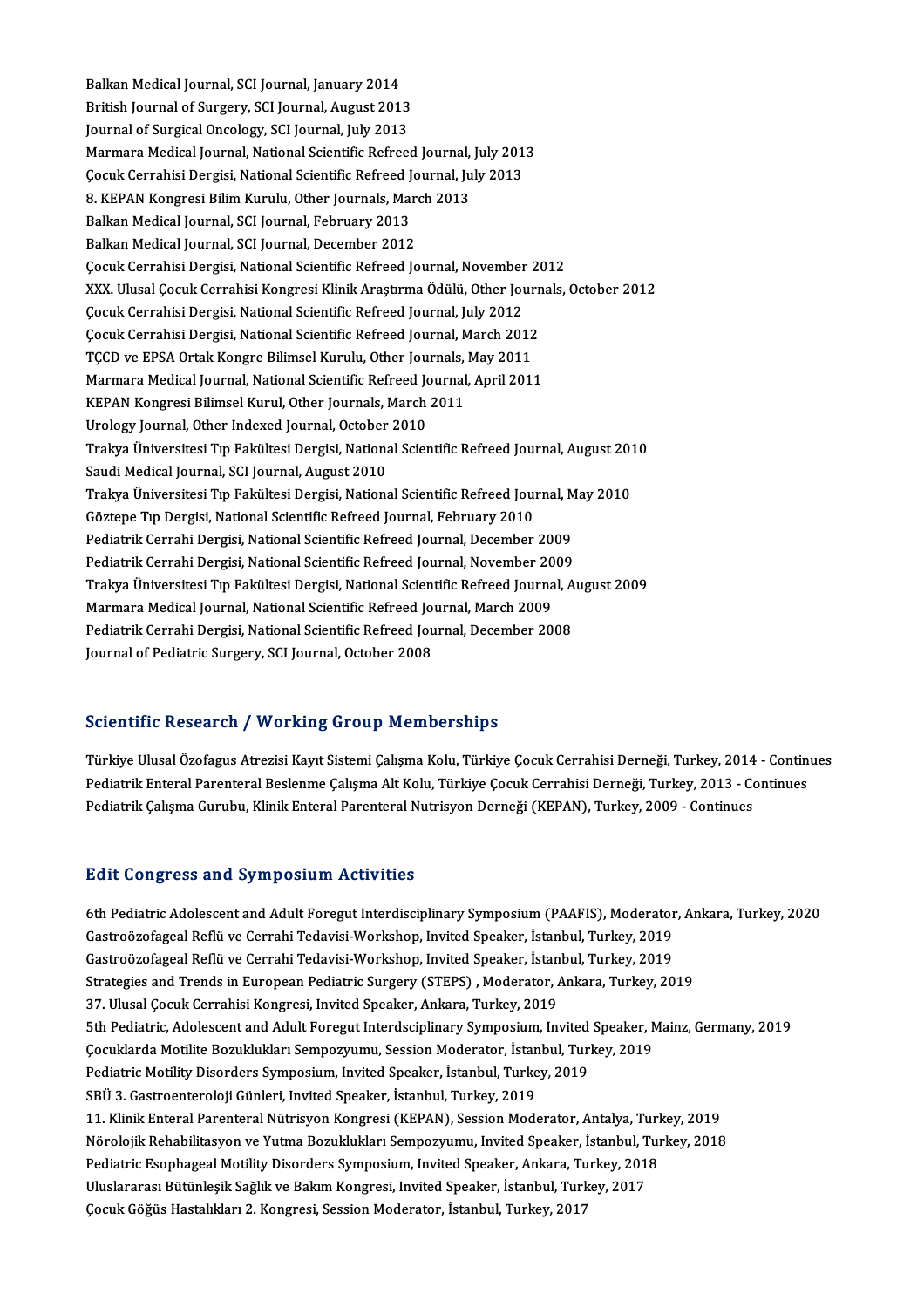Balkan Medical Journal, SCI Journal, January 2014 Balkan Medical Journal, SCI Journal, January 2014<br>British Journal of Surgery, SCI Journal, August 2013<br>Journal of Surgical Ongology, SCI Journal, July 2012 Balkan Medical Journal, SCI Journal, January 2014<br>British Journal of Surgery, SCI Journal, August 2013<br>Journal of Surgical Oncology, SCI Journal, July 2013<br>Marmara Medical Journal, National Scientific Refree British Journal of Surgery, SCI Journal, August 2013<br>Journal of Surgical Oncology, SCI Journal, July 2013<br>Marmara Medical Journal, National Scientific Refreed Journal, July 2013<br>Cesul: Cerrabisi Dorgisi, National Scientifi Journal of Surgical Oncology, SCI Journal, July 2013<br>Marmara Medical Journal, National Scientific Refreed Journal, July 201<br>Çocuk Cerrahisi Dergisi, National Scientific Refreed Journal, July 2013<br>9. KERAN Kongresi Bilim Ku Marmara Medical Journal, National Scientific Refreed Journal,<br>Çocuk Cerrahisi Dergisi, National Scientific Refreed Journal, Ju<br>8. KEPAN Kongresi Bilim Kurulu, Other Journals, March 2013<br>Palkan Medical Journal, SCI Journal, Çocuk Cerrahisi Dergisi, National Scientific Refreed Journal, July 2013<br>8. KEPAN Kongresi Bilim Kurulu, Other Journals, March 2013<br>Balkan Medical Journal, SCI Journal, February 2013<br>Balkan Medical Journal, SCI Journal, Dec 8. KEPAN Kongresi Bilim Kurulu, Other Journals, March 2013 ÇocukCerrahisiDergisi,NationalScientificRefreed Journal,November 2012 Balkan Medical Journal, SCI Journal, December 2012<br>Çocuk Cerrahisi Dergisi, National Scientific Refreed Journal, November 2012<br>XXX. Ulusal Çocuk Cerrahisi Kongresi Klinik Araştırma Ödülü, Other Journals, October 2012<br>Cosuk Çocuk Cerrahisi Dergisi, National Scientific Refreed Journal, November<br>XXX. Ulusal Çocuk Cerrahisi Kongresi Klinik Araştırma Ödülü, Other Jou<br>Çocuk Cerrahisi Dergisi, National Scientific Refreed Journal, July 2012<br>Cocuk Ce XXX. Ulusal Çocuk Cerrahisi Kongresi Klinik Araştırma Ödülü, Other Journ<br>Çocuk Cerrahisi Dergisi, National Scientific Refreed Journal, July 2012<br>Çocuk Cerrahisi Dergisi, National Scientific Refreed Journal, March 2012<br>TCCD Çocuk Cerrahisi Dergisi, National Scientific Refreed Journal, July 2012<br>Çocuk Cerrahisi Dergisi, National Scientific Refreed Journal, March 2012<br>TÇCD ve EPSA Ortak Kongre Bilimsel Kurulu, Other Journals, May 2011 Çocuk Cerrahisi Dergisi, National Scientific Refreed Journal, March 2012<br>TÇCD ve EPSA Ortak Kongre Bilimsel Kurulu, Other Journals, May 2011<br>Marmara Medical Journal, National Scientific Refreed Journal, April 2011<br>KERAN Ko TÇCD ve EPSA Ortak Kongre Bilimsel Kurulu, Other Journals,<br>Marmara Medical Journal, National Scientific Refreed Journal<br>KEPAN Kongresi Bilimsel Kurul, Other Journals, March 2011<br>Urelagy Journal, Other Indeved Journal, Oste Marmara Medical Journal, National Scientific Refreed Journal, National Scientific Refreed Journals, March<br>Urology Journal, Other Indexed Journal, October 2010<br>Trelum Üniversitesi Tın Fekültesi Dergisi, National Scien KEPAN Kongresi Bilimsel Kurul, Other Journals, March 2011<br>Urology Journal, Other Indexed Journal, October 2010<br>Trakya Üniversitesi Tıp Fakültesi Dergisi, National Scientific Refreed Journal, August 2010<br>Saudi Medical Journ Urology Journal, Other Indexed Journal, October<br>Trakya Üniversitesi Tıp Fakültesi Dergisi, Nationa<br>Saudi Medical Journal, SCI Journal, August 2010<br>Trakya Üniversitesi Tıp Fakültesi Dergisi, Nationa Trakya Üniversitesi Tıp Fakültesi Dergisi, National Scientific Refreed Journal, August 201<br>Saudi Medical Journal, SCI Journal, August 2010<br>Trakya Üniversitesi Tıp Fakültesi Dergisi, National Scientific Refreed Journal, May Saudi Medical Journal, SCI Journal, August 2010<br>Trakya Üniversitesi Tıp Fakültesi Dergisi, National Scientific Refreed Jour<br>Göztepe Tıp Dergisi, National Scientific Refreed Journal, February 2010<br>Redistrik Cerrabi Dergisi, Trakya Üniversitesi Tıp Fakültesi Dergisi, National Scientific Refreed Journal, M<br>Göztepe Tıp Dergisi, National Scientific Refreed Journal, February 2010<br>Pediatrik Cerrahi Dergisi, National Scientific Refreed Journal, Dece Göztepe Tıp Dergisi, National Scientific Refreed Journal, February 2010<br>Pediatrik Cerrahi Dergisi, National Scientific Refreed Journal, December 2009<br>Pediatrik Cerrahi Dergisi, National Scientific Refreed Journal, November Pediatrik Cerrahi Dergisi, National Scientific Refreed Journal, December 2009<br>Pediatrik Cerrahi Dergisi, National Scientific Refreed Journal, November 2009<br>Trakya Üniversitesi Tıp Fakültesi Dergisi, National Scientific Ref Pediatrik Cerrahi Dergisi, National Scientific Refreed Journal, November 20<br>Trakya Üniversitesi Tıp Fakültesi Dergisi, National Scientific Refreed Journa<br>Marmara Medical Journal, National Scientific Refreed Journal, March Trakya Üniversitesi Tıp Fakültesi Dergisi, National Scientific Refreed Journal, A<br>Marmara Medical Journal, National Scientific Refreed Journal, March 2009<br>Pediatrik Cerrahi Dergisi, National Scientific Refreed Journal, Dec Marmara Medical Journal, National Scientific Refreed Journal, March 2009<br>Pediatrik Cerrahi Dergisi, National Scientific Refreed Journal, December 2008<br>Journal of Pediatric Surgery, SCI Journal, October 2008

## Scientific Research / Working Group Memberships

Scientific Research / Working Group Memberships<br>Türkiye Ulusal Özofagus Atrezisi Kayıt Sistemi Çalışma Kolu, Türkiye Çocuk Cerrahisi Derneği, Turkey, 2014 - Continues<br>Pedistrik Enteral Perenteral Bealanme Calisma Alt Kolu, Perenterre ressear en 7 ° v or king en sup-rremser sinps<br>Pürkiye Ulusal Özofagus Atrezisi Kayıt Sistemi Çalışma Kolu, Türkiye Çocuk Cerrahisi Derneği, Turkey, 2014 - Contin<br>Pediatrik Enteral Parenteral Beslenme Çalışma Alt Türkiye Ulusal Özofagus Atrezisi Kayıt Sistemi Çalışma Kolu, Türkiye Çocuk Cerrahisi Derneği, Turkey, 2014<br>Pediatrik Enteral Parenteral Beslenme Çalışma Alt Kolu, Türkiye Çocuk Cerrahisi Derneği, Turkey, 2013 - Co<br>Pediatri Pediatrik Çalışma Gurubu, Klinik Enteral Parenteral Nutrisyon Derneği (KEPAN), Turkey, 2009 - Continues<br>Edit Congress and Symposium Activities

6th Pediatric Adolescent and Adult Foregut Interdisciplinary Symposium (PAAFIS), Moderator, Ankara, Turkey, 2020 Gastroözofageal Reflü ve Cerrahi Tedavisi-Workshop, Invited Speaker, İstanbul, Turkey, 2019 6th Pediatric Adolescent and Adult Foregut Interdisciplinary Symposium (PAAFIS), Moderator<br>Gastroözofageal Reflü ve Cerrahi Tedavisi-Workshop, Invited Speaker, İstanbul, Turkey, 2019<br>Gastroözofageal Reflü ve Cerrahi Tedavi Gastroözofageal Reflü ve Cerrahi Tedavisi-Workshop, Invited Speaker, İstanbul, Turkey, 2019<br>Gastroözofageal Reflü ve Cerrahi Tedavisi-Workshop, Invited Speaker, İstanbul, Turkey, 2019<br>Strategies and Trends in European Pedi Gastroözofageal Reflü ve Cerrahi Tedavisi-Workshop, Invited Speaker, İstan<br>Strategies and Trends in European Pediatric Surgery (STEPS) , Moderator, *I*<br>37. Ulusal Çocuk Cerrahisi Kongresi, Invited Speaker, Ankara, Turkey, Strategies and Trends in European Pediatric Surgery (STEPS) , Moderator, Ankara, Turkey, 2019<br>37. Ulusal Çocuk Cerrahisi Kongresi, Invited Speaker, Ankara, Turkey, 2019<br>5th Pediatric, Adolescent and Adult Foregut Interdsci 37. Ulusal Çocuk Cerrahisi Kongresi, Invited Speaker, Ankara, Turkey, 2019<br>5th Pediatric, Adolescent and Adult Foregut Interdsciplinary Symposium, Invited Speaker, N<br>Çocuklarda Motility Disordors Symposium, Invited Speaker 5th Pediatric, Adolescent and Adult Foregut Interdsciplinary Symposium, Invited<br>Cocuklarda Motilite Bozuklukları Sempozyumu, Session Moderator, İstanbul, Turkey,<br>Pediatric Motility Disorders Symposium, Invited Speaker, İst Çocuklarda Motilite Bozuklukları Sempozyumu, Session Moderator, İstanbul, Turkey, 2019<br>Pediatric Motility Disorders Symposium, Invited Speaker, İstanbul, Turkey, 2019<br>SBÜ 3. Gastroenteroloji Günleri, Invited Speaker, İstan Pediatric Motility Disorders Symposium, Invited Speaker, İstanbul, Turkey, 2019<br>SBÜ 3. Gastroenteroloji Günleri, Invited Speaker, İstanbul, Turkey, 2019<br>11. Klinik Enteral Parenteral Nütrisyon Kongresi (KEPAN), Session Mod SBÜ 3. Gastroenteroloji Günleri, Invited Speaker, İstanbul, Turkey, 2019<br>11. Klinik Enteral Parenteral Nütrisyon Kongresi (KEPAN), Session Moderator, Antalya, Turkey, 2019<br>Nörolojik Rehabilitasyon ve Yutma Bozuklukları Sem 11. Klinik Enteral Parenteral Nütrisyon Kongresi (KEPAN), Session Moderator, Antalya, Turl<br>Nörolojik Rehabilitasyon ve Yutma Bozuklukları Sempozyumu, Invited Speaker, İstanbul, Tur<br>Pediatric Esophageal Motility Disorders S Nörolojik Rehabilitasyon ve Yutma Bozuklukları Sempozyumu, Invited Speaker, İstanbul, T<br>Pediatric Esophageal Motility Disorders Symposium, Invited Speaker, Ankara, Turkey, 201<br>Uluslararası Bütünleşik Sağlık ve Bakım Kongre Pediatric Esophageal Motility Disorders Symposium, Invited Speaker, Ankara, Turkey, 2018<br>Uluslararası Bütünleşik Sağlık ve Bakım Kongresi, Invited Speaker, İstanbul, Turkey, 2017<br>Çocuk Göğüs Hastalıkları 2. Kongresi, Sessi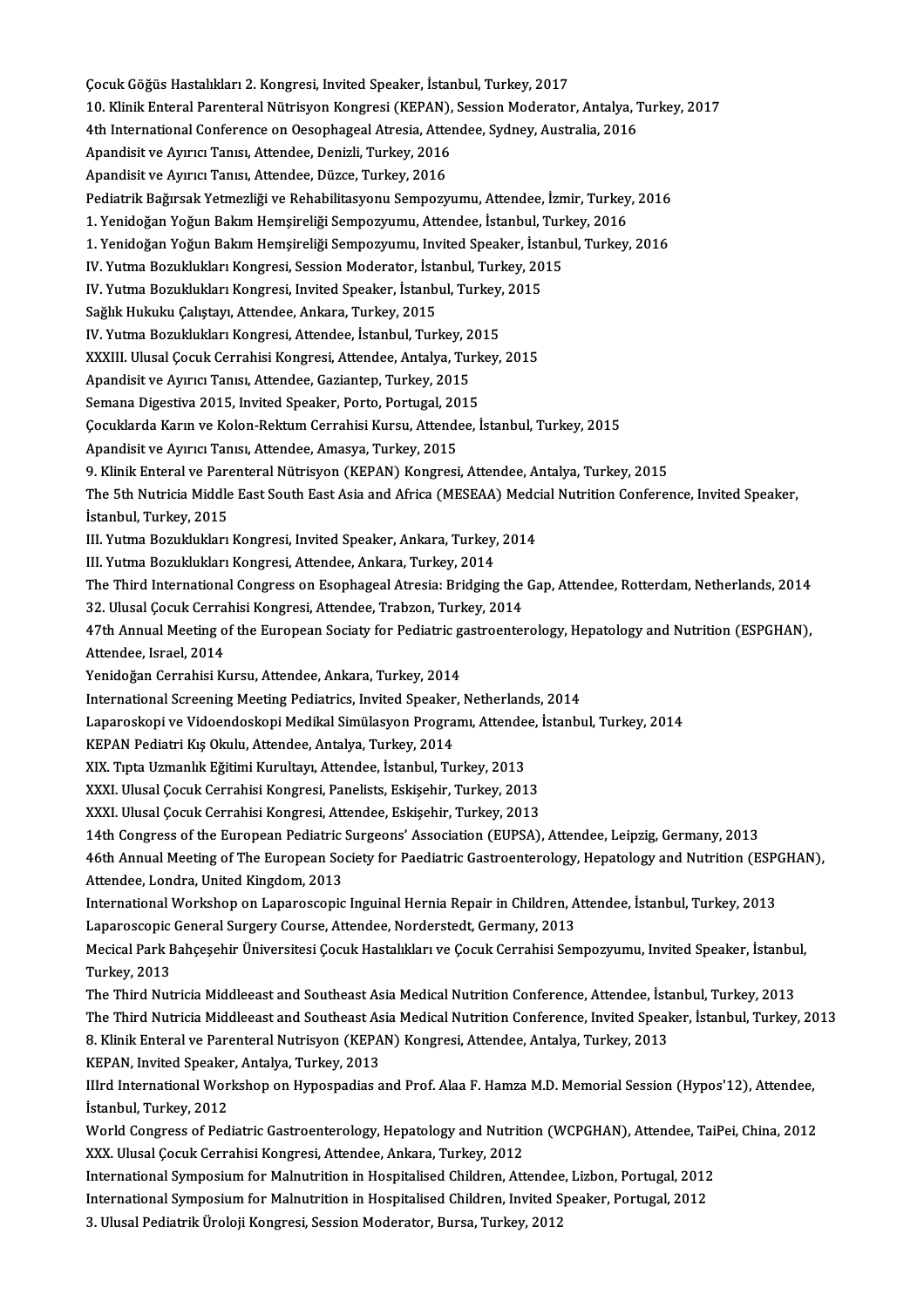ÇocukGöğüsHastalıkları2.Kongresi, Invited Speaker, İstanbul,Turkey,2017 Çocuk Göğüs Hastalıkları 2. Kongresi, Invited Speaker, İstanbul, Turkey, 2017<br>10. Klinik Enteral Parenteral Nütrisyon Kongresi (KEPAN), Session Moderator, Antalya, Turkey, 2017<br>4th International Conference en Ossenbagsel A Cocuk Göğüs Hastalıkları 2. Kongresi, Invited Speaker, İstanbul, Turkey, 2017<br>10. Klinik Enteral Parenteral Nütrisyon Kongresi (KEPAN), Session Moderator, Antalya, 1<br>4th International Conference on Oesophageal Atresia, Att 10. Klinik Enteral Parenteral Nütrisyon Kongresi (KEPAN),<br>4th International Conference on Oesophageal Atresia, Atten<br>Apandisit ve Ayırıcı Tanısı, Attendee, Denizli, Turkey, 2016<br>Apandisit ve Ayırıcı Tanısı, Attendee, Dürge 4th International Conference on Oesophageal Atresia, Attendee, Sydney, Australia, 2016<br>Apandisit ve Ayırıcı Tanısı, Attendee, Denizli, Turkey, 2016<br>Apandisit ve Ayırıcı Tanısı, Attendee, Düzce, Turkey, 2016 Apandisit ve Ayırıcı Tanısı, Attendee, Denizli, Turkey, 2016<br>Apandisit ve Ayırıcı Tanısı, Attendee, Düzce, Turkey, 2016<br>Pediatrik Bağırsak Yetmezliği ve Rehabilitasyonu Sempozyumu, Attendee, İzmir, Turkey, 2016<br>1. Yenidoğa Apandisit ve Ayırıcı Tanısı, Attendee, Düzce, Turkey, 2016<br>Pediatrik Bağırsak Yetmezliği ve Rehabilitasyonu Sempozyumu, Attendee, İzmir, Turkey<br>1. Yenidoğan Yoğun Bakım Hemşireliği Sempozyumu, Attendee, İstanbul, Turkey, 2 Pediatrik Bağırsak Yetmezliği ve Rehabilitasyonu Sempozyumu, Attendee, İzmir, Turkey, 2016<br>1. Yenidoğan Yoğun Bakım Hemşireliği Sempozyumu, Attendee, İstanbul, Turkey, 2016<br>1. Yenidoğan Yoğun Bakım Hemşireliği Sempozyumu, 1. Yenidoğan Yoğun Bakım Hemşireliği Sempozyumu, Attendee, İstanbul, Turkey, 2016<br>1. Yenidoğan Yoğun Bakım Hemşireliği Sempozyumu, Invited Speaker, İstanbul, Turkey, 2016<br>IV. Yutma Bozuklukları Kongresi, Session Moderator, 1. Yenidoğan Yoğun Bakım Hemşireliği Sempozyumu, Invited Speaker, İstanbul, Turkey, 20<br>IV. Yutma Bozuklukları Kongresi, Session Moderator, İstanbul, Turkey, 20<br>IV. Yutma Bozuklukları Kongresi, Invited Speaker, İstanbul, Tu IV. Yutma Bozuklukları Kongresi, Session Moderator, İsta<br>IV. Yutma Bozuklukları Kongresi, Invited Speaker, İstanb<br>Sağlık Hukuku Çalıştayı, Attendee, Ankara, Turkey, 2015<br>IV. Yutma Bozuklukları Kongresi, Attendee, İstanbul, IV. Yutma Bozuklukları Kongresi, Invited Speaker, İstanbul, Turkey,<br>Sağlık Hukuku Çalıştayı, Attendee, Ankara, Turkey, 2015<br>IV. Yutma Bozuklukları Kongresi, Attendee, İstanbul, Turkey, 2015<br>YYYIII, Illusel Cosuk Cerrebisi Sağlık Hukuku Çalıştayı, Attendee, Ankara, Turkey, 2015<br>IV. Yutma Bozuklukları Kongresi, Attendee, İstanbul, Turkey, 2015<br>XXXIII. Ulusal Çocuk Cerrahisi Kongresi, Attendee, Antalya, Turkey, 2015 IV. Yutma Bozuklukları Kongresi, Attendee, İstanbul, Turkey, 2<br>XXXIII. Ulusal Çocuk Cerrahisi Kongresi, Attendee, Antalya, Tur<br>Apandisit ve Ayırıcı Tanısı, Attendee, Gaziantep, Turkey, 2015<br>Semana Disestiva 2015, İnvitad S XXXIII. Ulusal Çocuk Cerrahisi Kongresi, Attendee, Antalya, Turk<br>Apandisit ve Ayırıcı Tanısı, Attendee, Gaziantep, Turkey, 2015<br>Semana Digestiva 2015, Invited Speaker, Porto, Portugal, 2015<br>Cosuldarda Karın ve Kolan Beltiu Çocuklarda Karın ve Kolon-Rektum Cerrahisi Kursu, Attendee, İstanbul, Turkey, 2015<br>Apandisit ve Ayırıcı Tanısı, Attendee, Amasya, Turkey, 2015 Semana Digestiva 2015, Invited Speaker, Porto, Portugal, 2015 9. Klinik Enteral ve Parenteral Nütrisyon (KEPAN) Kongresi, Attendee, Antalya, Turkey, 2015 Apandisit ve Ayırıcı Tanısı, Attendee, Amasya, Turkey, 2015<br>9. Klinik Enteral ve Parenteral Nütrisyon (KEPAN) Kongresi, Attendee, Antalya, Turkey, 2015<br>The 5th Nutricia Middle East South East Asia and Africa (MESEAA) Medci 9. Klinik Enteral ve Pare<br>The 5th Nutricia Middle<br>İstanbul, Turkey, 2015<br>III Yutma Bazuldukları The 5th Nutricia Middle East South East Asia and Africa (MESEAA) Medc<br>İstanbul, Turkey, 2015<br>III. Yutma Bozuklukları Kongresi, Invited Speaker, Ankara, Turkey, 2014<br>III. Yutma Bozuklukları Kongresi, Attandee Ankara, Turkey İstanbul, Turkey, 2015<br>III. Yutma Bozuklukları Kongresi, Invited Speaker, Ankara, Turkey, 2014<br>III. Yutma Bozuklukları Kongresi, Attendee, Ankara, Turkey, 2014 III. Yutma Bozuklukları Kongresi, Invited Speaker, Ankara, Turkey, 2014<br>III. Yutma Bozuklukları Kongresi, Attendee, Ankara, Turkey, 2014<br>The Third International Congress on Esophageal Atresia: Bridging the Gap, Attendee, R III. Yutma Bozuklukları Kongresi, Attendee, Ankara, Turkey, 2014<br>The Third International Congress on Esophageal Atresia: Bridging the<br>32. Ulusal Çocuk Cerrahisi Kongresi, Attendee, Trabzon, Turkey, 2014<br>47th Annual Meeting The Third International Congress on Esophageal Atresia: Bridging the Gap, Attendee, Rotterdam, Netherlands, 2014<br>32. Ulusal Çocuk Cerrahisi Kongresi, Attendee, Trabzon, Turkey, 2014<br>47th Annual Meeting of the European Soci 32. Ulusal Çocuk Cerrahisi Kongresi, Attendee, Trabzon, Turkey, 2014<br>47th Annual Meeting of the European Sociaty for Pediatric gastroente<br>Attendee, Israel, 2014<br>Yenidoğan Cerrahisi Kursu, Attendee, Ankara, Turkey, 2014 47th Annual Meeting of the European Sociaty for Pediatric gastroenterology, Hepatology and Nutrition (ESPGHAN), International Screening Meeting Pediatrics, Invited Speaker, Netherlands, 2014 Yenidoğan Cerrahisi Kursu, Attendee, Ankara, Turkey, 2014<br>International Screening Meeting Pediatrics, Invited Speaker, Netherlands, 2014<br>Laparoskopi ve Vidoendoskopi Medikal Simülasyon Programı, Attendee, İstanbul, Turkey, International Screening Meeting Pediatrics, Invited Speaker<br>Laparoskopi ve Vidoendoskopi Medikal Simülasyon Progra<br>KEPAN Pediatri Kış Okulu, Attendee, Antalya, Turkey, 2014<br>YIV. Tuta Hamanlık Eğitimi Kunultarı, Attendee, İ Laparoskopi ve Vidoendoskopi Medikal Simülasyon Programı, Attende<br>KEPAN Pediatri Kış Okulu, Attendee, Antalya, Turkey, 2014<br>XIX. Tıpta Uzmanlık Eğitimi Kurultayı, Attendee, İstanbul, Turkey, 2013<br>XXXI. Huyel Cosul: Correbi KEPAN Pediatri Kış Okulu, Attendee, Antalya, Turkey, 2014<br>XIX. Tıpta Uzmanlık Eğitimi Kurultayı, Attendee, İstanbul, Turkey, 2013<br>XXXI. Ulusal Çocuk Cerrahisi Kongresi, Panelists, Eskişehir, Turkey, 2013<br>XXXI. Ulusal Çocuk XIX. Tıpta Uzmanlık Eğitimi Kurultayı, Attendee, İstanbul, Turkey, 2013<br>XXXI. Ulusal Çocuk Cerrahisi Kongresi, Panelists, Eskişehir, Turkey, 2013<br>XXXI. Ulusal Çocuk Cerrahisi Kongresi, Attendee, Eskişehir, Turkey, 2013<br>14t XXXI. Ulusal Çocuk Cerrahisi Kongresi, Attendee, Eskişehir, Turkey, 2013<br>14th Congress of the European Pediatric Surgeons' Association (EUPSA), Attendee, Leipzig, Germany, 2013 XXXI. Ulusal Çocuk Cerrahisi Kongresi, Attendee, Eskişehir, Turkey, 2013<br>14th Congress of the European Pediatric Surgeons' Association (EUPSA), Attendee, Leipzig, Germany, 2013<br>46th Annual Meeting of The European Society f 14th Congress of the European Pediatric<br>46th Annual Meeting of The European So<br>Attendee, Londra, United Kingdom, 2013<br>International Workshop on Longreesenia 46th Annual Meeting of The European Society for Paediatric Gastroenterology, Hepatology and Nutrition (ESP(<br>Attendee, Londra, United Kingdom, 2013<br>International Workshop on Laparoscopic Inguinal Hernia Repair in Children, Attendee, Londra, United Kingdom, 2013<br>International Workshop on Laparoscopic Inguinal Hernia Repair in Children, A<br>Laparoscopic General Surgery Course, Attendee, Norderstedt, Germany, 2013<br>Mesisal Bark Bahsesahir Üniversi International Workshop on Laparoscopic Inguinal Hernia Repair in Children, Attendee, İstanbul, Turkey, 2013<br>Laparoscopic General Surgery Course, Attendee, Norderstedt, Germany, 2013<br>Mecical Park Bahçeşehir Üniversitesi Çoc Laparoscopic<br>Mecical Park E<br>Turkey, 2013<br>The Third Nut Mecical Park Bahçeşehir Üniversitesi Çocuk Hastalıkları ve Çocuk Cerrahisi Sempozyumu, Invited Speaker, İstanbu<br>Turkey, 2013<br>The Third Nutricia Middleeast and Southeast Asia Medical Nutrition Conference, Attendee, İstanbul Turkey, 2013<br>The Third Nutricia Middleeast and Southeast Asia Medical Nutrition Conference, Attendee, İstanbul, Turkey, 2013<br>The Third Nutricia Middleeast and Southeast Asia Medical Nutrition Conference, Invited Speaker, İ The Third Nutricia Middleeast and Southeast Asia Medical Nutrition Conference, Attendee, İstanbur<br>The Third Nutricia Middleeast and Southeast Asia Medical Nutrition Conference, Invited Speak<br>8. Klinik Enteral ve Parenteral The Third Nutricia Middleeast and Southeast Asia Medical Nutrition Conference, Invited Speaker, İstanbul, Turkey, 2013<br>8. Klinik Enteral ve Parenteral Nutrisyon (KEPAN) Kongresi, Attendee, Antalya, Turkey, 2013<br>KEPAN, Invi 8. Klinik Enteral ve Parenteral Nutrisyon (KEPAN) Kongresi, Attendee, Antalya, Turkey, 2013<br>KEPAN, Invited Speaker, Antalya, Turkey, 2013<br>IIIrd International Workshop on Hypospadias and Prof. Alaa F. Hamza M.D. Memorial Se KEPAN, Invited Speaker<br>IIIrd International Wor<br>İstanbul, Turkey, 2012<br>World Congress of Bod IIIrd International Workshop on Hypospadias and Prof. Alaa F. Hamza M.D. Memorial Session (Hypos'12), Attendee,<br>İstanbul, Turkey, 2012<br>World Congress of Pediatric Gastroenterology, Hepatology and Nutrition (WCPGHAN), Atten İstanbul, Turkey, 2012<br>World Congress of Pediatric Gastroenterology, Hepatology and Nutriti<br>XXX. Ulusal Çocuk Cerrahisi Kongresi, Attendee, Ankara, Turkey, 2012<br>International Symposium for Malputrition in Hespitalised Chil World Congress of Pediatric Gastroenterology, Hepatology and Nutrition (WCPGHAN), Attendee, Tail<br>XXX. Ulusal Çocuk Cerrahisi Kongresi, Attendee, Ankara, Turkey, 2012<br>International Symposium for Malnutrition in Hospitalised XXX. Ulusal Çocuk Cerrahisi Kongresi, Attendee, Ankara, Turkey, 2012<br>International Symposium for Malnutrition in Hospitalised Children, Attendee, Lizbon, Portugal, 2012<br>International Symposium for Malnutrition in Hospitali 3. Ulusal Pediatrik Üroloji Kongresi, Session Moderator, Bursa, Turkey, 2012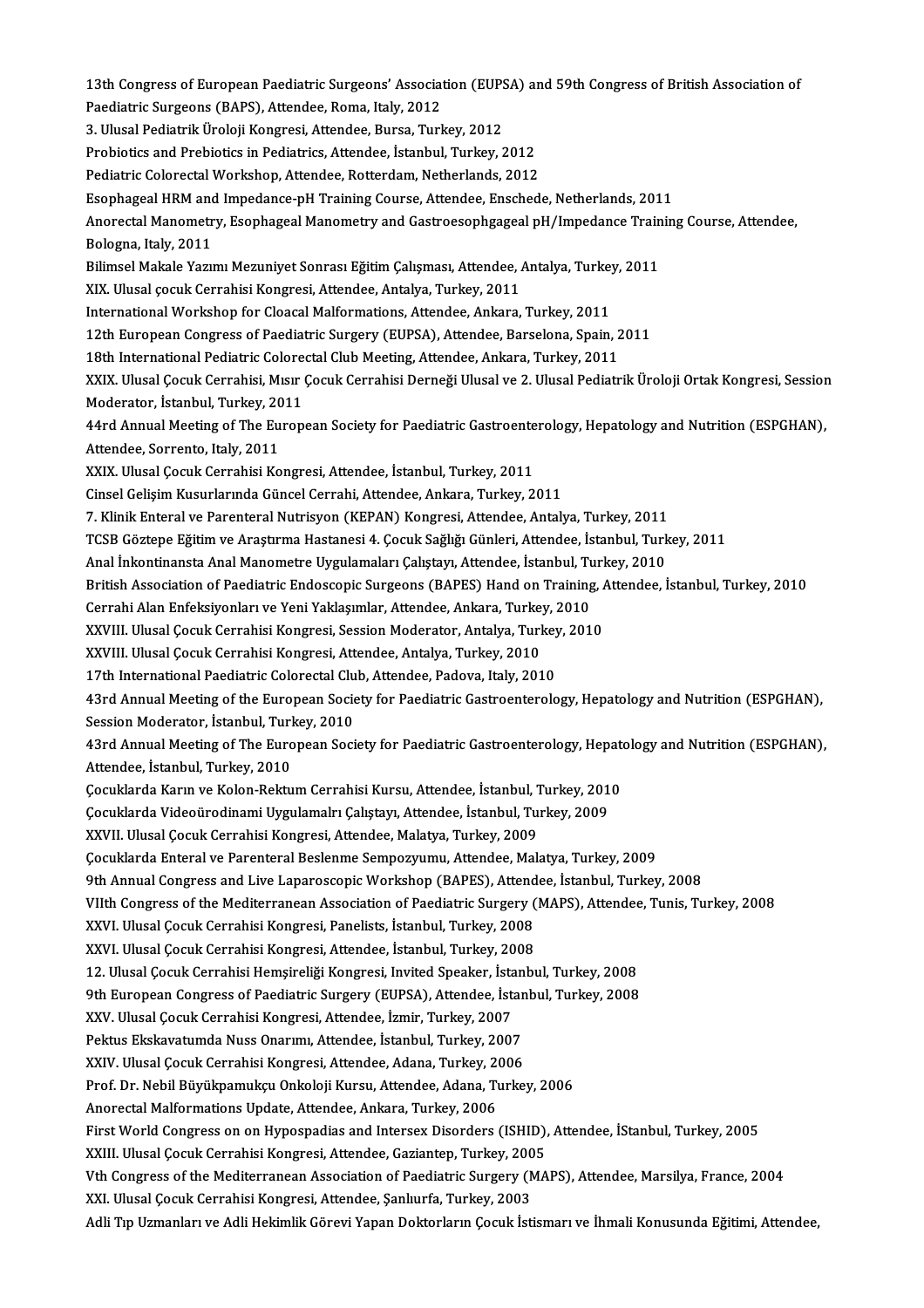13th Congress of European Paediatric Surgeons' Association (EUPSA) and 59th Congress of British Association of<br>Reedistric Surgeons (RAPS), Attendee Rome Jtaly 2012 13th Congress of European Paediatric Surgeons' Associat<br>Paediatric Surgeons (BAPS), Attendee, Roma, Italy, 2012<br>2. Ulucel Pediatrik Üneleji Kongresi, Attendee, Burge, Turl 13th Congress of European Paediatric Surgeons' Association (EUPS)<br>Paediatric Surgeons (BAPS), Attendee, Roma, Italy, 2012<br>3. Ulusal Pediatrik Üroloji Kongresi, Attendee, Bursa, Turkey, 2012<br>Prebiatise and Prebiatise in Bed Paediatric Surgeons (BAPS), Attendee, Roma, Italy, 2012<br>3. Ulusal Pediatrik Üroloji Kongresi, Attendee, Bursa, Turkey, 2012<br>Probiotics and Prebiotics in Pediatrics, Attendee, İstanbul, Turkey, 2012 Pediatric Colorectal Workshop, Attendee, Rotterdam, Netherlands, 2012 Esophageal HRM and Impedance-pH Training Course, Attendee, Enschede, Netherlands, 2011 Pediatric Colorectal Workshop, Attendee, Rotterdam, Netherlands, 2012<br>Esophageal HRM and Impedance-pH Training Course, Attendee, Enschede, Netherlands, 2011<br>Anorectal Manometry, Esophageal Manometry and Gastroesophgageal p Esophageal HRM and<br>Anorectal Manometr<br>Bologna, Italy, 2011<br>Bilimsel Makale Varu Anorectal Manometry, Esophageal Manometry and Gastroesophgageal pH/Impedance Train<br>Bologna, Italy, 2011<br>Bilimsel Makale Yazımı Mezuniyet Sonrası Eğitim Çalışması, Attendee, Antalya, Turkey, 2011<br>YIY, Hlusal çocuk Garrabisi Bologna, Italy, 2011<br>Bilimsel Makale Yazımı Mezuniyet Sonrası Eğitim Çalışması, Attendee, Antalya, Turkey, 2011<br>XIX. Ulusal çocuk Cerrahisi Kongresi, Attendee, Antalya, Turkey, 2011 Bilimsel Makale Yazımı Mezuniyet Sonrası Eğitim Çalışması, Attendee, Antalya, Turkey<br>XIX. Ulusal çocuk Cerrahisi Kongresi, Attendee, Antalya, Turkey, 2011<br>International Workshop for Cloacal Malformations, Attendee, Ankara, XIX. Ulusal çocuk Cerrahisi Kongresi, Attendee, Antalya, Turkey, 2011<br>International Workshop for Cloacal Malformations, Attendee, Ankara, Turkey, 2011<br>12th European Congress of Paediatric Surgery (EUPSA), Attendee, Barselo 12th European Congress of Paediatric Surgery (EUPSA), Attendee, Barselona, Spain, 2011<br>18th International Pediatric Colorectal Club Meeting, Attendee, Ankara, Turkey, 2011 12th European Congress of Paediatric Surgery (EUPSA), Attendee, Barselona, Spain, 2011<br>18th International Pediatric Colorectal Club Meeting, Attendee, Ankara, Turkey, 2011<br>XXIX. Ulusal Çocuk Cerrahisi, Mısır Çocuk Cerrahis 18th International Pediatric Colore<br>XXIX. Ulusal Çocuk Cerrahisi, Mısır<br>Moderator, İstanbul, Turkey, 2011<br>44rd Annual Meeting of The Euren XXIX. Ulusal Çocuk Cerrahisi, Mısır Çocuk Cerrahisi Derneği Ulusal ve 2. Ulusal Pediatrik Üroloji Ortak Kongresi, Sessior<br>Moderator, İstanbul, Turkey, 2011<br>44rd Annual Meeting of The European Society for Paediatric Gastroe Moderator, İstanbul, Turkey, 2011<br>44rd Annual Meeting of The European Society for Paediatric Gastroent<br>Attendee, Sorrento, Italy, 2011<br>XXIX. Ulusal Cocuk Cerrahisi Kongresi, Attendee, İstanbul, Turkey, 2011 44rd Annual Meeting of The European Society for Paediatric Gastroenterology, Hepatology and Nutrition (ESPGHAN), Cinsel Gelişim Kusurlarında Güncel Cerrahi, Attendee, Ankara, Turkey, 2011 7. Klinik Enteral ve Parenteral Nutrisyon (KEPAN) Kongresi, Attendee, Antalya, Turkey, 2011 Cinsel Gelişim Kusurlarında Güncel Cerrahi, Attendee, Ankara, Turkey, 2011<br>7. Klinik Enteral ve Parenteral Nutrisyon (KEPAN) Kongresi, Attendee, Antalya, Turkey, 2011<br>TCSB Göztepe Eğitim ve Araştırma Hastanesi 4. Çocuk Sağ 7. Klinik Enteral ve Parenteral Nutrisyon (KEPAN) Kongresi, Attendee, Antalya, Turkey, 2011<br>TCSB Göztepe Eğitim ve Araştırma Hastanesi 4. Çocuk Sağlığı Günleri, Attendee, İstanbul, Turk<br>Anal İnkontinansta Anal Manometre Uy TCSB Göztepe Eğitim ve Araştırma Hastanesi 4. Çocuk Sağlığı Günleri, Attendee, İstanbul, Turkey, 2011<br>Anal İnkontinansta Anal Manometre Uygulamaları Çalıştayı, Attendee, İstanbul, Turkey, 2010<br>British Association of Paedia Anal İnkontinansta Anal Manometre Uygulamaları Çalıştayı, Attendee, İstanbul, Tu<br>British Association of Paediatric Endoscopic Surgeons (BAPES) Hand on Training<br>Cerrahi Alan Enfeksiyonları ve Yeni Yaklaşımlar, Attendee, Ank British Association of Paediatric Endoscopic Surgeons (BAPES) Hand on Training, A<br>Cerrahi Alan Enfeksiyonları ve Yeni Yaklaşımlar, Attendee, Ankara, Turkey, 2010<br>XXVIII. Ulusal Çocuk Cerrahisi Kongresi, Session Moderator, Cerrahi Alan Enfeksiyonları ve Yeni Yaklaşımlar, Attendee, Ankara, Turkey, 2010<br>XXVIII. Ulusal Çocuk Cerrahisi Kongresi, Session Moderator, Antalya, Turkey, 201<br>XXVIII. Ulusal Çocuk Cerrahisi Kongresi, Attendee, Antalya, T XXVIII. Ulusal Çocuk Cerrahisi Kongresi, Session Moderator, Antalya, Turkey, 2010 43rd Annual Meeting of the European Society for Paediatric Gastroenterology, Hepatology and Nutrition (ESPGHAN), 17th International Paediatric Colorectal Clu<br>43rd Annual Meeting of the European Socie<br>Session Moderator, İstanbul, Turkey, 2010<br>43rd Annual Meeting of The European Socie 43rd Annual Meeting of the European Society for Paediatric Gastroenterology, Hepatology and Nutrition (ESPGHAN),<br>Session Moderator, İstanbul, Turkey, 2010<br>43rd Annual Meeting of The European Society for Paediatric Gastroen Session Moderator, İstanbul, Turl<br>43rd Annual Meeting of The Euro<br>Attendee, İstanbul, Turkey, 2010<br>Cosuklanda Kanın ve Kalan Baktu 43rd Annual Meeting of The European Society for Paediatric Gastroenterology, Hepate<br>Attendee, İstanbul, Turkey, 2010<br>Çocuklarda Karın ve Kolon-Rektum Cerrahisi Kursu, Attendee, İstanbul, Turkey, 2010<br>Cocuklarda Videoüredin Attendee, İstanbul, Turkey, 2010<br>Çocuklarda Karın ve Kolon-Rektum Cerrahisi Kursu, Attendee, İstanbul, Turkey, 201<br>Çocuklarda Videoürodinami Uygulamalrı Çalıştayı, Attendee, İstanbul, Turkey, 2009<br>YYVU Ulyeel Cosuk Cerrebi Çocuklarda Karın ve Kolon-Rektum Cerrahisi Kursu, Attendee, İstanbul, 1<br>Çocuklarda Videoürodinami Uygulamalrı Çalıştayı, Attendee, İstanbul, Tu<br>XXVII. Ulusal Çocuk Cerrahisi Kongresi, Attendee, Malatya, Turkey, 2009<br>Cosukl XXVII. Ulusal Çocuk Cerrahisi Kongresi, Attendee, Malatya, Turkey, 2009<br>Çocuklarda Enteral ve Parenteral Beslenme Sempozyumu, Attendee, Malatya, Turkey, 2009 9th Annual Congress and Live Laparoscopic Workshop (BAPES), Attendee, İstanbul, Turkey, 2008 VIIth Congress of the Mediterranean Association of Paediatric Surgery (MAPS), Attendee, Tunis, Turkey, 2008 9th Annual Congress and Live Laparoscopic Workshop (BAPES), Attend<br>VIIth Congress of the Mediterranean Association of Paediatric Surgery (XXVI. Ulusal Çocuk Cerrahisi Kongresi, Panelists, İstanbul, Turkey, 2008<br>XXVI. Ulusa VIIth Congress of the Mediterranean Association of Paediatric Surgery (XXVI. Ulusal Çocuk Cerrahisi Kongresi, Panelists, İstanbul, Turkey, 2008<br>XXVI. Ulusal Çocuk Cerrahisi Kongresi, Attendee, İstanbul, Turkey, 2008<br>12 Ulu XXVI. Ulusal Çocuk Cerrahisi Kongresi, Attendee, İstanbul, Turkey, 2008<br>12. Ulusal Çocuk Cerrahisi Hemşireliği Kongresi, Invited Speaker, İstanbul, Turkey, 2008 9th European Congress of Paediatric Surgery (EUPSA), Attendee, İstanbul, Turkey, 2008 12. Ulusal Çocuk Cerrahisi Hemşireliği Kongresi, Invited Speaker, İsta<br>9th European Congress of Paediatric Surgery (EUPSA), Attendee, İsta<br>XXV. Ulusal Çocuk Cerrahisi Kongresi, Attendee, İzmir, Turkey, 2007<br>Pektus Ekskeyst 9th European Congress of Paediatric Surgery (EUPSA), Attendee, İstan<br>XXV. Ulusal Çocuk Cerrahisi Kongresi, Attendee, İzmir, Turkey, 2007<br>Pektus Ekskavatumda Nuss Onarımı, Attendee, İstanbul, Turkey, 2007<br>XXIV. Ulusal Cosuk XXV. Ulusal Çocuk Cerrahisi Kongresi, Attendee, İzmir, Turkey, 2007<br>Pektus Ekskavatumda Nuss Onarımı, Attendee, İstanbul, Turkey, 2007<br>XXIV. Ulusal Çocuk Cerrahisi Kongresi, Attendee, Adana, Turkey, 2006<br>Pref. Dr. Nobil Bü Pektus Ekskavatumda Nuss Onarımı, Attendee, İstanbul, Turkey, 2007<br>XXIV. Ulusal Çocuk Cerrahisi Kongresi, Attendee, Adana, Turkey, 2006<br>Prof. Dr. Nebil Büyükpamukçu Onkoloji Kursu, Attendee, Adana, Turkey, 2006<br>Anorectal M XXIV. Ulusal Çocuk Cerrahisi Kongresi, Attendee, Adana, Turkey, 2006 Prof. Dr. Nebil Büyükpamukçu Onkoloji Kursu, Attendee, Adana, Turkey, 2006<br>Anorectal Malformations Update, Attendee, Ankara, Turkey, 2006<br>First World Congress on on Hypospadias and Intersex Disorders (ISHID), Attendee, İSt Anorectal Malformations Update, Attendee, Ankara, Turkey, 2006<br>First World Congress on on Hypospadias and Intersex Disorders (ISHID),<br>XXIII. Ulusal Çocuk Cerrahisi Kongresi, Attendee, Gaziantep, Turkey, 2005<br>Vth Congress o First World Congress on on Hypospadias and Intersex Disorders (ISHID), Attendee, İStanbul, Turkey, 2005<br>XXIII. Ulusal Çocuk Cerrahisi Kongresi, Attendee, Gaziantep, Turkey, 2005<br>Vth Congress of the Mediterranean Associatio XXIII. Ulusal Çocuk Cerrahisi Kongresi, Attendee, Gaziantep, Turkey, 2005<br>Vth Congress of the Mediterranean Association of Paediatric Surgery (MAPS), Attendee, Marsilya, France, 2004<br>XXI. Ulusal Çocuk Cerrahisi Kongresi, A Adli Tıp Uzmanları ve Adli Hekimlik Görevi Yapan Doktorların Çocuk İstismarı ve İhmali Konusunda Eğitimi, Attendee,